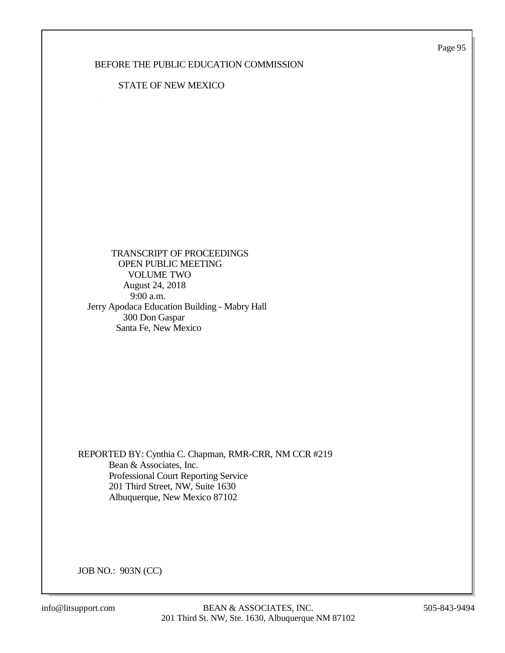Page 95

### BEFORE THE PUBLIC EDUCATION COMMISSION

#### STATE OF NEW MEXICO

 TRANSCRIPT OF PROCEEDINGS OPEN PUBLIC MEETING VOLUME TWO August 24, 2018 9:00 a.m. Jerry Apodaca Education Building - Mabry Hall 300 Don Gaspar Santa Fe, New Mexico

REPORTED BY: Cynthia C. Chapman, RMR-CRR, NM CCR #219 Bean & Associates, Inc. Professional Court Reporting Service 201 Third Street, NW, Suite 1630 Albuquerque, New Mexico 87102

JOB NO.: 903N (CC)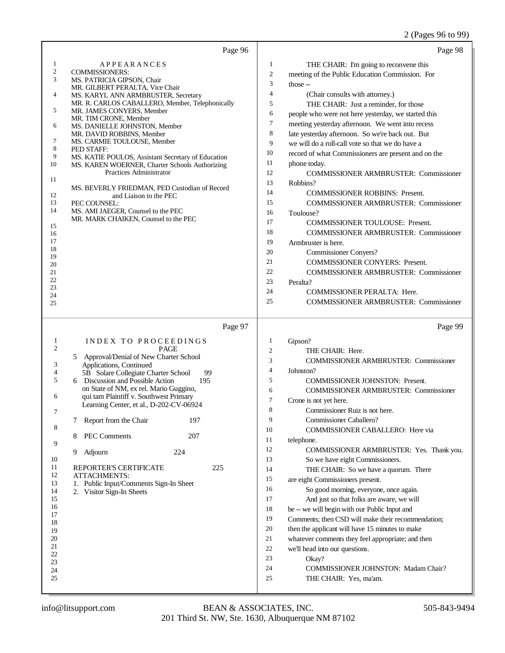## 2 (Pages 96 to 99)

| Page 96                                                                                                                                                                                                                                                                                                                                                                                                                                                                                                                                                                                                                                                                                                                                                                                                                          | Page 98                                                                                                                                                                                                                                                                                                                                                                                                                                                                                                                                                                                                                                                                                                                                                                                                                                                                                                                                                                                                                                                                                                                                                           |
|----------------------------------------------------------------------------------------------------------------------------------------------------------------------------------------------------------------------------------------------------------------------------------------------------------------------------------------------------------------------------------------------------------------------------------------------------------------------------------------------------------------------------------------------------------------------------------------------------------------------------------------------------------------------------------------------------------------------------------------------------------------------------------------------------------------------------------|-------------------------------------------------------------------------------------------------------------------------------------------------------------------------------------------------------------------------------------------------------------------------------------------------------------------------------------------------------------------------------------------------------------------------------------------------------------------------------------------------------------------------------------------------------------------------------------------------------------------------------------------------------------------------------------------------------------------------------------------------------------------------------------------------------------------------------------------------------------------------------------------------------------------------------------------------------------------------------------------------------------------------------------------------------------------------------------------------------------------------------------------------------------------|
| 1<br><b>APPEARANCES</b><br>2<br><b>COMMISSIONERS:</b><br>3<br>MS. PATRICIA GIPSON, Chair<br>MR. GILBERT PERALTA, Vice Chair<br>4<br>MS. KARYL ANN ARMBRUSTER, Secretary<br>MR. R. CARLOS CABALLERO, Member, Telephonically<br>5<br>MR. JAMES CONYERS, Member<br>MR. TIM CRONE, Member<br>6<br>MS. DANIELLE JOHNSTON, Member<br>MR. DAVID ROBBINS, Member<br>7<br>MS. CARMIE TOULOUSE, Member<br>8<br>PED STAFF:<br>9<br>MS. KATIE POULOS, Assistant Secretary of Education<br>10<br>MS. KAREN WOERNER, Charter Schools Authorizing<br>Practices Administrator<br>11<br>MS. BEVERLY FRIEDMAN, PED Custodian of Record<br>12<br>and Liaison to the PEC<br>13<br>PEC COUNSEL:<br>14<br>MS. AMI JAEGER, Counsel to the PEC<br>MR. MARK CHAIKEN, Counsel to the PEC<br>15<br>16<br>17<br>18<br>19<br>20<br>21<br>22<br>23<br>24<br>25 | 1<br>THE CHAIR: I'm going to reconvene this<br>$\overline{c}$<br>meeting of the Public Education Commission. For<br>3<br>those $-$<br>$\overline{4}$<br>(Chair consults with attorney.)<br>5<br>THE CHAIR: Just a reminder, for those<br>6<br>people who were not here yesterday, we started this<br>7<br>meeting yesterday afternoon. We went into recess<br>8<br>late yesterday afternoon. So we're back out. But<br>9<br>we will do a roll-call vote so that we do have a<br>10<br>record of what Commissioners are present and on the<br>11<br>phone today.<br>12<br><b>COMMISSIONER ARMBRUSTER: Commissioner</b><br>13<br>Robbins?<br>14<br><b>COMMISSIONER ROBBINS: Present.</b><br>15<br><b>COMMISSIONER ARMBRUSTER: Commissioner</b><br>16<br>Toulouse?<br>17<br><b>COMMISSIONER TOULOUSE: Present.</b><br>18<br><b>COMMISSIONER ARMBRUSTER: Commissioner</b><br>19<br>Armbruster is here.<br>20<br><b>Commissioner Conyers?</b><br>21<br><b>COMMISSIONER CONYERS: Present.</b><br>22<br><b>COMMISSIONER ARMBRUSTER: Commissioner</b><br>23<br>Peralta?<br>24<br><b>COMMISSIONER PERALTA: Here.</b><br>25<br><b>COMMISSIONER ARMBRUSTER: Commissioner</b> |
| Page 97<br>INDEX TO PROCEEDINGS<br>$\mathbf{1}$<br>$\mathfrak{2}$<br><b>PAGE</b><br>Approval/Denial of New Charter School<br>5<br>3<br>Applications, Continued<br>4<br>5B Solare Collegiate Charter School<br>99<br>5<br>6 Discussion and Possible Action<br>195<br>on State of NM, ex rel. Mario Guggino,<br>6<br>qui tam Plaintiff v. Southwest Primary<br>Learning Center, et al., D-202-CV-06924<br>Report from the Chair<br>197<br>7<br>8<br>PEC Comments<br>207<br>8<br>9<br>224<br>Adjourn<br>9<br>10<br>11<br>REPORTER'S CERTIFICATE<br>225<br>12<br>ATTACHMENTS:<br>13<br>1. Public Input/Comments Sign-In Sheet<br>14<br>2. Visitor Sign-In Sheets<br>15<br>16<br>17<br>18<br>19<br>20<br>21<br>22<br>23<br>24<br>25                                                                                                   | Page 99<br>1<br>Gipson?<br>$\boldsymbol{2}$<br>THE CHAIR: Here.<br>3<br><b>COMMISSIONER ARMBRUSTER: Commissioner</b><br>$\overline{4}$<br>Johnston?<br>5<br><b>COMMISSIONER JOHNSTON: Present.</b><br>6<br><b>COMMISSIONER ARMBRUSTER: Commissioner</b><br>7<br>Crone is not yet here.<br>8<br>Commissioner Ruiz is not here.<br>9<br>Commissioner Caballero?<br>10<br>COMMISSIONER CABALLERO: Here via<br>11<br>telephone.<br>12<br>COMMISSIONER ARMBRUSTER: Yes. Thank you.<br>13<br>So we have eight Commissioners.<br>14<br>THE CHAIR: So we have a quorum. There<br>15<br>are eight Commissioners present.<br>16<br>So good morning, everyone, once again.<br>17<br>And just so that folks are aware, we will<br>18<br>be -- we will begin with our Public Input and<br>19<br>Comments; then CSD will make their recommendation;<br>20<br>then the applicant will have 15 minutes to make<br>21<br>whatever comments they feel appropriate; and then<br>22<br>we'll head into our questions.<br>23<br>Okay?<br>24<br><b>COMMISSIONER JOHNSTON: Madam Chair?</b><br>25<br>THE CHAIR: Yes, ma'am.                                                              |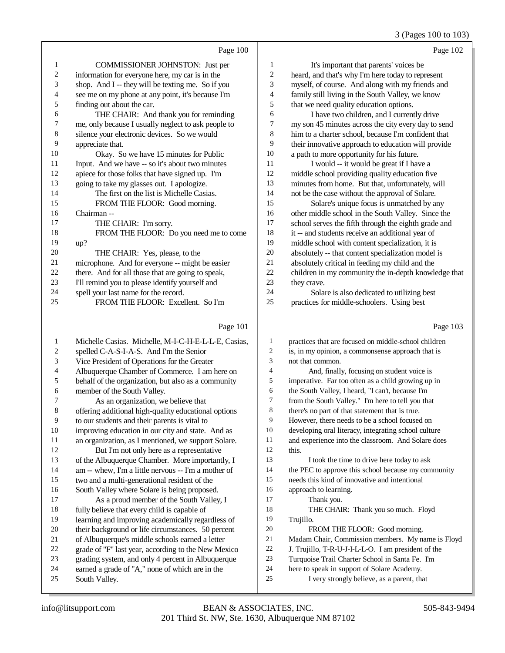#### 3 (Pages 100 to 103)

|                | Page 100                                            |                | Page 102                                             |
|----------------|-----------------------------------------------------|----------------|------------------------------------------------------|
| 1              | <b>COMMISSIONER JOHNSTON: Just per</b>              | 1              | It's important that parents' voices be               |
| $\overline{c}$ | information for everyone here, my car is in the     | $\overline{c}$ | heard, and that's why I'm here today to represent    |
| 3              | shop. And I -- they will be texting me. So if you   | 3              | myself, of course. And along with my friends and     |
| 4              | see me on my phone at any point, it's because I'm   | 4              | family still living in the South Valley, we know     |
| 5              | finding out about the car.                          | 5              | that we need quality education options.              |
| 6              | THE CHAIR: And thank you for reminding              | 6              | I have two children, and I currently drive           |
| 7              | me, only because I usually neglect to ask people to | 7              | my son 45 minutes across the city every day to send  |
| 8              | silence your electronic devices. So we would        | 8              | him to a charter school, because I'm confident that  |
| 9              | appreciate that.                                    | 9              | their innovative approach to education will provide  |
| 10             | Okay. So we have 15 minutes for Public              | 10             | a path to more opportunity for his future.           |
| 11             | Input. And we have -- so it's about two minutes     | 11             | I would -- it would be great if I have a             |
| 12             | apiece for those folks that have signed up. I'm     | 12             | middle school providing quality education five       |
| 13             | going to take my glasses out. I apologize.          | 13             | minutes from home. But that, unfortunately, will     |
| 14             | The first on the list is Michelle Casias.           | 14             | not be the case without the approval of Solare.      |
| 15             | FROM THE FLOOR: Good morning.                       | 15             | Solare's unique focus is unmatched by any            |
| 16             | Chairman --                                         | 16             | other middle school in the South Valley. Since the   |
| 17             | THE CHAIR: I'm sorry.                               | 17             | school serves the fifth through the eighth grade and |
| 18             | FROM THE FLOOR: Do you need me to come              | 18             | it -- and students receive an additional year of     |
| 19             | up?                                                 | 19             | middle school with content specialization, it is     |
| 20             | THE CHAIR: Yes, please, to the                      | 20             | absolutely -- that content specialization model is   |
| 21             | microphone. And for everyone -- might be easier     | 21             | absolutely critical in feeding my child and the      |
| 22             | there. And for all those that are going to speak,   | 22             | children in my community the in-depth knowledge that |
| 23             | I'll remind you to please identify yourself and     | 23             | they crave.                                          |
| 24             | spell your last name for the record.                | 24             | Solare is also dedicated to utilizing best           |
| 25             | FROM THE FLOOR: Excellent. So I'm                   | 25             | practices for middle-schoolers. Using best           |
|                | Page 101                                            |                | Page 103                                             |

| 1  | Michelle Casias. Michelle, M-I-C-H-E-L-L-E, Casias,  | 1              | practices that are focused on middle-school children |
|----|------------------------------------------------------|----------------|------------------------------------------------------|
| 2  | spelled C-A-S-I-A-S. And I'm the Senior              | 2              | is, in my opinion, a commonsense approach that is    |
| 3  | Vice President of Operations for the Greater         | 3              | not that common.                                     |
| 4  | Albuquerque Chamber of Commerce. I am here on        | $\overline{4}$ | And, finally, focusing on student voice is           |
| 5  | behalf of the organization, but also as a community  | 5              | imperative. Far too often as a child growing up in   |
| 6  | member of the South Valley.                          | 6              | the South Valley, I heard, "I can't, because I'm     |
| 7  | As an organization, we believe that                  | 7              | from the South Valley." I'm here to tell you that    |
| 8  | offering additional high-quality educational options | 8              | there's no part of that statement that is true.      |
| 9  | to our students and their parents is vital to        | 9              | However, there needs to be a school focused on       |
| 10 | improving education in our city and state. And as    | 10             | developing oral literacy, integrating school culture |
| 11 | an organization, as I mentioned, we support Solare.  | 11             | and experience into the classroom. And Solare does   |
| 12 | But I'm not only here as a representative            | 12             | this.                                                |
| 13 | of the Albuquerque Chamber. More importantly, I      | 13             | I took the time to drive here today to ask           |
| 14 | am -- whew, I'm a little nervous -- I'm a mother of  | 14             | the PEC to approve this school because my community  |
| 15 | two and a multi-generational resident of the         | 15             | needs this kind of innovative and intentional        |
| 16 | South Valley where Solare is being proposed.         | 16             | approach to learning.                                |
| 17 | As a proud member of the South Valley, I             | 17             | Thank you.                                           |
| 18 | fully believe that every child is capable of         | 18             | THE CHAIR: Thank you so much. Floyd                  |
| 19 | learning and improving academically regardless of    | 19             | Trujillo.                                            |
| 20 | their background or life circumstances. 50 percent   | 20             | FROM THE FLOOR: Good morning.                        |
| 21 | of Albuquerque's middle schools earned a letter      | 21             | Madam Chair, Commission members. My name is Floyd    |
| 22 | grade of "F" last year, according to the New Mexico  | 22             | J. Trujillo, T-R-U-J-I-L-L-O. I am president of the  |
| 23 | grading system, and only 4 percent in Albuquerque    | 23             | Turquoise Trail Charter School in Santa Fe. I'm      |
| 24 | earned a grade of "A," none of which are in the      | 24             | here to speak in support of Solare Academy.          |
| 25 | South Valley.                                        | 25             | I very strongly believe, as a parent, that           |
|    |                                                      |                |                                                      |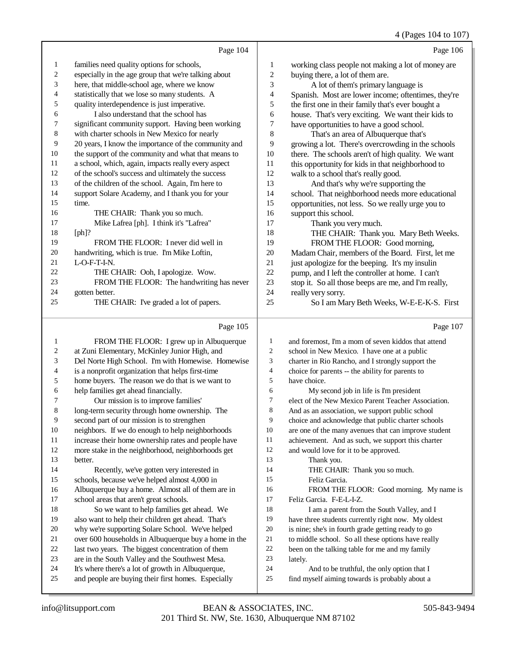4 (Pages 104 to 107)

|    |                                                      |                | $\tau$ (1 agos 10 $\tau$ to 10 $\tau$               |
|----|------------------------------------------------------|----------------|-----------------------------------------------------|
|    | Page 104                                             |                | Page 106                                            |
| 1  | families need quality options for schools,           | 1              | working class people not making a lot of money are  |
| 2  | especially in the age group that we're talking about | $\overline{c}$ | buying there, a lot of them are.                    |
| 3  | here, that middle-school age, where we know          | 3              | A lot of them's primary language is                 |
| 4  | statistically that we lose so many students. A       | 4              | Spanish. Most are lower income; oftentimes, they're |
| 5  | quality interdependence is just imperative.          | 5              | the first one in their family that's ever bought a  |
| 6  | I also understand that the school has                | 6              | house. That's very exciting. We want their kids to  |
| 7  | significant community support. Having been working   | 7              | have opportunities to have a good school.           |
| 8  | with charter schools in New Mexico for nearly        | 8              | That's an area of Albuquerque that's                |
| 9  | 20 years, I know the importance of the community and | 9              | growing a lot. There's overcrowding in the schools  |
| 10 | the support of the community and what that means to  | 10             | there. The schools aren't of high quality. We want  |
| 11 | a school, which, again, impacts really every aspect  | 11             | this opportunity for kids in that neighborhood to   |
| 12 | of the school's success and ultimately the success   | 12             | walk to a school that's really good.                |
| 13 | of the children of the school. Again, I'm here to    | 13             | And that's why we're supporting the                 |
| 14 | support Solare Academy, and I thank you for your     | 14             | school. That neighborhood needs more educational    |
| 15 | time.                                                | 15             | opportunities, not less. So we really urge you to   |
| 16 | THE CHAIR: Thank you so much.                        | 16             | support this school.                                |
| 17 | Mike Lafrea [ph]. I think it's "Lafrea"              | 17             | Thank you very much.                                |
| 18 | $[ph]$ ?                                             | 18             | THE CHAIR: Thank you. Mary Beth Weeks.              |
| 19 | FROM THE FLOOR: I never did well in                  | 19             | FROM THE FLOOR: Good morning,                       |
| 20 | handwriting, which is true. I'm Mike Loftin,         | 20             | Madam Chair, members of the Board. First, let me    |
| 21 | $L$ -O-F-T-I-N.                                      | 21             | just apologize for the beeping. It's my insulin     |
| 22 | THE CHAIR: Ooh, I apologize. Wow.                    | 22             | pump, and I left the controller at home. I can't    |
| 23 | FROM THE FLOOR: The handwriting has never            | 23             | stop it. So all those beeps are me, and I'm really, |
| 24 | gotten better.                                       | 24             | really very sorry.                                  |
| 25 | THE CHAIR: I've graded a lot of papers.              | 25             | So I am Mary Beth Weeks, W-E-E-K-S. First           |
|    | Page 105                                             |                | Page 107                                            |

## Page 105 |

| 1  | FROM THE FLOOR: I grew up in Albuquerque             | 1  | and foremost, I'm a mom of seven kiddos that attend  |
|----|------------------------------------------------------|----|------------------------------------------------------|
| 2  | at Zuni Elementary, McKinley Junior High, and        | 2  | school in New Mexico. I have one at a public         |
| 3  | Del Norte High School. I'm with Homewise. Homewise   | 3  | charter in Rio Rancho, and I strongly support the    |
| 4  | is a nonprofit organization that helps first-time    | 4  | choice for parents -- the ability for parents to     |
| 5  | home buyers. The reason we do that is we want to     | 5  | have choice.                                         |
| 6  | help families get ahead financially.                 | 6  | My second job in life is I'm president               |
| 7  | Our mission is to improve families'                  | 7  | elect of the New Mexico Parent Teacher Association.  |
| 8  | long-term security through home ownership. The       | 8  | And as an association, we support public school      |
| 9  | second part of our mission is to strengthen          | 9  | choice and acknowledge that public charter schools   |
| 10 | neighbors. If we do enough to help neighborhoods     | 10 | are one of the many avenues that can improve student |
| 11 | increase their home ownership rates and people have  | 11 | achievement. And as such, we support this charter    |
| 12 | more stake in the neighborhood, neighborhoods get    | 12 | and would love for it to be approved.                |
| 13 | better.                                              | 13 | Thank you.                                           |
| 14 | Recently, we've gotten very interested in            | 14 | THE CHAIR: Thank you so much.                        |
| 15 | schools, because we've helped almost 4,000 in        | 15 | Feliz Garcia.                                        |
| 16 | Albuquerque buy a home. Almost all of them are in    | 16 | FROM THE FLOOR: Good morning. My name is             |
| 17 | school areas that aren't great schools.              | 17 | Feliz Garcia. F-E-L-I-Z.                             |
| 18 | So we want to help families get ahead. We            | 18 | I am a parent from the South Valley, and I           |
| 19 | also want to help their children get ahead. That's   | 19 | have three students currently right now. My oldest   |
| 20 | why we're supporting Solare School. We've helped     | 20 | is nine; she's in fourth grade getting ready to go   |
| 21 | over 600 households in Albuquerque buy a home in the | 21 | to middle school. So all these options have really   |
| 22 | last two years. The biggest concentration of them    | 22 | been on the talking table for me and my family       |
| 23 | are in the South Valley and the Southwest Mesa.      | 23 | lately.                                              |
| 24 | It's where there's a lot of growth in Albuquerque,   | 24 | And to be truthful, the only option that I           |
| 25 | and people are buying their first homes. Especially  | 25 | find myself aiming towards is probably about a       |
|    |                                                      |    |                                                      |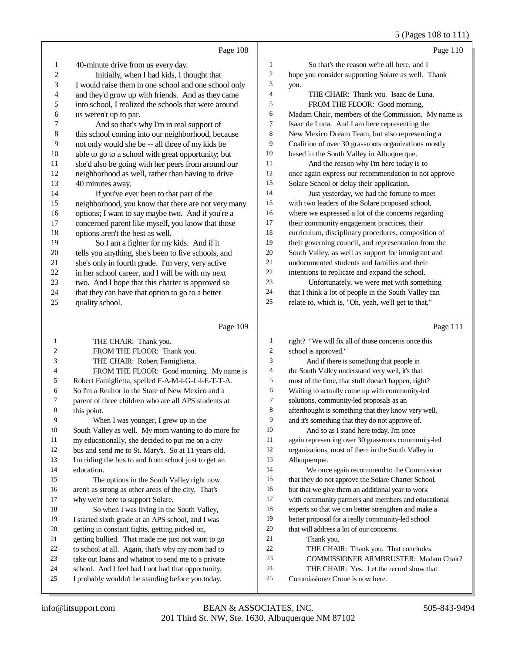### 5 (Pages 108 to 111)

|          | Page 108                                                                                                |                | Page 110                                                                                      |
|----------|---------------------------------------------------------------------------------------------------------|----------------|-----------------------------------------------------------------------------------------------|
| 1        | 40-minute drive from us every day.                                                                      | 1              | So that's the reason we're all here, and I                                                    |
| 2        | Initially, when I had kids, I thought that                                                              | $\overline{c}$ | hope you consider supporting Solare as well. Thank                                            |
| 3        | I would raise them in one school and one school only                                                    | 3              | you.                                                                                          |
| 4        | and they'd grow up with friends. And as they came                                                       | $\overline{4}$ | THE CHAIR: Thank you. Isaac de Luna.                                                          |
| 5        | into school, I realized the schools that were around                                                    | 5              | FROM THE FLOOR: Good morning,                                                                 |
| 6        | us weren't up to par.                                                                                   | 6              | Madam Chair, members of the Commission. My name is                                            |
| 7        | And so that's why I'm in real support of                                                                | 7              | Isaac de Luna. And I am here representing the                                                 |
| 8        | this school coming into our neighborhood, because                                                       | 8              | New Mexico Dream Team, but also representing a                                                |
| 9        | not only would she be -- all three of my kids be                                                        | 9              | Coalition of over 30 grassroots organizations mostly                                          |
| $10\,$   | able to go to a school with great opportunity; but                                                      | 10             | based in the South Valley in Albuquerque.                                                     |
| 11       | she'd also be going with her peers from around our                                                      | 11             | And the reason why I'm here today is to                                                       |
| 12       | neighborhood as well, rather than having to drive                                                       | 12             | once again express our recommendation to not approve                                          |
| 13       | 40 minutes away.                                                                                        | 13             | Solare School or delay their application.                                                     |
| 14       | If you've ever been to that part of the                                                                 | 14             | Just yesterday, we had the fortune to meet                                                    |
| 15       | neighborhood, you know that there are not very many                                                     | 15             | with two leaders of the Solare proposed school,                                               |
| 16       | options; I want to say maybe two. And if you're a                                                       | 16             | where we expressed a lot of the concerns regarding                                            |
| 17       | concerned parent like myself, you know that those                                                       | 17             | their community engagement practices, their                                                   |
| 18       | options aren't the best as well.                                                                        | 18             | curriculum, disciplinary procedures, composition of                                           |
| 19       | So I am a fighter for my kids. And if it                                                                | 19             | their governing council, and representation from the                                          |
| 20       | tells you anything, she's been to five schools, and                                                     | 20             | South Valley, as well as support for immigrant and                                            |
| 21       | she's only in fourth grade. I'm very, very active                                                       | 21             | undocumented students and families and their                                                  |
| $22\,$   | in her school career, and I will be with my next                                                        | $22\,$         | intentions to replicate and expand the school.                                                |
| 23       | two. And I hope that this charter is approved so                                                        | 23             | Unfortunately, we were met with something                                                     |
| 24       | that they can have that option to go to a better                                                        | 24             | that I think a lot of people in the South Valley can                                          |
| 25       | quality school.                                                                                         | 25             | relate to, which is, "Oh, yeah, we'll get to that,"                                           |
|          | Page 109                                                                                                |                | Page 111                                                                                      |
| 1        | THE CHAIR: Thank you.                                                                                   | 1              | right? "We will fix all of those concerns once this                                           |
| 2        | FROM THE FLOOR: Thank you.                                                                              | $\overline{c}$ | school is approved."                                                                          |
| 3        | THE CHAIR: Robert Famiglietta.                                                                          | 3              | And if there is something that people in                                                      |
| 4        | FROM THE FLOOR: Good morning. My name is                                                                | 4              | the South Valley understand very well, it's that                                              |
| 5        | Robert Famiglietta, spelled F-A-M-I-G-L-I-E-T-T-A.                                                      | 5              | most of the time, that stuff doesn't happen, right?                                           |
| 6        | So I'm a Realtor in the State of New Mexico and a                                                       | 6              | Waiting to actually come up with community-led                                                |
| 7        | parent of three children who are all APS students at                                                    | 7              | solutions, community-led proposals as an                                                      |
| 8        | this point.                                                                                             | 8              | afterthought is something that they know very well,                                           |
| 9        | When I was younger, I grew up in the                                                                    | 9              | and it's something that they do not approve of.                                               |
| 10       | South Valley as well. My mom wanting to do more for                                                     | $10\,$         | And so as I stand here today, I'm once                                                        |
| 11       | my educationally, she decided to put me on a city                                                       | 11             | again representing over 30 grassroots community-led                                           |
| 12       | bus and send me to St. Mary's. So at 11 years old,                                                      | 12             | organizations, most of them in the South Valley in                                            |
| 13       | I'm riding the bus to and from school just to get an                                                    | 13             | Albuquerque.                                                                                  |
| 14       | education.                                                                                              | 14             | We once again recommend to the Commission                                                     |
| 15       | The options in the South Valley right now                                                               | 15             | that they do not approve the Solare Charter School,                                           |
| 16       | aren't as strong as other areas of the city. That's                                                     | 16             | but that we give them an additional year to work                                              |
| 17       | why we're here to support Solare.                                                                       | 17<br>18       | with community partners and members and educational                                           |
| 18<br>19 | So when I was living in the South Valley,                                                               | 19             | experts so that we can better strengthen and make a                                           |
| 20       | I started sixth grade at an APS school, and I was                                                       | $20\,$         | better proposal for a really community-led school<br>that will address a lot of our concerns. |
| 21       | getting in constant fights, getting picked on,<br>getting bullied. That made me just not want to go     | 21             | Thank you.                                                                                    |
| 22       | to school at all. Again, that's why my mom had to                                                       | $22\,$         | THE CHAIR: Thank you. That concludes.                                                         |
|          |                                                                                                         |                |                                                                                               |
|          |                                                                                                         |                |                                                                                               |
| 23<br>24 | take out loans and whatnot to send me to a private                                                      | 23<br>24       | COMMISSIONER ARMBRUSTER: Madam Chair?                                                         |
| 25       | school. And I feel had I not had that opportunity,<br>I probably wouldn't be standing before you today. | 25             | THE CHAIR: Yes. Let the record show that<br>Commissioner Crone is now here.                   |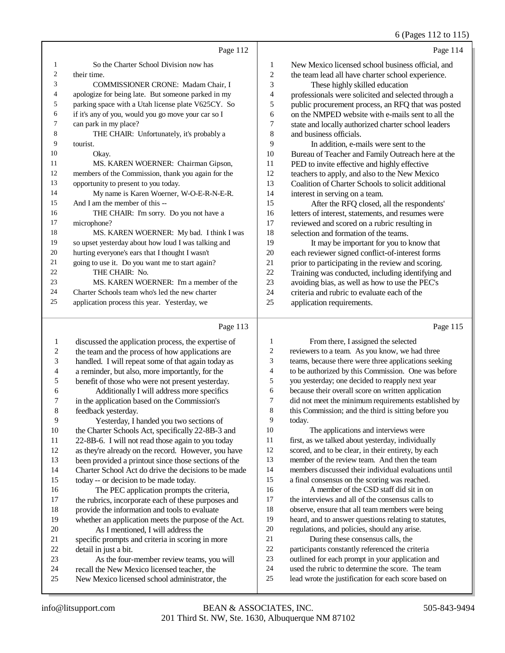## 6 (Pages 112 to 115)

|                | Page 112                                            |                | Page 114                                            |
|----------------|-----------------------------------------------------|----------------|-----------------------------------------------------|
| 1              | So the Charter School Division now has              | 1              | New Mexico licensed school business official, and   |
| $\overline{2}$ | their time.                                         | $\overline{2}$ | the team lead all have charter school experience.   |
| 3              | <b>COMMISSIONER CRONE: Madam Chair, I</b>           | 3              | These highly skilled education                      |
| 4              | apologize for being late. But someone parked in my  | $\overline{4}$ | professionals were solicited and selected through a |
| 5              | parking space with a Utah license plate V625CY. So  | 5              | public procurement process, an RFQ that was posted  |
| 6              | if it's any of you, would you go move your car so I | 6              | on the NMPED website with e-mails sent to all the   |
| $\tau$         | can park in my place?                               | 7              | state and locally authorized charter school leaders |
| 8              | THE CHAIR: Unfortunately, it's probably a           | 8              | and business officials.                             |
| 9              | tourist.                                            | 9              | In addition, e-mails were sent to the               |
| 10             | Okay.                                               | 10             | Bureau of Teacher and Family Outreach here at the   |
| 11             | MS. KAREN WOERNER: Chairman Gipson,                 | 11             | PED to invite effective and highly effective        |
| 12             | members of the Commission, thank you again for the  | 12             | teachers to apply, and also to the New Mexico       |
| 13             | opportunity to present to you today.                | 13             | Coalition of Charter Schools to solicit additional  |
| 14             | My name is Karen Woerner, W-O-E-R-N-E-R.            | 14             | interest in serving on a team.                      |
| 15             | And I am the member of this --                      | 15             | After the RFQ closed, all the respondents'          |
| 16             | THE CHAIR: I'm sorry. Do you not have a             | 16             | letters of interest, statements, and resumes were   |
| 17             | microphone?                                         | 17             | reviewed and scored on a rubric resulting in        |
| 18             | MS. KAREN WOERNER: My bad. I think I was            | 18             | selection and formation of the teams.               |
| 19             | so upset yesterday about how loud I was talking and | 19             | It may be important for you to know that            |
| 20             | hurting everyone's ears that I thought I wasn't     | 20             | each reviewer signed conflict-of-interest forms     |
| 21             | going to use it. Do you want me to start again?     | 21             | prior to participating in the review and scoring.   |
| 22             | THE CHAIR: No.                                      | 22             | Training was conducted, including identifying and   |
| 23             | MS. KAREN WOERNER: I'm a member of the              | 23             | avoiding bias, as well as how to use the PEC's      |
| 24             | Charter Schools team who's led the new charter      | 24             | criteria and rubric to evaluate each of the         |
| 25             | application process this year. Yesterday, we        | 25             | application requirements.                           |
|                | Page 113                                            |                | Page 115                                            |

## Page 113 |

| 1  | discussed the application process, the expertise of  | 1  | From there, I assigned the selected                  |
|----|------------------------------------------------------|----|------------------------------------------------------|
| 2  | the team and the process of how applications are     | 2  | reviewers to a team. As you know, we had three       |
| 3  | handled. I will repeat some of that again today as   | 3  | teams, because there were three applications seeking |
| 4  | a reminder, but also, more importantly, for the      | 4  | to be authorized by this Commission. One was before  |
| 5  | benefit of those who were not present yesterday.     | 5  | you yesterday; one decided to reapply next year      |
| 6  | Additionally I will address more specifics           | 6  | because their overall score on written application   |
| 7  | in the application based on the Commission's         | 7  | did not meet the minimum requirements established by |
| 8  | feedback yesterday.                                  | 8  | this Commission; and the third is sitting before you |
| 9  | Yesterday, I handed you two sections of              | 9  | today.                                               |
| 10 | the Charter Schools Act, specifically 22-8B-3 and    | 10 | The applications and interviews were                 |
| 11 | 22-8B-6. I will not read those again to you today    | 11 | first, as we talked about yesterday, individually    |
| 12 | as they're already on the record. However, you have  | 12 | scored, and to be clear, in their entirety, by each  |
| 13 | been provided a printout since those sections of the | 13 | member of the review team. And then the team         |
| 14 | Charter School Act do drive the decisions to be made | 14 | members discussed their individual evaluations until |
| 15 | today -- or decision to be made today.               | 15 | a final consensus on the scoring was reached.        |
| 16 | The PEC application prompts the criteria,            | 16 | A member of the CSD staff did sit in on              |
| 17 | the rubrics, incorporate each of these purposes and  | 17 | the interviews and all of the consensus calls to     |
| 18 | provide the information and tools to evaluate        | 18 | observe, ensure that all team members were being     |
| 19 | whether an application meets the purpose of the Act. | 19 | heard, and to answer questions relating to statutes, |
| 20 | As I mentioned, I will address the                   | 20 | regulations, and policies, should any arise.         |
| 21 | specific prompts and criteria in scoring in more     | 21 | During these consensus calls, the                    |
| 22 | detail in just a bit.                                | 22 | participants constantly referenced the criteria      |
| 23 | As the four-member review teams, you will            | 23 | outlined for each prompt in your application and     |
| 24 | recall the New Mexico licensed teacher, the          | 24 | used the rubric to determine the score. The team     |
| 25 | New Mexico licensed school administrator, the        | 25 | lead wrote the justification for each score based on |
|    |                                                      |    |                                                      |

Okay.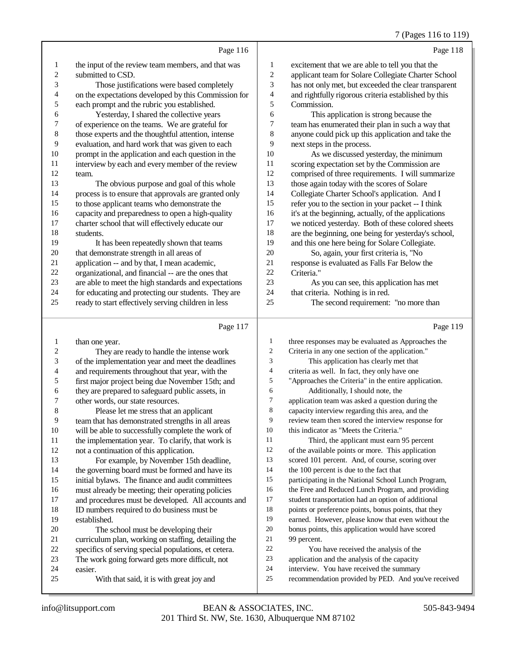#### 7 (Pages 116 to 119)

|    | Page 116                                             |                          | Page 118                                             |
|----|------------------------------------------------------|--------------------------|------------------------------------------------------|
| 1  | the input of the review team members, and that was   | 1                        | excitement that we are able to tell you that the     |
| 2  | submitted to CSD.                                    | $\mathfrak{2}$           | applicant team for Solare Collegiate Charter School  |
| 3  | Those justifications were based completely           | 3                        | has not only met, but exceeded the clear transparent |
| 4  | on the expectations developed by this Commission for | $\overline{\mathcal{A}}$ | and rightfully rigorous criteria established by this |
| 5  | each prompt and the rubric you established.          | 5                        | Commission.                                          |
| 6  | Yesterday, I shared the collective years             | 6                        | This application is strong because the               |
| 7  | of experience on the teams. We are grateful for      | 7                        | team has enumerated their plan in such a way that    |
| 8  | those experts and the thoughtful attention, intense  | 8                        | anyone could pick up this application and take the   |
| 9  | evaluation, and hard work that was given to each     | 9                        | next steps in the process.                           |
| 10 | prompt in the application and each question in the   | 10                       | As we discussed yesterday, the minimum               |
| 11 | interview by each and every member of the review     | 11                       | scoring expectation set by the Commission are        |
| 12 | team.                                                | 12                       | comprised of three requirements. I will summarize    |
| 13 | The obvious purpose and goal of this whole           | 13                       | those again today with the scores of Solare          |
| 14 | process is to ensure that approvals are granted only | 14                       | Collegiate Charter School's application. And I       |
| 15 | to those applicant teams who demonstrate the         | 15                       | refer you to the section in your packet -- I think   |
| 16 | capacity and preparedness to open a high-quality     | 16                       | it's at the beginning, actually, of the applications |
| 17 | charter school that will effectively educate our     | 17                       | we noticed yesterday. Both of these colored sheets   |
| 18 | students.                                            | 18                       | are the beginning, one being for yesterday's school, |
| 19 | It has been repeatedly shown that teams              | 19                       | and this one here being for Solare Collegiate.       |
| 20 | that demonstrate strength in all areas of            | 20                       | So, again, your first criteria is, "No               |
| 21 | application -- and by that, I mean academic,         | 21                       | response is evaluated as Falls Far Below the         |
| 22 | organizational, and financial -- are the ones that   | 22                       | Criteria."                                           |
| 23 | are able to meet the high standards and expectations | 23                       | As you can see, this application has met             |
| 24 | for educating and protecting our students. They are  | 24                       | that criteria. Nothing is in red.                    |
| 25 | ready to start effectively serving children in less  | 25                       | The second requirement: "no more than                |
|    | Page 117                                             |                          | Page 119                                             |

#### Page 117

1 than one year. 2 They are ready to handle the intense work<br>3 of the implementation year and meet the deadline of the implementation year and meet the deadlines 4 and requirements throughout that year, with the<br>5 first major project being due November 15th: a 5 first major project being due November 15th; and<br>6 they are prepared to safeguard public assets, in 6 they are prepared to safeguard public assets, in<br>
2 other words, our state resources. 7 other words, our state resources.<br>8 Please let me stress that an Please let me stress that an applicant 9 team that has demonstrated strengths in all areas<br>10 will be able to successfully complete the work of 10 will be able to successfully complete the work of<br>11 the implementation year. To clarify, that work is 11 the implementation year. To clarify, that work is<br>12 not a continuation of this application. not a continuation of this application. For example, by November 15th deadline, the governing board must be formed and have its initial bylaws. The finance and audit committees 16 must already be meeting; their operating policies<br>17 and procedures must be developed. All accounts and procedures must be developed. All accounts and 18 ID numbers required to do business must be<br>19 established established. 20 The school must be developing their<br>21 curriculum plan. working on staffing, detail 21 curriculum plan, working on staffing, detailing the<br>22 specifics of serving special populations, et cetera. 22 specifics of serving special populations, et cetera.<br>23 The work going forward gets more difficult, not 23 The work going forward gets more difficult, not<br>24 easier. 24 easier. With that said, it is with great joy and three responses may be evaluated as Approaches the Criteria in any one section of the application." This application has clearly met that 4 criteria as well. In fact, they only have one<br>5 "Approaches the Criteria" in the entire appl "Approaches the Criteria" in the entire application. **Additionally, I should note, the** application team was asked a question 7 application team was asked a question during the<br>8 capacity interview regarding this area, and the capacity interview regarding this area, and the review team then scored the interview response for this indicator as "Meets the Criteria." 11 Third, the applicant must earn 95 percent<br>12 of the available points or more. This application of the available points or more. This application scored 101 percent. And, of course, scoring over 14 the 100 percent is due to the fact that participating in the National School Lunch Program, the Free and Reduced Lunch Program, and providing student transportation had an option of additional points or preference points, bonus points, that they earned. However, please know that even without the bonus points, this application would have scored 21 99 percent.<br>22 You 22 You have received the analysis of the<br>23 application and the analysis of the canacity application and the analysis of the capacity interview. You have received the summary recommendation provided by PED. And you've received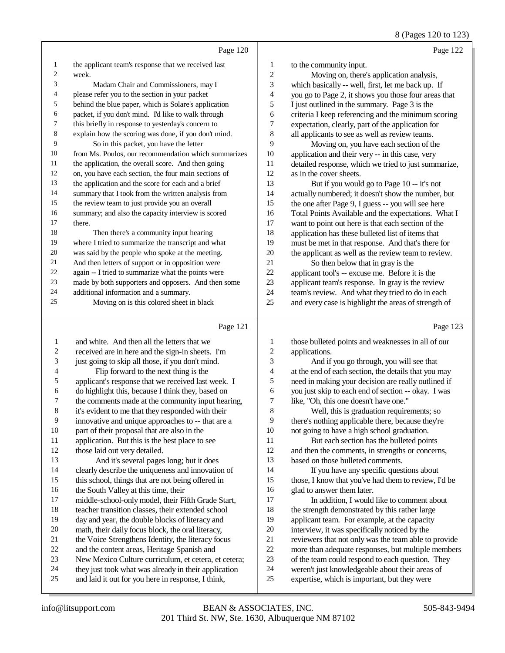8 (Pages 120 to 123)

|                          |                                                      |                | $\sim$ (1 agos 120 to 120                            |
|--------------------------|------------------------------------------------------|----------------|------------------------------------------------------|
|                          | Page 120                                             |                | Page 122                                             |
| 1                        | the applicant team's response that we received last  | 1              | to the community input.                              |
| $\overline{c}$           | week.                                                | $\overline{c}$ | Moving on, there's application analysis,             |
| 3                        | Madam Chair and Commissioners, may I                 | 3              | which basically -- well, first, let me back up. If   |
| 4                        | please refer you to the section in your packet       | 4              | you go to Page 2, it shows you those four areas that |
| 5                        | behind the blue paper, which is Solare's application | 5              | I just outlined in the summary. Page 3 is the        |
| 6                        | packet, if you don't mind. I'd like to walk through  | 6              | criteria I keep referencing and the minimum scoring  |
| 7                        | this briefly in response to yesterday's concern to   | 7              | expectation, clearly, part of the application for    |
| $\,8$                    | explain how the scoring was done, if you don't mind. | 8              | all applicants to see as well as review teams.       |
| 9                        | So in this packet, you have the letter               | 9              | Moving on, you have each section of the              |
| $10\,$                   | from Ms. Poulos, our recommendation which summarizes | $10\,$         | application and their very -- in this case, very     |
| 11                       | the application, the overall score. And then going   | 11             | detailed response, which we tried to just summarize, |
| 12                       | on, you have each section, the four main sections of | 12             | as in the cover sheets.                              |
| 13                       | the application and the score for each and a brief   | 13             | But if you would go to Page 10 -- it's not           |
| 14                       | summary that I took from the written analysis from   | 14             | actually numbered; it doesn't show the number, but   |
| 15                       | the review team to just provide you an overall       | 15             | the one after Page 9, I guess -- you will see here   |
| 16                       | summary; and also the capacity interview is scored   | 16             | Total Points Available and the expectations. What I  |
| 17                       | there.                                               | 17             | want to point out here is that each section of the   |
| 18                       | Then there's a community input hearing               | 18             | application has these bulleted list of items that    |
| 19                       | where I tried to summarize the transcript and what   | 19             | must be met in that response. And that's there for   |
| 20                       | was said by the people who spoke at the meeting.     | 20             | the applicant as well as the review team to review.  |
| 21                       | And then letters of support or in opposition were    | 21             | So then below that in gray is the                    |
| 22                       | again -- I tried to summarize what the points were   | 22             | applicant tool's -- excuse me. Before it is the      |
| 23                       | made by both supporters and opposers. And then some  | 23             | applicant team's response. In gray is the review     |
| 24                       | additional information and a summary.                | 24             | team's review. And what they tried to do in each     |
| 25                       | Moving on is this colored sheet in black             | 25             | and every case is highlight the areas of strength of |
|                          | Page 121                                             |                | Page 123                                             |
| 1                        | and white. And then all the letters that we          | 1              | those bulleted points and weaknesses in all of our   |
| $\mathbf{2}$             | received are in here and the sign-in sheets. I'm     | $\mathbf{2}$   | applications.                                        |
| $\mathfrak{Z}$           | just going to skip all those, if you don't mind.     | 3              | And if you go through, you will see that             |
| $\overline{\mathcal{A}}$ | Flip forward to the next thing is the                | 4              | at the end of each section, the details that you may |
| 5                        |                                                      | 5              |                                                      |
|                          | applicant's response that we received last week. I   |                | need in making your decision are really outlined if  |

 you just skip to each end of section -- okay. I was 7 like, "Oh, this one doesn't have one."<br>8 Well this is graduation require Well, this is graduation requirements; so 9 there's nothing applicable there, because they're<br>10 not going to have a high school graduation.

10 not going to have a high school graduation.<br>11 But each section has the bulleted point But each section has the bulleted points and then the comments, in strengths or concerns, based on those bulleted comments.

 If you have any specific questions about those, I know that you've had them to review, I'd be 16 glad to answer them later.<br>17 In addition. I would

In addition, I would like to comment about 18 the strength demonstrated by this rather large<br>19 applicant team. For example, at the capacity applicant team. For example, at the capacity 20 interview, it was specifically noticed by the<br>21 reviewers that not only was the team able to 21 reviewers that not only was the team able to provide<br>22 more than adequate responses, but multiple members 22 more than adequate responses, but multiple members<br>23 of the team could respond to each question. They of the team could respond to each question. They 24 weren't just knowledgeable about their areas of<br>25 expertise, which is important, but they were

expertise, which is important, but they were

 do highlight this, because I think they, based on 7 the comments made at the community input hearing,<br>8 it's evident to me that they responded with their it's evident to me that they responded with their

9 innovative and unique approaches to -- that are a<br>10 part of their proposal that are also in the

10 part of their proposal that are also in the<br>11 application. But this is the best place to 11 application. But this is the best place to see<br>12 those laid out very detailed. those laid out very detailed.

16 the South Valley at this time, their<br>17 middle-school-only model, their Fi

 And it's several pages long; but it does clearly describe the uniqueness and innovation of this school, things that are not being offered in

18 teacher transition classes, their extended school<br>19 day and year, the double blocks of literacy and day and year, the double blocks of literacy and

20 math, their daily focus block, the oral literacy,<br>21 the Voice Strengthens Identity, the literacy foc 21 the Voice Strengthens Identity, the literacy focus<br>22 and the content areas. Heritage Spanish and 22 and the content areas, Heritage Spanish and<br>23 New Mexico Culture curriculum, et cetera.

23 New Mexico Culture curriculum, et cetera, et cetera;<br>24 they just took what was already in their application 24 they just took what was already in their application<br>25 and laid it out for you here in response. I think. and laid it out for you here in response, I think,

middle-school-only model, their Fifth Grade Start,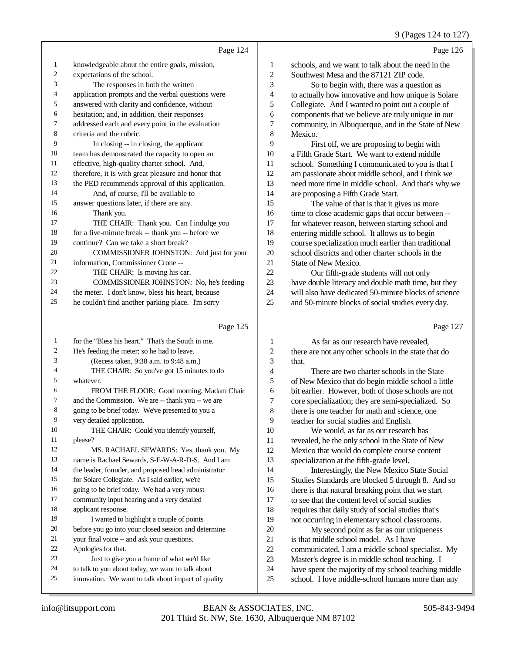## 9 (Pages 124 to 127)

|    | Page 124                                            |                | Page 126                                             |
|----|-----------------------------------------------------|----------------|------------------------------------------------------|
| 1  | knowledgeable about the entire goals, mission,      | 1              | schools, and we want to talk about the need in the   |
| 2  | expectations of the school.                         | $\overline{c}$ | Southwest Mesa and the 87121 ZIP code.               |
| 3  | The responses in both the written                   | 3              | So to begin with, there was a question as            |
| 4  | application prompts and the verbal questions were   | 4              | to actually how innovative and how unique is Solare  |
| 5  | answered with clarity and confidence, without       | 5              | Collegiate. And I wanted to point out a couple of    |
| 6  | hesitation; and, in addition, their responses       | 6              | components that we believe are truly unique in our   |
| 7  | addressed each and every point in the evaluation    | 7              | community, in Albuquerque, and in the State of New   |
| 8  | criteria and the rubric.                            | 8              | Mexico.                                              |
| 9  | In closing -- in closing, the applicant             | 9              | First off, we are proposing to begin with            |
| 10 | team has demonstrated the capacity to open an       | 10             | a Fifth Grade Start. We want to extend middle        |
| 11 | effective, high-quality charter school. And,        | 11             | school. Something I communicated to you is that I    |
| 12 | therefore, it is with great pleasure and honor that | 12             | am passionate about middle school, and I think we    |
| 13 | the PED recommends approval of this application.    | 13             | need more time in middle school. And that's why we   |
| 14 | And, of course, I'll be available to                | 14             | are proposing a Fifth Grade Start.                   |
| 15 | answer questions later, if there are any.           | 15             | The value of that is that it gives us more           |
| 16 | Thank you.                                          | 16             | time to close academic gaps that occur between --    |
| 17 | THE CHAIR: Thank you. Can I indulge you             | 17             | for whatever reason, between starting school and     |
| 18 | for a five-minute break -- thank you -- before we   | 18             | entering middle school. It allows us to begin        |
| 19 | continue? Can we take a short break?                | 19             | course specialization much earlier than traditional  |
| 20 | COMMISSIONER JOHNSTON: And just for your            | 20             | school districts and other charter schools in the    |
| 21 | information, Commissioner Crone --                  | 21             | State of New Mexico.                                 |
| 22 | THE CHAIR: Is moving his car.                       | 22             | Our fifth-grade students will not only               |
| 23 | COMMISSIONER JOHNSTON: No, he's feeding             | 23             | have double literacy and double math time, but they  |
| 24 | the meter. I don't know, bless his heart, because   | 24             | will also have dedicated 50-minute blocks of science |
| 25 | he couldn't find another parking place. I'm sorry   | 25             | and 50-minute blocks of social studies every day.    |
|    | Page 125                                            |                | Page 127                                             |
|    | for the "Rlass his heart" That's the South in me    | $\mathbf{1}$   | As for as our research have revealed                 |

|                | Page 125                                             |    | Page 12.                                             |
|----------------|------------------------------------------------------|----|------------------------------------------------------|
| 1              | for the "Bless his heart." That's the South in me.   | 1  | As far as our research have revealed,                |
| $\mathfrak{2}$ | He's feeding the meter; so he had to leave.          | 2  | there are not any other schools in the state that do |
| 3              | (Recess taken, 9:38 a.m. to 9:48 a.m.)               | 3  | that.                                                |
| 4              | THE CHAIR: So you've got 15 minutes to do            | 4  | There are two charter schools in the State           |
| 5              | whatever.                                            | 5  | of New Mexico that do begin middle school a little   |
| 6              | FROM THE FLOOR: Good morning, Madam Chair            | 6  | bit earlier. However, both of those schools are not  |
| 7              | and the Commission. We are -- thank you -- we are    | 7  | core specialization; they are semi-specialized. So   |
| 8              | going to be brief today. We've presented to you a    | 8  | there is one teacher for math and science, one       |
| 9              | very detailed application.                           | 9  | teacher for social studies and English.              |
| 10             | THE CHAIR: Could you identify yourself,              | 10 | We would, as far as our research has                 |
| 11             | please?                                              | 11 | revealed, be the only school in the State of New     |
| 12             | MS. RACHAEL SEWARDS: Yes, thank you. My              | 12 | Mexico that would do complete course content         |
| 13             | name is Rachael Sewards, S-E-W-A-R-D-S. And I am     | 13 | specialization at the fifth-grade level.             |
| 14             | the leader, founder, and proposed head administrator | 14 | Interestingly, the New Mexico State Social           |
| 15             | for Solare Collegiate. As I said earlier, we're      | 15 | Studies Standards are blocked 5 through 8. And so    |
| 16             | going to be brief today. We had a very robust        | 16 | there is that natural breaking point that we start   |
| 17             | community input hearing and a very detailed          | 17 | to see that the content level of social studies      |
| 18             | applicant response.                                  | 18 | requires that daily study of social studies that's   |
| 19             | I wanted to highlight a couple of points             | 19 | not occurring in elementary school classrooms.       |
| 20             | before you go into your closed session and determine | 20 | My second point as far as our uniqueness             |
| 21             | your final voice -- and ask your questions.          | 21 | is that middle school model. As I have               |
| 22             | Apologies for that.                                  | 22 | communicated, I am a middle school specialist. My    |
| 23             | Just to give you a frame of what we'd like           | 23 | Master's degree is in middle school teaching. I      |
| 24             | to talk to you about today, we want to talk about    | 24 | have spent the majority of my school teaching middle |
| 25             | innovation. We want to talk about impact of quality  | 25 | school. I love middle-school humans more than any    |
|                |                                                      |    |                                                      |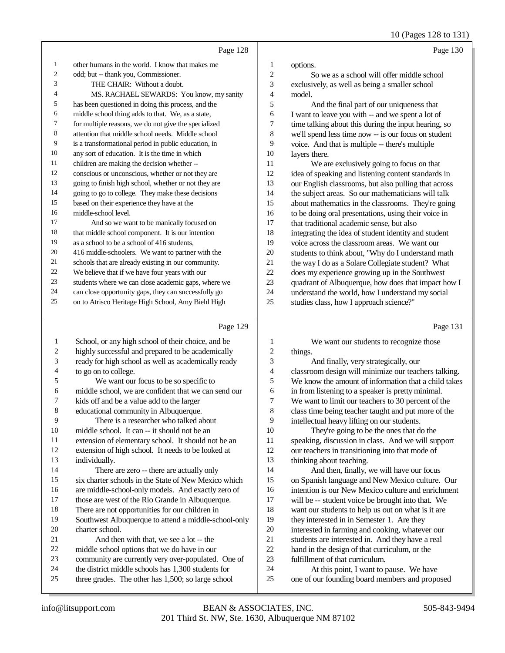10 (Pages 128 to 131)

|    | Page 128                                             |                | Page 130                                             |
|----|------------------------------------------------------|----------------|------------------------------------------------------|
| 1  | other humans in the world. I know that makes me      | 1              | options.                                             |
| 2  | odd; but -- thank you, Commissioner.                 | $\mathfrak{2}$ | So we as a school will offer middle school           |
| 3  | THE CHAIR: Without a doubt.                          | 3              | exclusively, as well as being a smaller school       |
| 4  | MS. RACHAEL SEWARDS: You know, my sanity             | 4              | model.                                               |
| 5  | has been questioned in doing this process, and the   | 5              | And the final part of our uniqueness that            |
| 6  | middle school thing adds to that. We, as a state,    | 6              | I want to leave you with -- and we spent a lot of    |
| 7  | for multiple reasons, we do not give the specialized | 7              | time talking about this during the input hearing, so |
| 8  | attention that middle school needs. Middle school    | 8              | we'll spend less time now -- is our focus on student |
| 9  | is a transformational period in public education, in | 9              | voice. And that is multiple -- there's multiple      |
| 10 | any sort of education. It is the time in which       | 10             | layers there.                                        |
| 11 | children are making the decision whether --          | 11             | We are exclusively going to focus on that            |
| 12 | conscious or unconscious, whether or not they are    | 12             | idea of speaking and listening content standards in  |
| 13 | going to finish high school, whether or not they are | 13             | our English classrooms, but also pulling that across |
| 14 | going to go to college. They make these decisions    | 14             | the subject areas. So our mathematicians will talk   |
| 15 | based on their experience they have at the           | 15             | about mathematics in the classrooms. They're going   |
| 16 | middle-school level.                                 | 16             | to be doing oral presentations, using their voice in |
| 17 | And so we want to be manically focused on            | 17             | that traditional academic sense, but also            |
| 18 | that middle school component. It is our intention    | 18             | integrating the idea of student identity and student |
| 19 | as a school to be a school of 416 students.          | 19             | voice across the classroom areas. We want our        |
| 20 | 416 middle-schoolers. We want to partner with the    | 20             | students to think about, "Why do I understand math   |
| 21 | schools that are already existing in our community.  | 21             | the way I do as a Solare Collegiate student? What    |
| 22 | We believe that if we have four years with our       | 22             | does my experience growing up in the Southwest       |
| 23 | students where we can close academic gaps, where we  | 23             | quadrant of Albuquerque, how does that impact how I  |
| 24 | can close opportunity gaps, they can successfully go | 24             | understand the world, how I understand my social     |
| 25 | on to Atrisco Heritage High School, Amy Biehl High   | 25             | studies class, how I approach science?"              |

## $\overline{p_{\text{max}} 120}$

|    | Page 129                                             |                | Page 131                                             |
|----|------------------------------------------------------|----------------|------------------------------------------------------|
| 1  | School, or any high school of their choice, and be   | 1              | We want our students to recognize those              |
| 2  | highly successful and prepared to be academically    | 2              | things.                                              |
| 3  | ready for high school as well as academically ready  | 3              | And finally, very strategically, our                 |
| 4  | to go on to college.                                 | $\overline{4}$ | classroom design will minimize our teachers talking. |
| 5  | We want our focus to be so specific to               | 5              | We know the amount of information that a child takes |
| 6  | middle school, we are confident that we can send our | 6              | in from listening to a speaker is pretty minimal.    |
| 7  | kids off and be a value add to the larger            | 7              | We want to limit our teachers to 30 percent of the   |
| 8  | educational community in Albuquerque.                | 8              | class time being teacher taught and put more of the  |
| 9  | There is a researcher who talked about               | 9              | intellectual heavy lifting on our students.          |
| 10 | middle school. It can -- it should not be an         | 10             | They're going to be the ones that do the             |
| 11 | extension of elementary school. It should not be an  | 11             | speaking, discussion in class. And we will support   |
| 12 | extension of high school. It needs to be looked at   | 12             | our teachers in transitioning into that mode of      |
| 13 | individually.                                        | 13             | thinking about teaching.                             |
| 14 | There are zero -- there are actually only            | 14             | And then, finally, we will have our focus            |
| 15 | six charter schools in the State of New Mexico which | 15             | on Spanish language and New Mexico culture. Our      |
| 16 | are middle-school-only models. And exactly zero of   | 16             | intention is our New Mexico culture and enrichment   |
| 17 | those are west of the Rio Grande in Albuquerque.     | 17             | will be -- student voice be brought into that. We    |
| 18 | There are not opportunities for our children in      | 18             | want our students to help us out on what is it are   |
| 19 | Southwest Albuquerque to attend a middle-school-only | 19             | they interested in in Semester 1. Are they           |
| 20 | charter school.                                      | 20             | interested in farming and cooking, whatever our      |
| 21 | And then with that, we see a lot -- the              | 21             | students are interested in. And they have a real     |
| 22 | middle school options that we do have in our         | 22             | hand in the design of that curriculum, or the        |
| 23 | community are currently very over-populated. One of  | 23             | fulfillment of that curriculum.                      |
| 24 | the district middle schools has 1,300 students for   | 24             | At this point, I want to pause. We have              |
| 25 | three grades. The other has 1,500; so large school   | 25             | one of our founding board members and proposed       |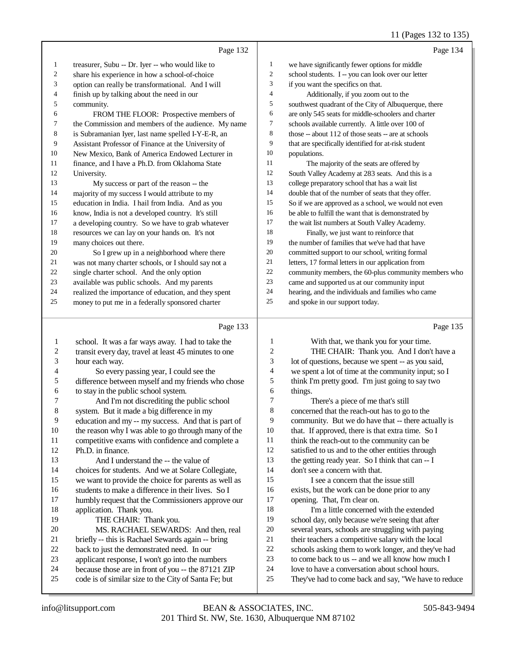## 11 (Pages 132 to 135)

|    | Page 132                                             |                | Page 134                                             |
|----|------------------------------------------------------|----------------|------------------------------------------------------|
| 1  | treasurer, Subu -- Dr. Iyer -- who would like to     | 1              | we have significantly fewer options for middle       |
| 2  | share his experience in how a school-of-choice       | $\overline{c}$ | school students. I -- you can look over our letter   |
| 3  | option can really be transformational. And I will    | 3              | if you want the specifics on that.                   |
| 4  | finish up by talking about the need in our           | $\overline{4}$ | Additionally, if you zoom out to the                 |
| 5  | community.                                           | 5              | southwest quadrant of the City of Albuquerque, there |
| 6  | FROM THE FLOOR: Prospective members of               | 6              | are only 545 seats for middle-schoolers and charter  |
| 7  | the Commission and members of the audience. My name  | $\overline{7}$ | schools available currently. A little over 100 of    |
| 8  | is Subramanian Iyer, last name spelled I-Y-E-R, an   | 8              | those -- about 112 of those seats -- are at schools  |
| 9  | Assistant Professor of Finance at the University of  | 9              | that are specifically identified for at-risk student |
| 10 | New Mexico, Bank of America Endowed Lecturer in      | 10             | populations.                                         |
| 11 | finance, and I have a Ph.D. from Oklahoma State      | 11             | The majority of the seats are offered by             |
| 12 | University.                                          | 12             | South Valley Academy at 283 seats. And this is a     |
| 13 | My success or part of the reason -- the              | 13             | college preparatory school that has a wait list      |
| 14 | majority of my success I would attribute to my       | 14             | double that of the number of seats that they offer.  |
| 15 | education in India. I hail from India. And as you    | 15             | So if we are approved as a school, we would not even |
| 16 | know, India is not a developed country. It's still   | 16             | be able to fulfill the want that is demonstrated by  |
| 17 | a developing country. So we have to grab whatever    | 17             | the wait list numbers at South Valley Academy.       |
| 18 | resources we can lay on your hands on. It's not      | 18             | Finally, we just want to reinforce that              |
| 19 | many choices out there.                              | 19             | the number of families that we've had that have      |
| 20 | So I grew up in a neighborhood where there           | 20             | committed support to our school, writing formal      |
| 21 | was not many charter schools, or I should say not a  | 21             | letters, 17 formal letters in our application from   |
| 22 | single charter school. And the only option           | 22             | community members, the 60-plus community members who |
| 23 | available was public schools. And my parents         | 23             | came and supported us at our community input         |
| 24 | realized the importance of education, and they spent | 24             | hearing, and the individuals and families who came   |
| 25 | money to put me in a federally sponsored charter     | 25             | and spoke in our support today.                      |
|    |                                                      |                |                                                      |
|    | Page 133                                             |                | Page 135                                             |

#### Page 133 |

| 1  | school. It was a far ways away. I had to take the    | 1  | With that, we thank you for your time.               |
|----|------------------------------------------------------|----|------------------------------------------------------|
| 2  | transit every day, travel at least 45 minutes to one | 2  | THE CHAIR: Thank you. And I don't have a             |
| 3  | hour each way.                                       | 3  | lot of questions, because we spent -- as you said,   |
| 4  | So every passing year, I could see the               | 4  | we spent a lot of time at the community input; so I  |
| 5  | difference between myself and my friends who chose   | 5  | think I'm pretty good. I'm just going to say two     |
| 6  | to stay in the public school system.                 | 6  | things.                                              |
| 7  | And I'm not discrediting the public school           | 7  | There's a piece of me that's still                   |
| 8  | system. But it made a big difference in my           | 8  | concerned that the reach-out has to go to the        |
| 9  | education and my -- my success. And that is part of  | 9  | community. But we do have that -- there actually is  |
| 10 | the reason why I was able to go through many of the  | 10 | that. If approved, there is that extra time. So I    |
| 11 | competitive exams with confidence and complete a     | 11 | think the reach-out to the community can be          |
| 12 | Ph.D. in finance.                                    | 12 | satisfied to us and to the other entities through    |
| 13 | And I understand the -- the value of                 | 13 | the getting ready year. So I think that can -- I     |
| 14 | choices for students. And we at Solare Collegiate,   | 14 | don't see a concern with that.                       |
| 15 | we want to provide the choice for parents as well as | 15 | I see a concern that the issue still                 |
| 16 | students to make a difference in their lives. So I   | 16 | exists, but the work can be done prior to any        |
| 17 | humbly request that the Commissioners approve our    | 17 | opening. That, I'm clear on.                         |
| 18 | application. Thank you.                              | 18 | I'm a little concerned with the extended             |
| 19 | THE CHAIR: Thank you.                                | 19 | school day, only because we're seeing that after     |
| 20 | MS. RACHAEL SEWARDS: And then, real                  | 20 | several years, schools are struggling with paying    |
| 21 | briefly -- this is Rachael Sewards again -- bring    | 21 | their teachers a competitive salary with the local   |
| 22 | back to just the demonstrated need. In our           | 22 | schools asking them to work longer, and they've had  |
| 23 | applicant response, I won't go into the numbers      | 23 | to come back to us -- and we all know how much I     |
| 24 | because those are in front of you -- the 87121 ZIP   | 24 | love to have a conversation about school hours.      |
| 25 | code is of similar size to the City of Santa Fe; but | 25 | They've had to come back and say, "We have to reduce |
|    |                                                      |    |                                                      |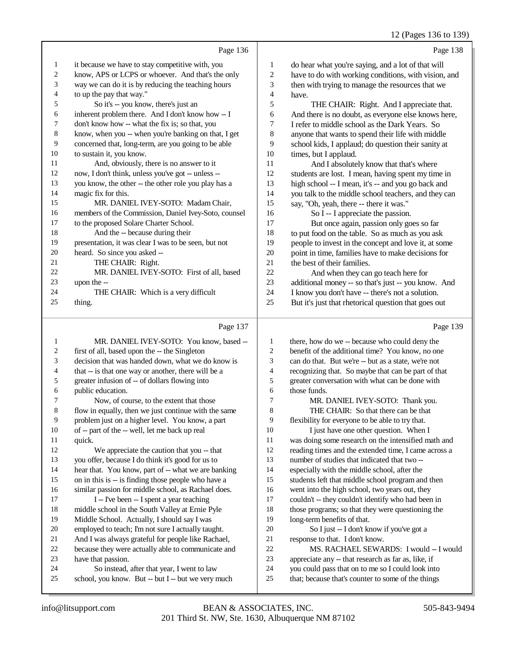|    |                                                      |                | 12 (Pages 150 to 15)                                 |
|----|------------------------------------------------------|----------------|------------------------------------------------------|
|    | Page 136                                             |                | Page 138                                             |
| 1  | it because we have to stay competitive with, you     | 1              | do hear what you're saying, and a lot of that will   |
| 2  | know, APS or LCPS or whoever. And that's the only    | 2              | have to do with working conditions, with vision, and |
| 3  | way we can do it is by reducing the teaching hours   | 3              | then with trying to manage the resources that we     |
| 4  | to up the pay that way."                             | $\overline{4}$ | have.                                                |
| 5  | So it's -- you know, there's just an                 | 5              | THE CHAIR: Right. And I appreciate that.             |
| 6  | inherent problem there. And I don't know how -- I    | 6              | And there is no doubt, as everyone else knows here,  |
| 7  | don't know how -- what the fix is; so that, you      | 7              | I refer to middle school as the Dark Years. So       |
| 8  | know, when you -- when you're banking on that, I get | 8              | anyone that wants to spend their life with middle    |
| 9  | concerned that, long-term, are you going to be able  | 9              | school kids, I applaud; do question their sanity at  |
| 10 | to sustain it, you know.                             | 10             | times, but I applaud.                                |
| 11 | And, obviously, there is no answer to it             | 11             | And I absolutely know that that's where              |
| 12 | now, I don't think, unless you've got -- unless --   | 12             | students are lost. I mean, having spent my time in   |
| 13 | you know, the other -- the other role you play has a | 13             | high school -- I mean, it's -- and you go back and   |
| 14 | magic fix for this.                                  | 14             | you talk to the middle school teachers, and they can |
| 15 | MR. DANIEL IVEY-SOTO: Madam Chair,                   | 15             | say, "Oh, yeah, there -- there it was."              |
| 16 | members of the Commission, Daniel Ivey-Soto, counsel | 16             | So I -- I appreciate the passion.                    |
| 17 | to the proposed Solare Charter School.               | 17             | But once again, passion only goes so far             |
| 18 | And the -- because during their                      | 18             | to put food on the table. So as much as you ask      |
| 19 | presentation, it was clear I was to be seen, but not | 19             | people to invest in the concept and love it, at some |
| 20 | heard. So since you asked --                         | 20             | point in time, families have to make decisions for   |
| 21 | THE CHAIR: Right.                                    | 21             | the best of their families.                          |
| 22 | MR. DANIEL IVEY-SOTO: First of all, based            | 22             | And when they can go teach here for                  |
| 23 | upon the --                                          | 23             | additional money -- so that's just -- you know. And  |
| 24 | THE CHAIR: Which is a very difficult                 | 24             | I know you don't have -- there's not a solution.     |
| 25 | thing.                                               | 25             | But it's just that rhetorical question that goes out |
|    | Page 137                                             |                | Page 139                                             |

| 1  | MR. DANIEL IVEY-SOTO: You know, based --             | 1  | there, how do we -- because who could deny the       |
|----|------------------------------------------------------|----|------------------------------------------------------|
| 2  | first of all, based upon the -- the Singleton        | 2  | benefit of the additional time? You know, no one     |
| 3  | decision that was handed down, what we do know is    | 3  | can do that. But we're -- but as a state, we're not  |
| 4  | that -- is that one way or another, there will be a  | 4  | recognizing that. So maybe that can be part of that  |
| 5  | greater infusion of -- of dollars flowing into       | 5  | greater conversation with what can be done with      |
| 6  | public education.                                    | 6  | those funds.                                         |
| 7  | Now, of course, to the extent that those             | 7  | MR. DANIEL IVEY-SOTO: Thank you.                     |
| 8  | flow in equally, then we just continue with the same | 8  | THE CHAIR: So that there can be that                 |
| 9  | problem just on a higher level. You know, a part     | 9  | flexibility for everyone to be able to try that.     |
| 10 | of -- part of the -- well, let me back up real       | 10 | I just have one other question. When I               |
| 11 | quick.                                               | 11 | was doing some research on the intensified math and  |
| 12 | We appreciate the caution that you -- that           | 12 | reading times and the extended time, I came across a |
| 13 | you offer, because I do think it's good for us to    | 13 | number of studies that indicated that two --         |
| 14 | hear that. You know, part of -- what we are banking  | 14 | especially with the middle school, after the         |
| 15 | on in this is -- is finding those people who have a  | 15 | students left that middle school program and then    |
| 16 | similar passion for middle school, as Rachael does.  | 16 | went into the high school, two years out, they       |
| 17 | I -- I've been -- I spent a year teaching            | 17 | couldn't -- they couldn't identify who had been in   |
| 18 | middle school in the South Valley at Ernie Pyle      | 18 | those programs; so that they were questioning the    |
| 19 | Middle School. Actually, I should say I was          | 19 | long-term benefits of that.                          |
| 20 | employed to teach; I'm not sure I actually taught.   | 20 | So I just -- I don't know if you've got a            |
| 21 | And I was always grateful for people like Rachael,   | 21 | response to that. I don't know.                      |
| 22 | because they were actually able to communicate and   | 22 | MS. RACHAEL SEWARDS: I would -- I would              |
| 23 | have that passion.                                   | 23 | appreciate any -- that research as far as, like, if  |
| 24 | So instead, after that year, I went to law           | 24 | you could pass that on to me so I could look into    |
| 25 | school, you know. But -- but I -- but we very much   | 25 | that; because that's counter to some of the things   |
|    |                                                      |    |                                                      |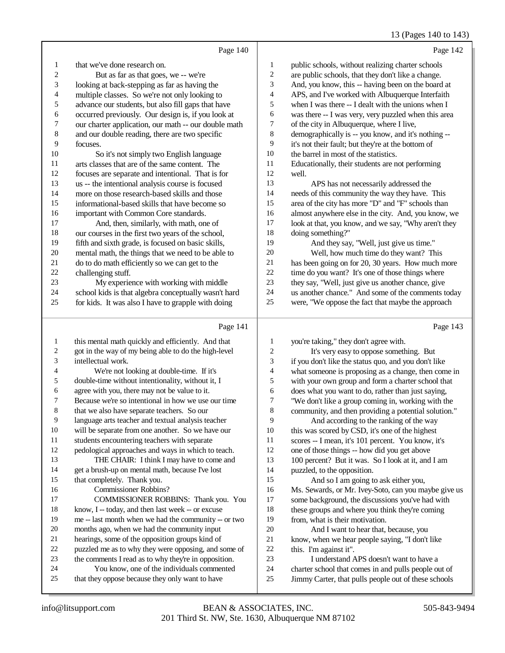13 (Pages 140 to 143)

|    | Page 140                                             |                | Page 142                                             |
|----|------------------------------------------------------|----------------|------------------------------------------------------|
| 1  | that we've done research on.                         | 1              | public schools, without realizing charter schools    |
| 2  | But as far as that goes, we -- we're                 | 2              | are public schools, that they don't like a change.   |
| 3  | looking at back-stepping as far as having the        | 3              | And, you know, this -- having been on the board at   |
| 4  | multiple classes. So we're not only looking to       | $\overline{4}$ | APS, and I've worked with Albuquerque Interfaith     |
| 5  | advance our students, but also fill gaps that have   | 5              | when I was there -- I dealt with the unions when I   |
| 6  | occurred previously. Our design is, if you look at   | 6              | was there -- I was very, very puzzled when this area |
| 7  | our charter application, our math -- our double math | 7              | of the city in Albuquerque, where I live,            |
| 8  | and our double reading, there are two specific       | 8              | demographically is -- you know, and it's nothing --  |
| 9  | focuses.                                             | 9              | it's not their fault; but they're at the bottom of   |
| 10 | So it's not simply two English language              | 10             | the barrel in most of the statistics.                |
| 11 | arts classes that are of the same content. The       | 11             | Educationally, their students are not performing     |
| 12 | focuses are separate and intentional. That is for    | 12             | well.                                                |
| 13 | us -- the intentional analysis course is focused     | 13             | APS has not necessarily addressed the                |
| 14 | more on those research-based skills and those        | 14             | needs of this community the way they have. This      |
| 15 | informational-based skills that have become so       | 15             | area of the city has more "D" and "F" schools than   |
| 16 | important with Common Core standards.                | 16             | almost anywhere else in the city. And, you know, we  |
| 17 | And, then, similarly, with math, one of              | 17             | look at that, you know, and we say, "Why aren't they |
| 18 | our courses in the first two years of the school,    | 18             | doing something?"                                    |
| 19 | fifth and sixth grade, is focused on basic skills,   | 19             | And they say, "Well, just give us time."             |
| 20 | mental math, the things that we need to be able to   | 20             | Well, how much time do they want? This               |
| 21 | do to do math efficiently so we can get to the       | 21             | has been going on for 20, 30 years. How much more    |
| 22 | challenging stuff.                                   | 22             | time do you want? It's one of those things where     |
| 23 | My experience with working with middle               | 23             | they say, "Well, just give us another chance, give   |
| 24 | school kids is that algebra conceptually wasn't hard | 24             | us another chance." And some of the comments today   |
| 25 | for kids. It was also I have to grapple with doing   | 25             | were, "We oppose the fact that maybe the approach    |
|    | Page 141                                             |                | Page 143                                             |

| $\mathbf{1}$ | this mental math quickly and efficiently. And that   | 1              | you're taking," they don't agree with.               |
|--------------|------------------------------------------------------|----------------|------------------------------------------------------|
| 2            | got in the way of my being able to do the high-level | $\overline{c}$ | It's very easy to oppose something. But              |
| 3            | intellectual work.                                   | 3              | if you don't like the status quo, and you don't like |
| 4            | We're not looking at double-time. If it's            | $\overline{4}$ | what someone is proposing as a change, then come in  |
| 5            | double-time without intentionality, without it, I    | 5              | with your own group and form a charter school that   |
| 6            | agree with you, there may not be value to it.        | 6              | does what you want to do, rather than just saying,   |
| 7            | Because we're so intentional in how we use our time  | 7              | "We don't like a group coming in, working with the   |
| 8            | that we also have separate teachers. So our          | 8              | community, and then providing a potential solution." |
| 9            | language arts teacher and textual analysis teacher   | 9              | And according to the ranking of the way              |
| 10           | will be separate from one another. So we have our    | 10             | this was scored by CSD, it's one of the highest      |
| 11           | students encountering teachers with separate         | 11             | scores -- I mean, it's 101 percent. You know, it's   |
| 12           | pedological approaches and ways in which to teach.   | 12             | one of those things -- how did you get above         |
| 13           | THE CHAIR: I think I may have to come and            | 13             | 100 percent? But it was. So I look at it, and I am   |
| 14           | get a brush-up on mental math, because I've lost     | 14             | puzzled, to the opposition.                          |
| 15           | that completely. Thank you.                          | 15             | And so I am going to ask either you,                 |
| 16           | Commissioner Robbins?                                | 16             | Ms. Sewards, or Mr. Ivey-Soto, can you maybe give us |
| 17           | COMMISSIONER ROBBINS: Thank you. You                 | 17             | some background, the discussions you've had with     |
| 18           | know, I -- today, and then last week -- or excuse    | 18             | these groups and where you think they're coming      |
| 19           | me -- last month when we had the community -- or two | 19             | from, what is their motivation.                      |
| 20           | months ago, when we had the community input          | 20             | And I want to hear that, because, you                |
| 21           | hearings, some of the opposition groups kind of      | 21             | know, when we hear people saying, "I don't like      |
| 22           | puzzled me as to why they were opposing, and some of | 22             | this. I'm against it".                               |
| 23           | the comments I read as to why they're in opposition. | 23             | I understand APS doesn't want to have a              |
| 24           | You know, one of the individuals commented           | 24             | charter school that comes in and pulls people out of |
| 25           | that they oppose because they only want to have      | 25             | Jimmy Carter, that pulls people out of these schools |
|              |                                                      |                |                                                      |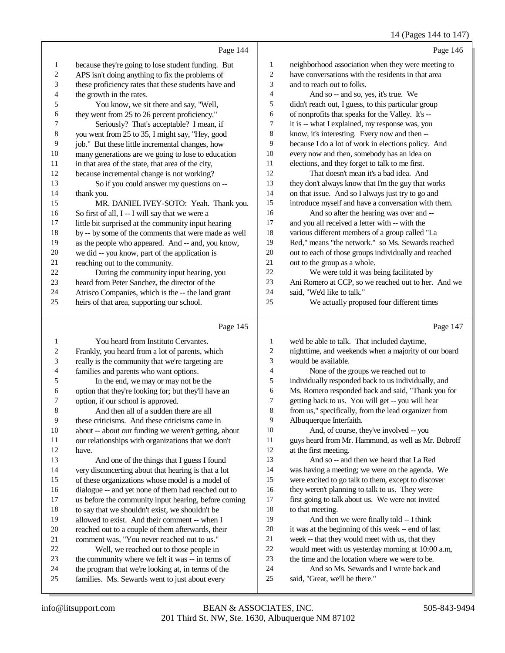### 14 (Pages 144 to 147)

|                  |                                                                                                      |              | $1 + \frac{1}{2}$ to $1 + \frac{1}{2}$                                    |
|------------------|------------------------------------------------------------------------------------------------------|--------------|---------------------------------------------------------------------------|
|                  | Page 144                                                                                             |              | Page 146                                                                  |
| 1                | because they're going to lose student funding. But                                                   | $\mathbf{1}$ | neighborhood association when they were meeting to                        |
| $\boldsymbol{2}$ | APS isn't doing anything to fix the problems of                                                      | 2            | have conversations with the residents in that area                        |
| 3                | these proficiency rates that these students have and                                                 | 3            | and to reach out to folks.                                                |
| 4                | the growth in the rates.                                                                             | 4            | And so -- and so, yes, it's true. We                                      |
| 5                | You know, we sit there and say, "Well,                                                               | 5            | didn't reach out, I guess, to this particular group                       |
| 6                | they went from 25 to 26 percent proficiency."                                                        | 6            | of nonprofits that speaks for the Valley. It's --                         |
| 7                | Seriously? That's acceptable? I mean, if                                                             | 7            | it is -- what I explained, my response was, you                           |
| 8                | you went from 25 to 35, I might say, "Hey, good                                                      | $\,8\,$      | know, it's interesting. Every now and then --                             |
| 9                | job." But these little incremental changes, how                                                      | 9            | because I do a lot of work in elections policy. And                       |
| 10               | many generations are we going to lose to education                                                   | 10           | every now and then, somebody has an idea on                               |
| 11               | in that area of the state, that area of the city,                                                    | 11           | elections, and they forget to talk to me first.                           |
| 12               | because incremental change is not working?                                                           | 12           | That doesn't mean it's a bad idea. And                                    |
| 13               | So if you could answer my questions on --                                                            | 13           | they don't always know that I'm the guy that works                        |
| 14               | thank you.                                                                                           | 14           | on that issue. And so I always just try to go and                         |
| 15               | MR. DANIEL IVEY-SOTO: Yeah. Thank you.                                                               | 15           | introduce myself and have a conversation with them.                       |
| 16               | So first of all, I -- I will say that we were a                                                      | 16           | And so after the hearing was over and --                                  |
| 17               | little bit surprised at the community input hearing                                                  | 17           | and you all received a letter with -- with the                            |
| 18               | by -- by some of the comments that were made as well                                                 | 18           | various different members of a group called "La                           |
| 19               | as the people who appeared. And -- and, you know,                                                    | 19           | Red," means "the network." so Ms. Sewards reached                         |
| 20               | we did -- you know, part of the application is                                                       | 20           | out to each of those groups individually and reached                      |
| 21               | reaching out to the community.                                                                       | 21           | out to the group as a whole.                                              |
| 22               | During the community input hearing, you                                                              | 22           | We were told it was being facilitated by                                  |
| 23               | heard from Peter Sanchez, the director of the                                                        | 23           | Ani Romero at CCP, so we reached out to her. And we                       |
| 24               | Atrisco Companies, which is the -- the land grant                                                    | 24<br>25     | said, "We'd like to talk."                                                |
| 25               | heirs of that area, supporting our school.                                                           |              | We actually proposed four different times                                 |
|                  | Page 145                                                                                             |              | Page 147                                                                  |
| 1                | You heard from Instituto Cervantes.                                                                  | 1            | we'd be able to talk. That included daytime,                              |
| $\boldsymbol{2}$ | Frankly, you heard from a lot of parents, which                                                      | 2            | nighttime, and weekends when a majority of our board                      |
| 3                | really is the community that we're targeting are                                                     | 3            | would be available.                                                       |
| 4                | families and parents who want options.                                                               | 4            | None of the groups we reached out to                                      |
| 5                | In the end, we may or may not be the                                                                 | 5            | individually responded back to us individually, and                       |
| 6                | option that they're looking for; but they'll have an                                                 | 6            | Ms. Romero responded back and said, "Thank you for                        |
| 7                | option, if our school is approved.                                                                   | 7            | getting back to us. You will get -- you will hear                         |
| $\,8\,$          | And then all of a sudden there are all                                                               | 8            | from us," specifically, from the lead organizer from                      |
| $\overline{9}$   | these criticisms. And these criticisms came in                                                       | 9            | Albuquerque Interfaith.                                                   |
| 10               | about -- about our funding we weren't getting, about                                                 | 10           | And, of course, they've involved -- you                                   |
| 11               | our relationships with organizations that we don't                                                   | 11           | guys heard from Mr. Hammond, as well as Mr. Bobroff                       |
| 12               | have.                                                                                                | 12           | at the first meeting.                                                     |
| 13               | And one of the things that I guess I found                                                           | 13           | And so -- and then we heard that La Red                                   |
| 14               | very disconcerting about that hearing is that a lot                                                  | 14           | was having a meeting; we were on the agenda. We                           |
| 15               | of these organizations whose model is a model of                                                     | 15           | were excited to go talk to them, except to discover                       |
| 16               | dialogue -- and yet none of them had reached out to                                                  | 16           | they weren't planning to talk to us. They were                            |
| 17               | us before the community input hearing, before coming                                                 | 17           | first going to talk about us. We were not invited                         |
| 18               | to say that we shouldn't exist, we shouldn't be                                                      | 18           | to that meeting.                                                          |
|                  |                                                                                                      |              |                                                                           |
| 19               | allowed to exist. And their comment -- when I                                                        | 19           | And then we were finally told -- I think                                  |
| $20\,$           | reached out to a couple of them afterwards, their                                                    | 20           | it was at the beginning of this week -- end of last                       |
| 21               | comment was, "You never reached out to us."                                                          | $21\,$       | week -- that they would meet with us, that they                           |
| 22               | Well, we reached out to those people in                                                              | $22\,$       | would meet with us yesterday morning at 10:00 a.m,                        |
| 23               | the community where we felt it was -- in terms of                                                    | 23           | the time and the location where we were to be.                            |
| 24<br>25         | the program that we're looking at, in terms of the<br>families. Ms. Sewards went to just about every | 24<br>25     | And so Ms. Sewards and I wrote back and<br>said, "Great, we'll be there." |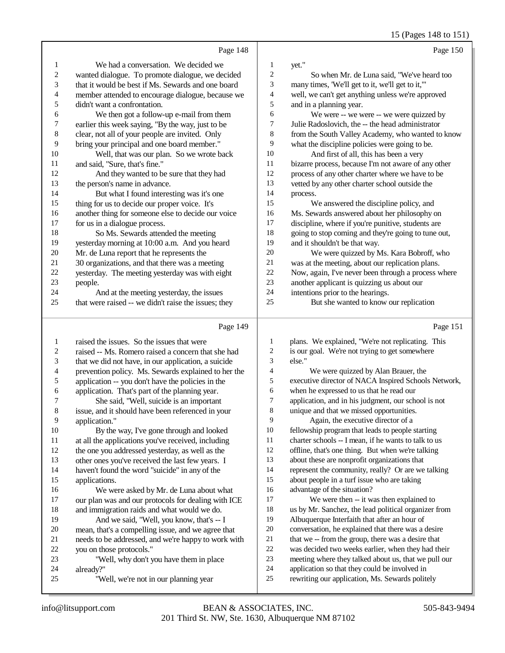15 (Pages 148 to 151)

|                          |                                                      |                          | $13$ (Fages 140 to 131                               |
|--------------------------|------------------------------------------------------|--------------------------|------------------------------------------------------|
|                          | Page 148                                             |                          | Page 150                                             |
| 1                        | We had a conversation. We decided we                 | $\mathbf{1}$             | yet."                                                |
| $\overline{c}$           | wanted dialogue. To promote dialogue, we decided     | $\overline{c}$           | So when Mr. de Luna said, "We've heard too           |
| 3                        | that it would be best if Ms. Sewards and one board   | 3                        | many times, 'We'll get to it, we'll get to it,"      |
| $\overline{\mathcal{L}}$ | member attended to encourage dialogue, because we    | $\overline{\mathcal{A}}$ | well, we can't get anything unless we're approved    |
| 5                        | didn't want a confrontation.                         | 5                        | and in a planning year.                              |
| 6                        | We then got a follow-up e-mail from them             | 6                        | We were -- we were -- we were quizzed by             |
| $\boldsymbol{7}$         | earlier this week saying, "By the way, just to be    | 7                        | Julie Radoslovich, the -- the head administrator     |
| $\,$ 8 $\,$              | clear, not all of your people are invited. Only      | $\,$ 8 $\,$              | from the South Valley Academy, who wanted to know    |
| 9                        | bring your principal and one board member."          | 9                        | what the discipline policies were going to be.       |
| 10                       | Well, that was our plan. So we wrote back            | $10\,$                   | And first of all, this has been a very               |
| 11                       | and said, "Sure, that's fine."                       | 11                       | bizarre process, because I'm not aware of any other  |
| 12                       | And they wanted to be sure that they had             | 12                       | process of any other charter where we have to be     |
| 13                       | the person's name in advance.                        | 13                       | vetted by any other charter school outside the       |
| 14                       | But what I found interesting was it's one            | 14                       | process.                                             |
| 15                       | thing for us to decide our proper voice. It's        | 15                       | We answered the discipline policy, and               |
| 16                       | another thing for someone else to decide our voice   | 16                       | Ms. Sewards answered about her philosophy on         |
| 17                       | for us in a dialogue process.                        | 17                       | discipline, where if you're punitive, students are   |
| 18                       | So Ms. Sewards attended the meeting                  | 18                       | going to stop coming and they're going to tune out,  |
| 19                       | yesterday morning at 10:00 a.m. And you heard        | 19                       | and it shouldn't be that way.                        |
| 20                       | Mr. de Luna report that he represents the            | $20\,$                   | We were quizzed by Ms. Kara Bobroff, who             |
| 21                       | 30 organizations, and that there was a meeting       | 21                       | was at the meeting, about our replication plans.     |
| $22\,$                   | yesterday. The meeting yesterday was with eight      | 22                       | Now, again, I've never been through a process where  |
| 23                       | people.                                              | 23                       | another applicant is quizzing us about our           |
| 24                       | And at the meeting yesterday, the issues             | 24                       | intentions prior to the hearings.                    |
| 25                       | that were raised -- we didn't raise the issues; they | 25                       | But she wanted to know our replication               |
|                          |                                                      |                          |                                                      |
|                          | Page 149                                             |                          | Page 151                                             |
| 1                        | raised the issues. So the issues that were           | 1                        | plans. We explained, "We're not replicating. This    |
| $\overline{\mathbf{c}}$  | raised -- Ms. Romero raised a concern that she had   | $\overline{\mathbf{c}}$  | is our goal. We're not trying to get somewhere       |
| 3                        | that we did not have, in our application, a suicide  | 3                        | else."                                               |
| 4                        | prevention policy. Ms. Sewards explained to her the  | 4                        | We were quizzed by Alan Brauer, the                  |
| 5                        | application -- you don't have the policies in the    | 5                        | executive director of NACA Inspired Schools Network, |
| 6                        | application. That's part of the planning year.       | 6                        | when he expressed to us that he read our             |
| 7                        | She said, "Well, suicide is an important             | 7                        | application, and in his judgment, our school is not  |
| 8                        | issue, and it should have been referenced in your    | 8                        | unique and that we missed opportunities.             |
| 9                        | application."                                        | 9                        | Again, the executive director of a                   |
| 10                       | By the way, I've gone through and looked             | 10                       | fellowship program that leads to people starting     |
| 11                       | at all the applications you've received, including   | 11                       | charter schools -- I mean, if he wants to talk to us |
| 12                       | the one you addressed yesterday, as well as the      | 12                       | offline, that's one thing. But when we're talking    |
| 13                       | other ones you've received the last few years. I     | 13                       | about these are nonprofit organizations that         |
| 14                       | haven't found the word "suicide" in any of the       | 14                       | represent the community, really? Or are we talking   |
| 15                       | applications.                                        | 15                       | about people in a turf issue who are taking          |
| 16                       | We were asked by Mr. de Luna about what              | 16                       | advantage of the situation?                          |
| 17                       | our plan was and our protocols for dealing with ICE  | 17                       | We were then -- it was then explained to             |

- 18 and immigration raids and what would we do.<br>19 And we said. "Well, you know, that's --
- And we said, "Well, you know, that's -- I 20 mean, that's a compelling issue, and we agree that<br>21 needs to be addressed, and we're happy to work w 21 needs to be addressed, and we're happy to work with<br>22 vou on those protocols."
- 22 you on those protocols."<br>
23 "Well, why don't v <sup>23</sup> "Well, why don't you have them in place<br><sup>24</sup> already?"
- 24 already?"<br>25 "W "Well, we're not in our planning year
- 201 Third St. NW, Ste. 1630, Albuquerque NM 87102 info@litsupport.com BEAN & ASSOCIATES, INC. 505-843-9494

us by Mr. Sanchez, the lead political organizer from

 Albuquerque Interfaith that after an hour of conversation, he explained that there was a desire 21 that we -- from the group, there was a desire that was decided two weeks earlier, when they had their meeting where they talked about us, that we pull our

24 application so that they could be involved in<br>25 rewriting our application, Ms. Sewards polite

rewriting our application, Ms. Sewards politely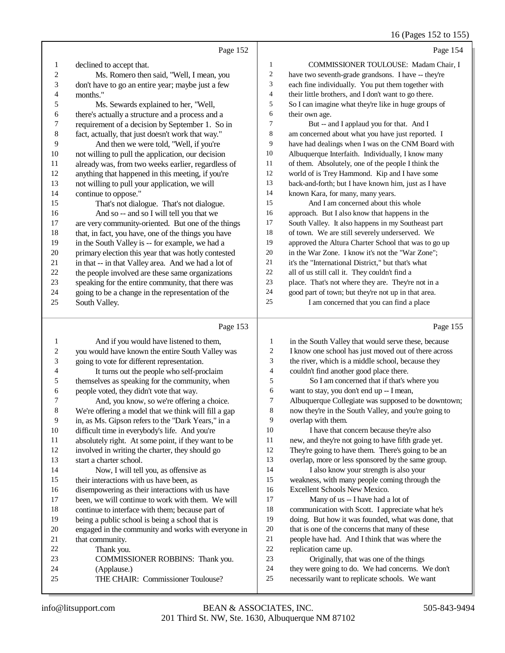16 (Pages 152 to 155)

|    | Page 152                                            |                | Page 154                                             |
|----|-----------------------------------------------------|----------------|------------------------------------------------------|
| 1  | declined to accept that.                            | 1              | COMMISSIONER TOULOUSE: Madam Chair, I                |
| 2  | Ms. Romero then said, "Well, I mean, you            | 2              | have two seventh-grade grandsons. I have -- they're  |
| 3  | don't have to go an entire year; maybe just a few   | 3              | each fine individually. You put them together with   |
| 4  | months."                                            | $\overline{4}$ | their little brothers, and I don't want to go there. |
| 5  | Ms. Sewards explained to her, "Well,                | 5              | So I can imagine what they're like in huge groups of |
| 6  | there's actually a structure and a process and a    | 6              | their own age.                                       |
| 7  | requirement of a decision by September 1. So in     | 7              | But -- and I applaud you for that. And I             |
| 8  | fact, actually, that just doesn't work that way."   | 8              | am concerned about what you have just reported. I    |
| 9  | And then we were told, "Well, if you're             | 9              | have had dealings when I was on the CNM Board with   |
| 10 | not willing to pull the application, our decision   | 10             | Albuquerque Interfaith. Individually, I know many    |
| 11 | already was, from two weeks earlier, regardless of  | 11             | of them. Absolutely, one of the people I think the   |
| 12 | anything that happened in this meeting, if you're   | 12             | world of is Trey Hammond. Kip and I have some        |
| 13 | not willing to pull your application, we will       | 13             | back-and-forth; but I have known him, just as I have |
| 14 | continue to oppose."                                | 14             | known Kara, for many, many years.                    |
| 15 | That's not dialogue. That's not dialogue.           | 15             | And I am concerned about this whole                  |
| 16 | And so -- and so I will tell you that we            | 16             | approach. But I also know that happens in the        |
| 17 | are very community-oriented. But one of the things  | 17             | South Valley. It also happens in my Southeast part   |
| 18 | that, in fact, you have, one of the things you have | 18             | of town. We are still severely underserved. We       |
| 19 | in the South Valley is -- for example, we had a     | 19             | approved the Altura Charter School that was to go up |
| 20 | primary election this year that was hotly contested | 20             | in the War Zone. I know it's not the "War Zone";     |
| 21 | in that -- in that Valley area. And we had a lot of | 21             | it's the "International District," but that's what   |
| 22 | the people involved are these same organizations    | 22             | all of us still call it. They couldn't find a        |
| 23 | speaking for the entire community, that there was   | 23             | place. That's not where they are. They're not in a   |
| 24 | going to be a change in the representation of the   | 24             | good part of town; but they're not up in that area.  |
| 25 | South Valley.                                       | 25             | I am concerned that you can find a place             |
|    |                                                     |                |                                                      |

## Page 153

|    | Page 153                                             |    | Page 155                                             |
|----|------------------------------------------------------|----|------------------------------------------------------|
| 1  | And if you would have listened to them,              | 1  | in the South Valley that would serve these, because  |
| 2  | you would have known the entire South Valley was     | 2  | I know one school has just moved out of there across |
| 3  | going to vote for different representation.          | 3  | the river, which is a middle school, because they    |
| 4  | It turns out the people who self-proclaim            | 4  | couldn't find another good place there.              |
| 5  | themselves as speaking for the community, when       | 5  | So I am concerned that if that's where you           |
| 6  | people voted, they didn't vote that way.             | 6  | want to stay, you don't end up -- I mean,            |
| 7  | And, you know, so we're offering a choice.           | 7  | Albuquerque Collegiate was supposed to be downtown;  |
| 8  | We're offering a model that we think will fill a gap | 8  | now they're in the South Valley, and you're going to |
| 9  | in, as Ms. Gipson refers to the "Dark Years," in a   | 9  | overlap with them.                                   |
| 10 | difficult time in everybody's life. And you're       | 10 | I have that concern because they're also             |
| 11 | absolutely right. At some point, if they want to be  | 11 | new, and they're not going to have fifth grade yet.  |
| 12 | involved in writing the charter, they should go      | 12 | They're going to have them. There's going to be an   |
| 13 | start a charter school.                              | 13 | overlap, more or less sponsored by the same group.   |
| 14 | Now, I will tell you, as offensive as                | 14 | I also know your strength is also your               |
| 15 | their interactions with us have been, as             | 15 | weakness, with many people coming through the        |
| 16 | disempowering as their interactions with us have     | 16 | Excellent Schools New Mexico.                        |
| 17 | been, we will continue to work with them. We will    | 17 | Many of us -- I have had a lot of                    |
| 18 | continue to interface with them; because part of     | 18 | communication with Scott. I appreciate what he's     |
| 19 | being a public school is being a school that is      | 19 | doing. But how it was founded, what was done, that   |
| 20 | engaged in the community and works with everyone in  | 20 | that is one of the concerns that many of these       |
| 21 | that community.                                      | 21 | people have had. And I think that was where the      |
| 22 | Thank you.                                           | 22 | replication came up.                                 |
| 23 | COMMISSIONER ROBBINS: Thank you.                     | 23 | Originally, that was one of the things               |
| 24 | (Applause.)                                          | 24 | they were going to do. We had concerns. We don't     |
| 25 | THE CHAIR: Commissioner Toulouse?                    | 25 | necessarily want to replicate schools. We want       |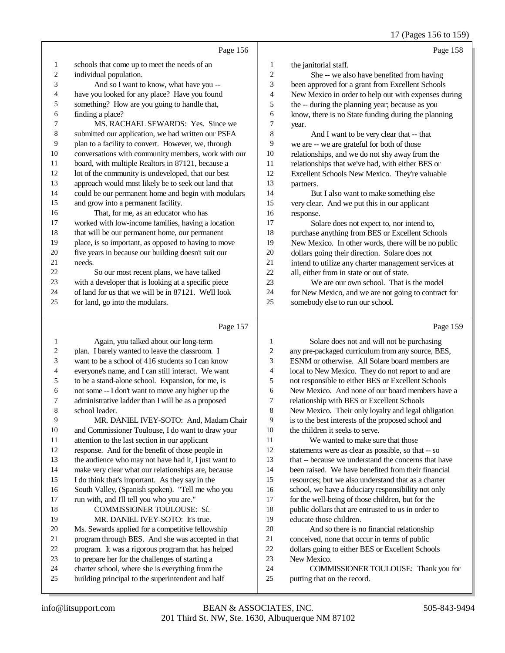17 (Pages 156 to 159)

|            | Page 156                                             |                          | Page 158                                             |
|------------|------------------------------------------------------|--------------------------|------------------------------------------------------|
| 1          | schools that come up to meet the needs of an         | 1                        | the janitorial staff.                                |
| $\sqrt{2}$ | individual population.                               | $\overline{c}$           | She -- we also have benefited from having            |
| 3          | And so I want to know, what have you --              | 3                        | been approved for a grant from Excellent Schools     |
| 4          | have you looked for any place? Have you found        | $\overline{\mathcal{L}}$ | New Mexico in order to help out with expenses during |
| 5          | something? How are you going to handle that,         | 5                        | the -- during the planning year; because as you      |
| 6          | finding a place?                                     | 6                        | know, there is no State funding during the planning  |
| 7          | MS. RACHAEL SEWARDS: Yes. Since we                   | 7                        | year.                                                |
| $\,8\,$    | submitted our application, we had written our PSFA   | 8                        | And I want to be very clear that -- that             |
| 9          | plan to a facility to convert. However, we, through  | 9                        | we are -- we are grateful for both of those          |
| $10\,$     | conversations with community members, work with our  | $10\,$                   | relationships, and we do not shy away from the       |
| 11         | board, with multiple Realtors in 87121, because a    | 11                       | relationships that we've had, with either BES or     |
| 12         | lot of the community is undeveloped, that our best   | 12                       | Excellent Schools New Mexico. They're valuable       |
| 13         | approach would most likely be to seek out land that  | 13                       | partners.                                            |
| 14         | could be our permanent home and begin with modulars  | 14                       | But I also want to make something else               |
| 15         | and grow into a permanent facility.                  | 15                       | very clear. And we put this in our applicant         |
| 16         | That, for me, as an educator who has                 | 16                       | response.                                            |
| 17         | worked with low-income families, having a location   | 17                       | Solare does not expect to, nor intend to,            |
| 18         | that will be our permanent home, our permanent       | 18                       | purchase anything from BES or Excellent Schools      |
| 19         | place, is so important, as opposed to having to move | 19                       | New Mexico. In other words, there will be no public  |
| 20         | five years in because our building doesn't suit our  | 20                       | dollars going their direction. Solare does not       |
| 21         | needs.                                               | $21\,$                   | intend to utilize any charter management services at |
| 22         | So our most recent plans, we have talked             | 22                       | all, either from in state or out of state.           |
| 23         | with a developer that is looking at a specific piece | 23                       | We are our own school. That is the model             |
| 24         | of land for us that we will be in 87121. We'll look  | 24                       | for New Mexico, and we are not going to contract for |
| 25         | for land, go into the modulars.                      | 25                       | somebody else to run our school.                     |
|            |                                                      |                          |                                                      |
|            | Page 157                                             |                          | Page 159                                             |
| 1          | Again, you talked about our long-term                | $\mathbf{1}$             | Solare does not and will not be purchasing           |
| 2          | plan. I barely wanted to leave the classroom. I      | $\overline{c}$           | any pre-packaged curriculum from any source, BES,    |
| 3          | want to be a school of 416 students so I can know    | 3                        | ESNM or otherwise. All Solare board members are      |
| 4          | everyone's name, and I can still interact. We want   | $\overline{4}$           | local to New Mexico. They do not report to and are   |
| 5          | to be a stand-alone school. Expansion, for me, is    | 5                        | not responsible to either BES or Excellent Schools   |
| 6          | not some -- I don't want to move any higher up the   | 6                        | New Mexico. And none of our board members have a     |
| 7          | administrative ladder than I will be as a proposed   | $\tau$                   | relationship with BES or Excellent Schools           |
| 8          | school leader.                                       | 8                        | New Mexico. Their only loyalty and legal obligation  |

 MR. DANIEL IVEY-SOTO: And, Madam Chair and Commissioner Toulouse, I do want to draw your attention to the last section in our applicant response. And for the benefit of those people in the audience who may not have had it, I just want to make very clear what our relationships are, because I do think that's important. As they say in the South Valley, (Spanish spoken). "Tell me who you run with, and I'll tell you who you are." COMMISSIONER TOULOUSE: Sí. MR. DANIEL IVEY-SOTO: It's true. Ms. Sewards applied for a competitive fellowship program through BES. And she was accepted in that program. It was a rigorous program that has helped

- to prepare her for the challenges of starting a
- charter school, where she is everything from the building principal to the superintendent and half
- New Mexico. COMMISSIONER TOULOUSE: Thank you for putting that on the record.

 And so there is no financial relationship conceived, none that occur in terms of public dollars going to either BES or Excellent Schools

is to the best interests of the proposed school and

 We wanted to make sure that those statements were as clear as possible, so that -- so that -- because we understand the concerns that have been raised. We have benefited from their financial resources; but we also understand that as a charter school, we have a fiduciary responsibility not only for the well-being of those children, but for the public dollars that are entrusted to us in order to

the children it seeks to serve.

educate those children.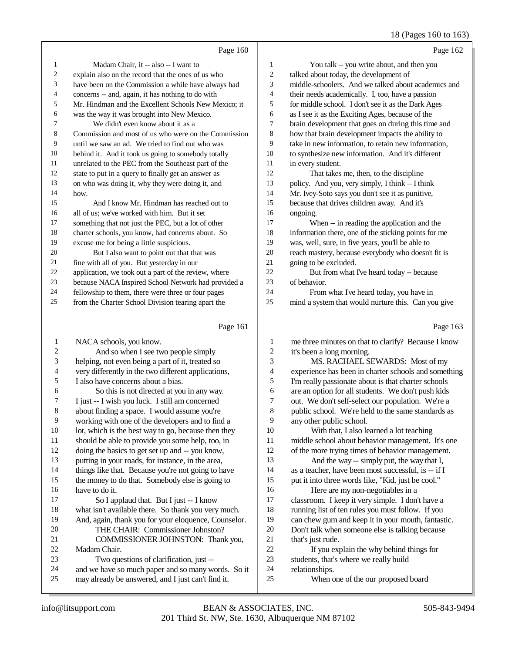#### 18 (Pages 160 to 163)

|                         | Page 160                                             |                         | Page 162                                             |
|-------------------------|------------------------------------------------------|-------------------------|------------------------------------------------------|
| 1                       | Madam Chair, it -- also -- I want to                 | $\mathbf{1}$            | You talk -- you write about, and then you            |
| 2                       | explain also on the record that the ones of us who   | $\boldsymbol{2}$        | talked about today, the development of               |
| 3                       | have been on the Commission a while have always had  | 3                       | middle-schoolers. And we talked about academics and  |
| 4                       | concerns -- and, again, it has nothing to do with    | 4                       | their needs academically. I, too, have a passion     |
| 5                       | Mr. Hindman and the Excellent Schools New Mexico; it | 5                       | for middle school. I don't see it as the Dark Ages   |
| 6                       | was the way it was brought into New Mexico.          | 6                       | as I see it as the Exciting Ages, because of the     |
| 7                       | We didn't even know about it as a                    | 7                       | brain development that goes on during this time and  |
| 8                       | Commission and most of us who were on the Commission | 8                       | how that brain development impacts the ability to    |
| 9                       | until we saw an ad. We tried to find out who was     | 9                       | take in new information, to retain new information,  |
| 10                      | behind it. And it took us going to somebody totally  | 10                      | to synthesize new information. And it's different    |
| 11                      | unrelated to the PEC from the Southeast part of the  | 11                      | in every student.                                    |
| 12                      | state to put in a query to finally get an answer as  | 12                      | That takes me, then, to the discipline               |
| 13                      | on who was doing it, why they were doing it, and     | 13                      | policy. And you, very simply, I think -- I think     |
| 14                      | how.                                                 | 14                      | Mr. Ivey-Soto says you don't see it as punitive,     |
| 15                      | And I know Mr. Hindman has reached out to            | 15                      | because that drives children away. And it's          |
| 16                      | all of us; we've worked with him. But it set         | 16                      | ongoing.                                             |
| 17                      | something that not just the PEC, but a lot of other  | 17                      | When -- in reading the application and the           |
| $18\,$                  | charter schools, you know, had concerns about. So    | 18                      | information there, one of the sticking points for me |
| 19                      | excuse me for being a little suspicious.             | 19                      | was, well, sure, in five years, you'll be able to    |
| $20\,$                  | But I also want to point out that that was           | $20\,$                  | reach mastery, because everybody who doesn't fit is  |
| 21                      | fine with all of you. But yesterday in our           | $21\,$                  | going to be excluded.                                |
| 22                      | application, we took out a part of the review, where | 22                      | But from what I've heard today -- because            |
| 23                      | because NACA Inspired School Network had provided a  | 23                      | of behavior.                                         |
| 24                      | fellowship to them, there were three or four pages   | 24                      | From what I've heard today, you have in              |
| 25                      | from the Charter School Division tearing apart the   | 25                      | mind a system that would nurture this. Can you give  |
|                         | Page 161                                             |                         | Page 163                                             |
| 1                       | NACA schools, you know.                              | $\mathbf{1}$            | me three minutes on that to clarify? Because I know  |
| $\overline{\mathbf{c}}$ | And so when I see two people simply                  | $\overline{\mathbf{c}}$ | it's been a long morning.                            |
| 3                       | helping, not even being a part of it, treated so     | 3                       | MS. RACHAEL SEWARDS: Most of my                      |
| 4                       | very differently in the two different applications,  | 4                       | experience has been in charter schools and something |
| 5                       | I also have concerns about a bias.                   | 5                       | I'm really passionate about is that charter schools  |
| 6                       | So this is not directed at you in any way.           | 6                       | are an option for all students. We don't push kids   |
| 7                       | I just -- I wish you luck. I still am concerned      | 7                       | out. We don't self-select our population. We're a    |
| $\,8\,$                 | about finding a space. I would assume you're         | $\,$ 8 $\,$             | public school. We're held to the same standards as   |
| 9                       | working with one of the developers and to find a     | 9                       | any other public school.                             |
| $10\,$                  | lot, which is the best way to go, because then they  | $10\,$                  | With that, I also learned a lot teaching             |
| 11                      | should be able to provide you some help, too, in     | 11                      | middle school about behavior management. It's one    |
| 12                      | doing the basics to get set up and -- you know,      | 12                      | of the more trying times of behavior management.     |
| 13                      | putting in your roads, for instance, in the area,    | 13                      | And the way -- simply put, the way that I,           |
| 14                      | things like that. Because you're not going to have   | 14                      | as a teacher, have been most successful, is -- if I  |
| 15                      | the money to do that. Somebody else is going to      | 15                      | put it into three words like, "Kid, just be cool."   |

16 have to do it.<br>17 So I ap So I applaud that. But I just  $-$  I know 18 what isn't available there. So thank you very much.<br>19 And. again. thank you for your eloquence. Counselo And, again, thank you for your eloquence, Counselor. 20 THE CHAIR: Commissioner Johnston?<br>21 COMMISSIONER JOHNSTON: Than 21 COMMISSIONER JOHNSTON: Thank you,<br>22 Madam Chair.

- 22 Madam Chair.<br>23 Two que 23 Two questions of clarification, just --<br>24 and we have so much paper and so many we
- 24 and we have so much paper and so many words. So it<br>25 may already be answered, and I just can't find it.
- may already be answered, and I just can't find it.
- 24 relationships.<br>25 When o When one of the our proposed board

20 Don't talk when someone else is talking because<br>21 that's just rude.

22 If you explain the why behind things for<br>23 students, that's where we really build

23 students, that's where we really build<br>24 relationships.

can chew gum and keep it in your mouth, fantastic.

16 Here are my non-negotiables in a<br>17 classroom. I keep it very simple. I don 17 classroom. I keep it very simple. I don't have a<br>18 running list of ten rules you must follow. If you 18 running list of ten rules you must follow. If you<br>19 can chew gum and keep it in your mouth. fantas

21 that's just rude.<br>22 If you exi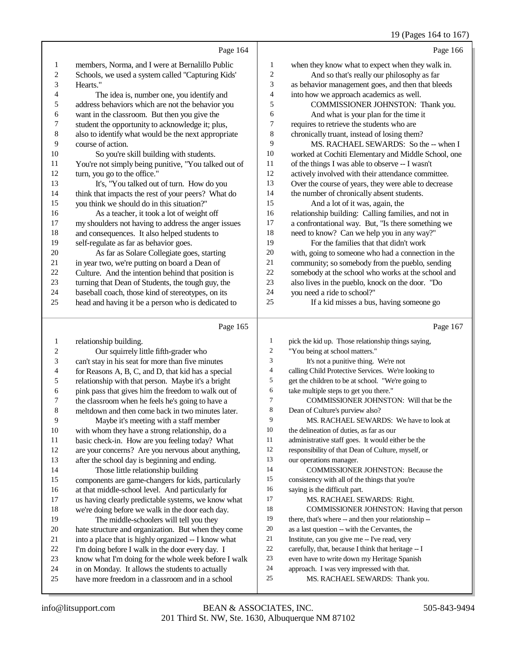## 19 (Pages 164 to 167)

|    | Page 164                                             |    | Page 166                                             |
|----|------------------------------------------------------|----|------------------------------------------------------|
| 1  | members, Norma, and I were at Bernalillo Public      | 1  | when they know what to expect when they walk in.     |
| 2  | Schools, we used a system called "Capturing Kids"    | 2  | And so that's really our philosophy as far           |
| 3  | Hearts."                                             | 3  | as behavior management goes, and then that bleeds    |
| 4  | The idea is, number one, you identify and            | 4  | into how we approach academics as well.              |
| 5  | address behaviors which are not the behavior you     | 5  | COMMISSIONER JOHNSTON: Thank you.                    |
| 6  | want in the classroom. But then you give the         | 6  | And what is your plan for the time it                |
| 7  | student the opportunity to acknowledge it; plus,     | 7  | requires to retrieve the students who are            |
| 8  | also to identify what would be the next appropriate  | 8  | chronically truant, instead of losing them?          |
| 9  | course of action.                                    | 9  | MS. RACHAEL SEWARDS: So the -- when I                |
| 10 | So you're skill building with students.              | 10 | worked at Cochiti Elementary and Middle School, one  |
| 11 | You're not simply being punitive, "You talked out of | 11 | of the things I was able to observe -- I wasn't      |
| 12 | turn, you go to the office."                         | 12 | actively involved with their attendance committee.   |
| 13 | It's, "You talked out of turn. How do you            | 13 | Over the course of years, they were able to decrease |
| 14 | think that impacts the rest of your peers? What do   | 14 | the number of chronically absent students.           |
| 15 | you think we should do in this situation?"           | 15 | And a lot of it was, again, the                      |
| 16 | As a teacher, it took a lot of weight off            | 16 | relationship building: Calling families, and not in  |
| 17 | my shoulders not having to address the anger issues  | 17 | a confrontational way. But, "Is there something we   |
| 18 | and consequences. It also helped students to         | 18 | need to know? Can we help you in any way?"           |
| 19 | self-regulate as far as behavior goes.               | 19 | For the families that that didn't work               |
| 20 | As far as Solare Collegiate goes, starting           | 20 | with, going to someone who had a connection in the   |
| 21 | in year two, we're putting on board a Dean of        | 21 | community; so somebody from the pueblo, sending      |
| 22 | Culture. And the intention behind that position is   | 22 | somebody at the school who works at the school and   |
| 23 | turning that Dean of Students, the tough guy, the    | 23 | also lives in the pueblo, knock on the door. "Do     |
| 24 | baseball coach, those kind of stereotypes, on its    | 24 | you need a ride to school?"                          |
| 25 | head and having it be a person who is dedicated to   | 25 | If a kid misses a bus, having someone go             |

## Page 165

| 1       | relationship building.                               | 1              | pick the kid up. Those relationship things saying,   |
|---------|------------------------------------------------------|----------------|------------------------------------------------------|
| 2       | Our squirrely little fifth-grader who                | $\overline{2}$ | "You being at school matters."                       |
| 3       | can't stay in his seat for more than five minutes    | 3              | It's not a punitive thing. We're not                 |
| 4       | for Reasons A, B, C, and D, that kid has a special   | 4              | calling Child Protective Services. We're looking to  |
| 5       | relationship with that person. Maybe it's a bright   | 5              | get the children to be at school. "We're going to    |
| 6       | pink pass that gives him the freedom to walk out of  | 6              | take multiple steps to get you there."               |
| 7       | the classroom when he feels he's going to have a     | $\tau$         | COMMISSIONER JOHNSTON: Will that be the              |
| $\,8\,$ | meltdown and then come back in two minutes later.    | 8              | Dean of Culture's purview also?                      |
| 9       | Maybe it's meeting with a staff member               | 9              | MS. RACHAEL SEWARDS: We have to look at              |
| 10      | with whom they have a strong relationship, do a      | 10             | the delineation of duties, as far as our             |
| 11      | basic check-in. How are you feeling today? What      | 11             | administrative staff goes. It would either be the    |
| 12      | are your concerns? Are you nervous about anything,   | 12             | responsibility of that Dean of Culture, myself, or   |
| 13      | after the school day is beginning and ending.        | 13             | our operations manager.                              |
| 14      | Those little relationship building                   | 14             | COMMISSIONER JOHNSTON: Because the                   |
| 15      | components are game-changers for kids, particularly  | 15             | consistency with all of the things that you're       |
| 16      | at that middle-school level. And particularly for    | 16             | saying is the difficult part.                        |
| 17      | us having clearly predictable systems, we know what  | 17             | MS. RACHAEL SEWARDS: Right.                          |
| 18      | we're doing before we walk in the door each day.     | 18             | COMMISSIONER JOHNSTON: Having that person            |
| 19      | The middle-schoolers will tell you they              | 19             | there, that's where -- and then your relationship -- |
| 20      | hate structure and organization. But when they come  | 20             | as a last question -- with the Cervantes, the        |
| 21      | into a place that is highly organized -- I know what | 21             | Institute, can you give me -- I've read, very        |
| 22      | I'm doing before I walk in the door every day. I     | 22             | carefully, that, because I think that heritage -- I  |
| 23      | know what I'm doing for the whole week before I walk | 23             | even have to write down my Heritage Spanish          |
| 24      | in on Monday. It allows the students to actually     | 24             | approach. I was very impressed with that.            |
| 25      | have more freedom in a classroom and in a school     | 25             | MS. RACHAEL SEWARDS: Thank you.                      |
|         |                                                      |                |                                                      |

Page 167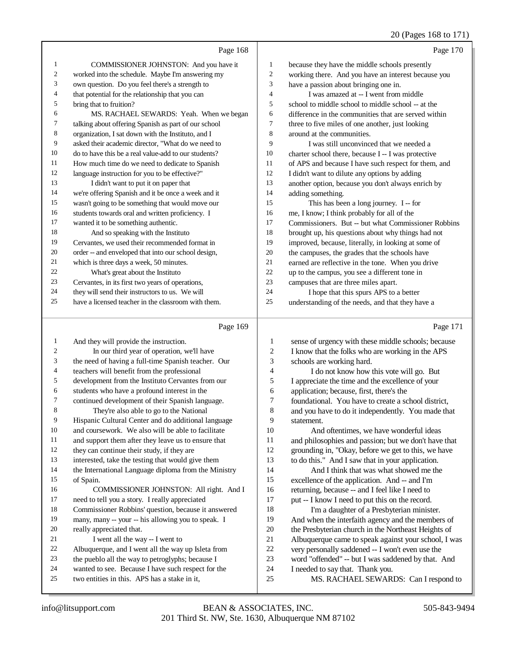## 20 (Pages 168 to 171)

|    | Page 168                                             |                | Page 170                                             |
|----|------------------------------------------------------|----------------|------------------------------------------------------|
| 1  | COMMISSIONER JOHNSTON: And you have it               | 1              | because they have the middle schools presently       |
| 2  | worked into the schedule. Maybe I'm answering my     | 2              | working there. And you have an interest because you  |
| 3  | own question. Do you feel there's a strength to      | 3              | have a passion about bringing one in.                |
| 4  | that potential for the relationship that you can     | $\overline{4}$ | I was amazed at -- I went from middle                |
| 5  | bring that to fruition?                              | 5              | school to middle school to middle school -- at the   |
| 6  | MS. RACHAEL SEWARDS: Yeah. When we began             | 6              | difference in the communities that are served within |
| 7  | talking about offering Spanish as part of our school | 7              | three to five miles of one another, just looking     |
| 8  | organization, I sat down with the Instituto, and I   | 8              | around at the communities.                           |
| 9  | asked their academic director, "What do we need to   | 9              | I was still unconvinced that we needed a             |
| 10 | do to have this be a real value-add to our students? | 10             | charter school there, because I -- I was protective  |
| 11 | How much time do we need to dedicate to Spanish      | 11             | of APS and because I have such respect for them, and |
| 12 | language instruction for you to be effective?"       | 12             | I didn't want to dilute any options by adding        |
| 13 | I didn't want to put it on paper that                | 13             | another option, because you don't always enrich by   |
| 14 | we're offering Spanish and it be once a week and it  | 14             | adding something.                                    |
| 15 | wasn't going to be something that would move our     | 15             | This has been a long journey. I -- for               |
| 16 | students towards oral and written proficiency. I     | 16             | me, I know; I think probably for all of the          |
| 17 | wanted it to be something authentic.                 | 17             | Commissioners. But -- but what Commissioner Robbins  |
| 18 | And so speaking with the Instituto                   | 18             | brought up, his questions about why things had not   |
| 19 | Cervantes, we used their recommended format in       | 19             | improved, because, literally, in looking at some of  |
| 20 | order -- and enveloped that into our school design,  | 20             | the campuses, the grades that the schools have       |
| 21 | which is three days a week, 50 minutes.              | 21             | earned are reflective in the tone. When you drive    |
| 22 | What's great about the Instituto                     | 22             | up to the campus, you see a different tone in        |
| 23 | Cervantes, in its first two years of operations,     | 23             | campuses that are three miles apart.                 |
| 24 | they will send their instructors to us. We will      | 24             | I hope that this spurs APS to a better               |
| 25 | have a licensed teacher in the classroom with them.  | 25             | understanding of the needs, and that they have a     |
|    |                                                      |                |                                                      |

#### Page 169

|    | Page 169                                             |                | Page 171                                             |
|----|------------------------------------------------------|----------------|------------------------------------------------------|
| 1  | And they will provide the instruction.               | 1              | sense of urgency with these middle schools; because  |
| 2  | In our third year of operation, we'll have           | $\overline{c}$ | I know that the folks who are working in the APS     |
| 3  | the need of having a full-time Spanish teacher. Our  | 3              | schools are working hard.                            |
| 4  | teachers will benefit from the professional          | 4              | I do not know how this vote will go. But             |
| 5  | development from the Instituto Cervantes from our    | 5              | I appreciate the time and the excellence of your     |
| 6  | students who have a profound interest in the         | 6              | application; because, first, there's the             |
| 7  | continued development of their Spanish language.     | 7              | foundational. You have to create a school district,  |
| 8  | They're also able to go to the National              | 8              | and you have to do it independently. You made that   |
| 9  | Hispanic Cultural Center and do additional language  | 9              | statement.                                           |
| 10 | and coursework. We also will be able to facilitate   | 10             | And oftentimes, we have wonderful ideas              |
| 11 | and support them after they leave us to ensure that  | 11             | and philosophies and passion; but we don't have that |
| 12 | they can continue their study, if they are           | 12             | grounding in, "Okay, before we get to this, we have  |
| 13 | interested, take the testing that would give them    | 13             | to do this." And I saw that in your application.     |
| 14 | the International Language diploma from the Ministry | 14             | And I think that was what showed me the              |
| 15 | of Spain.                                            | 15             | excellence of the application. And -- and I'm        |
| 16 | COMMISSIONER JOHNSTON: All right. And I              | 16             | returning, because -- and I feel like I need to      |
| 17 | need to tell you a story. I really appreciated       | 17             | put -- I know I need to put this on the record.      |
| 18 | Commissioner Robbins' question, because it answered  | 18             | I'm a daughter of a Presbyterian minister.           |
| 19 | many, many -- your -- his allowing you to speak. I   | 19             | And when the interfaith agency and the members of    |
| 20 | really appreciated that.                             | 20             | the Presbyterian church in the Northeast Heights of  |
| 21 | I went all the way -- I went to                      | 21             | Albuquerque came to speak against your school, I was |
| 22 | Albuquerque, and I went all the way up Isleta from   | 22             | very personally saddened -- I won't even use the     |
| 23 | the pueblo all the way to petroglyphs; because I     | 23             | word "offended" -- but I was saddened by that. And   |
| 24 | wanted to see. Because I have such respect for the   | 24             | I needed to say that. Thank you.                     |
| 25 | two entities in this. APS has a stake in it,         | 25             | MS. RACHAEL SEWARDS: Can I respond to                |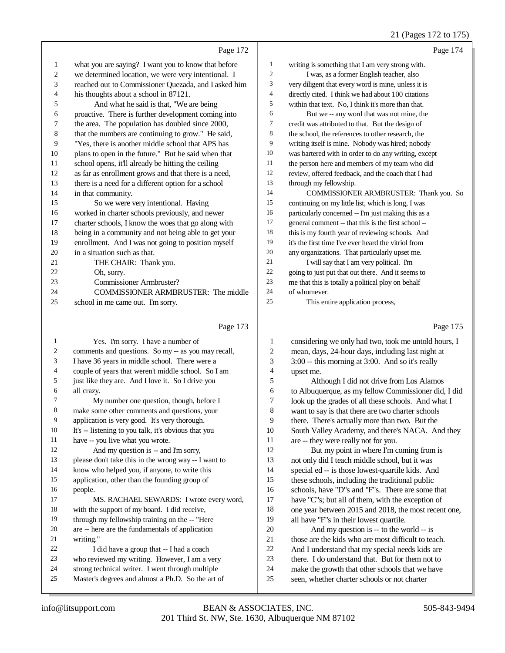## 21 (Pages 172 to 175)

|          | Page 172                                             |                         | Page 174                                                                            |
|----------|------------------------------------------------------|-------------------------|-------------------------------------------------------------------------------------|
| 1        | what you are saying? I want you to know that before  | $\mathbf{1}$            | writing is something that I am very strong with.                                    |
| 2        | we determined location, we were very intentional. I  | $\boldsymbol{2}$        | I was, as a former English teacher, also                                            |
| 3        | reached out to Commissioner Quezada, and I asked him | 3                       | very diligent that every word is mine, unless it is                                 |
| 4        | his thoughts about a school in 87121.                | $\overline{4}$          | directly cited. I think we had about 100 citations                                  |
| 5        | And what he said is that, "We are being              | 5                       | within that text. No, I think it's more than that.                                  |
| 6        | proactive. There is further development coming into  | 6                       | But we -- any word that was not mine, the                                           |
| 7        | the area. The population has doubled since 2000,     | 7                       | credit was attributed to that. But the design of                                    |
| 8        | that the numbers are continuing to grow." He said,   | 8                       | the school, the references to other research, the                                   |
| 9        | "Yes, there is another middle school that APS has    | 9                       | writing itself is mine. Nobody was hired; nobody                                    |
| 10       | plans to open in the future." But he said when that  | 10                      | was bartered with in order to do any writing, except                                |
| 11       | school opens, it'll already be hitting the ceiling   | 11                      | the person here and members of my team who did                                      |
| 12       | as far as enrollment grows and that there is a need, | 12                      | review, offered feedback, and the coach that I had                                  |
| 13       | there is a need for a different option for a school  | 13                      | through my fellowship.                                                              |
| 14       | in that community.                                   | 14                      | COMMISSIONER ARMBRUSTER: Thank you. So                                              |
| 15       | So we were very intentional. Having                  | 15                      | continuing on my little list, which is long, I was                                  |
| 16       | worked in charter schools previously, and newer      | 16                      | particularly concerned -- I'm just making this as a                                 |
| 17       | charter schools, I know the woes that go along with  | 17                      | general comment -- that this is the first school --                                 |
| 18       | being in a community and not being able to get your  | 18                      | this is my fourth year of reviewing schools. And                                    |
| 19       | enrollment. And I was not going to position myself   | 19                      | it's the first time I've ever heard the vitriol from                                |
| 20       | in a situation such as that.                         | 20                      | any organizations. That particularly upset me.                                      |
| 21       | THE CHAIR: Thank you.                                | 21                      | I will say that I am very political. I'm                                            |
| 22       | Oh, sorry.                                           | 22                      | going to just put that out there. And it seems to                                   |
| 23       | Commissioner Armbruster?                             | 23                      | me that this is totally a political ploy on behalf                                  |
| 24       | COMMISSIONER ARMBRUSTER: The middle                  | 24                      | of whomever.                                                                        |
| 25       | school in me came out. I'm sorry.                    | 25                      | This entire application process,                                                    |
|          |                                                      |                         |                                                                                     |
|          |                                                      |                         |                                                                                     |
|          | Page 173                                             |                         | Page 175                                                                            |
| 1        | Yes. I'm sorry. I have a number of                   | 1                       | considering we only had two, took me untold hours, I                                |
| 2        | comments and questions. So my -- as you may recall,  | $\overline{\mathbf{c}}$ | mean, days, 24-hour days, including last night at                                   |
| 3        | I have 36 years in middle school. There were a       | 3                       | 3:00 -- this morning at 3:00. And so it's really                                    |
| 4        | couple of years that weren't middle school. So I am  | 4                       | upset me.                                                                           |
| 5        | just like they are. And I love it. So I drive you    | 5                       | Although I did not drive from Los Alamos                                            |
| 6        | all crazy.                                           | 6                       | to Albuquerque, as my fellow Commissioner did, I did                                |
| 7        | My number one question, though, before I             | 7                       | look up the grades of all these schools. And what I                                 |
| 8        | make some other comments and questions, your         | 8                       | want to say is that there are two charter schools                                   |
| 9        | application is very good. It's very thorough.        | 9                       | there. There's actually more than two. But the                                      |
| 10       | It's -- listening to you talk, it's obvious that you | 10                      | South Valley Academy, and there's NACA. And they                                    |
| 11       | have -- you live what you wrote.                     | 11                      | are -- they were really not for you.                                                |
| 12       | And my question is -- and I'm sorry,                 | 12                      | But my point in where I'm coming from is                                            |
| 13<br>14 | please don't take this in the wrong way -- I want to | 13                      | not only did I teach middle school, but it was                                      |
| 15       | know who helped you, if anyone, to write this        | 14                      | special ed -- is those lowest-quartile kids. And                                    |
| 16       | application, other than the founding group of        | 15<br>16                | these schools, including the traditional public                                     |
| 17       | people.<br>MS. RACHAEL SEWARDS: I wrote every word,  | 17                      | schools, have "D"s and "F"s. There are some that                                    |
| 18       | with the support of my board. I did receive,         | 18                      | have "C"s; but all of them, with the exception of                                   |
| 19       | through my fellowship training on the -- "Here       | 19                      | one year between 2015 and 2018, the most recent one,                                |
| 20       | are -- here are the fundamentals of application      | $20\,$                  | all have "F"s in their lowest quartile.<br>And my question is -- to the world -- is |
| 21       | writing."                                            | 21                      | those are the kids who are most difficult to teach.                                 |
| 22       | I did have a group that -- I had a coach             | $22\,$                  | And I understand that my special needs kids are                                     |
| 23       | who reviewed my writing. However, I am a very        | $23\,$                  | there. I do understand that. But for them not to                                    |
| 24       | strong technical writer. I went through multiple     | $24\,$                  | make the growth that other schools that we have                                     |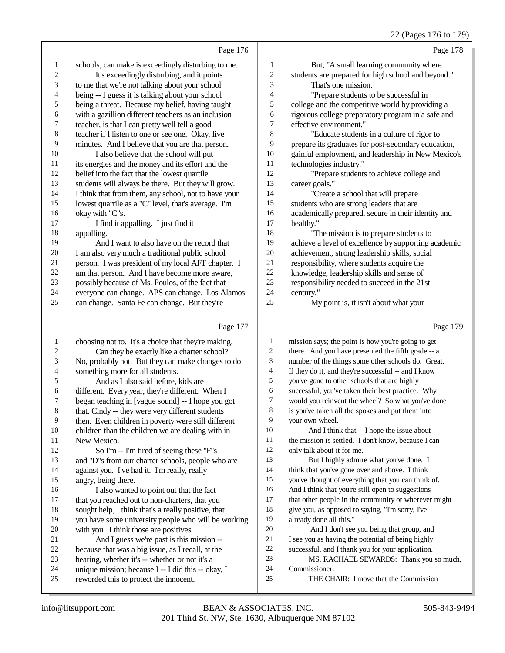|                  |                                                      |                          | $22 \text{ (1456)}$ 170 to 177                       |
|------------------|------------------------------------------------------|--------------------------|------------------------------------------------------|
|                  | Page 176                                             |                          | Page 178                                             |
| 1                | schools, can make is exceedingly disturbing to me.   | 1                        | But, "A small learning community where               |
| $\boldsymbol{2}$ | It's exceedingly disturbing, and it points           | $\sqrt{2}$               | students are prepared for high school and beyond."   |
| 3                | to me that we're not talking about your school       | 3                        | That's one mission.                                  |
| 4                | being -- I guess it is talking about your school     | $\overline{\mathcal{A}}$ | "Prepare students to be successful in                |
| 5                | being a threat. Because my belief, having taught     | 5                        | college and the competitive world by providing a     |
| 6                | with a gazillion different teachers as an inclusion  | 6                        | rigorous college preparatory program in a safe and   |
| $\boldsymbol{7}$ | teacher, is that I can pretty well tell a good       | $\tau$                   | effective environment."                              |
| $\,8\,$          | teacher if I listen to one or see one. Okay, five    | $\,8\,$                  | "Educate students in a culture of rigor to           |
| 9                | minutes. And I believe that you are that person.     | 9                        | prepare its graduates for post-secondary education,  |
| $10\,$           | I also believe that the school will put              | $10\,$                   | gainful employment, and leadership in New Mexico's   |
| 11               | its energies and the money and its effort and the    | 11                       | technologies industry."                              |
| 12               | belief into the fact that the lowest quartile        | 12                       | "Prepare students to achieve college and             |
| 13               | students will always be there. But they will grow.   | 13                       | career goals."                                       |
| 14               | I think that from them, any school, not to have your | 14                       | "Create a school that will prepare                   |
| 15               | lowest quartile as a "C" level, that's average. I'm  | 15                       | students who are strong leaders that are             |
| 16               | okay with "C"s.                                      | 16                       | academically prepared, secure in their identity and  |
| 17               | I find it appalling. I just find it                  | 17                       | healthy."                                            |
| 18               | appalling.                                           | 18                       | "The mission is to prepare students to               |
| 19               | And I want to also have on the record that           | 19                       | achieve a level of excellence by supporting academic |
| $20\,$           | I am also very much a traditional public school      | 20                       | achievement, strong leadership skills, social        |
| 21               | person. I was president of my local AFT chapter. I   | 21                       | responsibility, where students acquire the           |
| 22               | am that person. And I have become more aware,        | 22                       | knowledge, leadership skills and sense of            |
| 23               | possibly because of Ms. Poulos, of the fact that     | 23                       | responsibility needed to succeed in the 21st         |
| 24               | everyone can change. APS can change. Los Alamos      | 24                       | century."                                            |
| 25               | can change. Santa Fe can change. But they're         | 25                       | My point is, it isn't about what your                |
|                  | Page 177                                             |                          | Page 179                                             |
| 1                | choosing not to. It's a choice that they're making.  | 1                        | mission says; the point is how you're going to get   |
| 2                | Can they be exactly like a charter school?           | 2                        | there. And you have presented the fifth grade -- a   |
| 3                | No, probably not. But they can make changes to do    | 3                        | number of the things some other schools do. Great.   |
| 4                | something more for all students.                     | $\overline{4}$           | If they do it, and they're successful -- and I know  |
| 5                | And as I also said before, kids are                  | 5                        | you've gone to other schools that are highly         |
|                  |                                                      |                          |                                                      |

- different. Every year, they're different. When I
- 7 began teaching in [vague sound] -- I hope you got<br>8 that Cindy -- they were very different students
- that, Cindy -- they were very different students
- then. Even children in poverty were still different
- 10 children than the children we are dealing with in<br>11 New Mexico.
- New Mexico. So I'm -- I'm tired of seeing these "F"s and "D"s from our charter schools, people who are
- against you. I've had it. I'm really, really
- angry, being there. 16 I also wanted to point out that the fact<br>17 that you reached out to non-charters, that you
- that you reached out to non-charters, that you
- 18 sought help, I think that's a really positive, that<br>19 vou have some university people who will be w you have some university people who will be working
- 20 with you. I think those are positives.<br>21 And I guess we're past is this n 21 And I guess we're past is this mission --<br>22 because that was a big issue, as I recall, at the 22 because that was a big issue, as I recall, at the hearing, whether it's  $-$  whether or not it's a
- 23 hearing, whether it's -- whether or not it's a<br>24 unique mission: because I -- I did this -- ok
- 24 unique mission; because I -- I did this -- okay, I<br>25 reworded this to protect the innocent. reworded this to protect the innocent.
- successful, you've taken their best practice. Why would you reinvent the wheel? So what you've done is you've taken all the spokes and put them into your own wheel. And I think that -- I hope the issue about
- 11 the mission is settled. I don't know, because I can<br>12 only talk about it for me only talk about it for me.
- 13 But I highly admire what you've done. I think that you've gone over and above. I think
- you've thought of everything that you can think of.
- And I think that you're still open to suggestions 17 that other people in the community or wherever might<br>18 eive vou, as opposed to saving, "I'm sorry, I've
- give you, as opposed to saying, "I'm sorry, I've already done all this."
- And I don't see you being that group, and 21 I see you as having the potential of being highly<br>22 successful, and I thank you for your application. 22 successful, and I thank you for your application.<br>
23 MS RACHAFI SEWARDS: Thank you
	- MS. RACHAEL SEWARDS: Thank you so much,
- Commissioner.
- THE CHAIR: I move that the Commission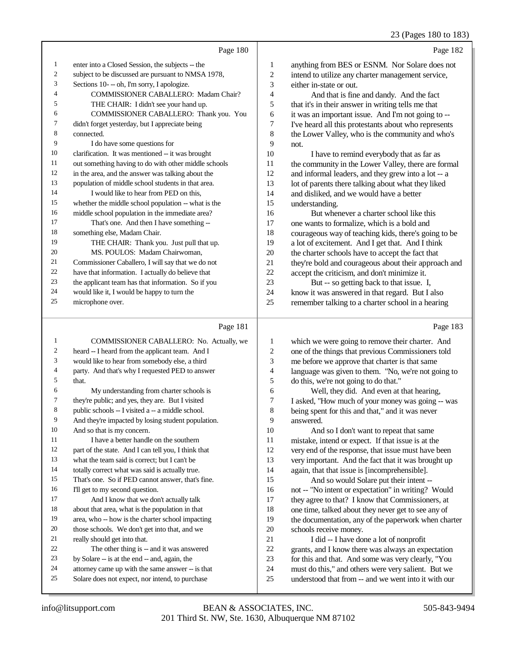23 (Pages 180 to 183)

|    | Page 180                                             |                | Page 182                                             |
|----|------------------------------------------------------|----------------|------------------------------------------------------|
| 1  | enter into a Closed Session, the subjects -- the     | 1              | anything from BES or ESNM. Nor Solare does not       |
| 2  | subject to be discussed are pursuant to NMSA 1978,   | $\overline{c}$ | intend to utilize any charter management service,    |
| 3  | Sections 10--oh, I'm sorry, I apologize.             | 3              | either in-state or out.                              |
| 4  | <b>COMMISSIONER CABALLERO: Madam Chair?</b>          | 4              | And that is fine and dandy. And the fact             |
| 5  | THE CHAIR: I didn't see your hand up.                | 5              | that it's in their answer in writing tells me that   |
| 6  | COMMISSIONER CABALLERO: Thank you. You               | 6              | it was an important issue. And I'm not going to --   |
| 7  | didn't forget yesterday, but I appreciate being      | 7              | I've heard all this protestants about who represents |
| 8  | connected.                                           | 8              | the Lower Valley, who is the community and who's     |
| 9  | I do have some questions for                         | 9              | not.                                                 |
| 10 | clarification. It was mentioned -- it was brought    | 10             | I have to remind everybody that as far as            |
| 11 | out something having to do with other middle schools | 11             | the community in the Lower Valley, there are formal  |
| 12 | in the area, and the answer was talking about the    | 12             | and informal leaders, and they grew into a lot -- a  |
| 13 | population of middle school students in that area.   | 13             | lot of parents there talking about what they liked   |
| 14 | I would like to hear from PED on this.               | 14             | and disliked, and we would have a better             |
| 15 | whether the middle school population -- what is the  | 15             | understanding.                                       |
| 16 | middle school population in the immediate area?      | 16             | But whenever a charter school like this              |
| 17 | That's one. And then I have something --             | 17             | one wants to formalize, which is a bold and          |
| 18 | something else, Madam Chair.                         | 18             | courageous way of teaching kids, there's going to be |
| 19 | THE CHAIR: Thank you. Just pull that up.             | 19             | a lot of excitement. And I get that. And I think     |
| 20 | MS. POULOS: Madam Chairwoman,                        | 20             | the charter schools have to accept the fact that     |
| 21 | Commissioner Caballero, I will say that we do not    | 21             | they're bold and courageous about their approach and |
| 22 | have that information. I actually do believe that    | 22             | accept the criticism, and don't minimize it.         |
| 23 | the applicant team has that information. So if you   | 23             | But -- so getting back to that issue. I,             |
| 24 | would like it, I would be happy to turn the          | 24             | know it was answered in that regard. But I also      |
| 25 | microphone over.                                     | 25             | remember talking to a charter school in a hearing    |
|    |                                                      |                |                                                      |
|    |                                                      |                |                                                      |

## Page 181

| 1              | COMMISSIONER CABALLERO: No. Actually, we            | 1  | which w                |
|----------------|-----------------------------------------------------|----|------------------------|
| $\mathfrak{2}$ | heard -- I heard from the applicant team. And I     | 2  | one of the             |
| 3              | would like to hear from somebody else, a third      | 3  | me befor               |
| $\overline{4}$ | party. And that's why I requested PED to answer     | 4  | language               |
| 5              | that.                                               | 5  | do this,               |
| 6              | My understanding from charter schools is            | 6  | W                      |
| $\tau$         | they're public; and yes, they are. But I visited    | 7  | I asked,               |
| 8              | public schools -- I visited a -- a middle school.   | 8  | being sp               |
| 9              | And they're impacted by losing student population.  | 9  | answere                |
| 10             | And so that is my concern.                          | 10 | A                      |
| 11             | I have a better handle on the southern              | 11 | mistake,               |
| 12             | part of the state. And I can tell you, I think that | 12 | very end               |
| 13             | what the team said is correct; but I can't be       | 13 | very imp               |
| 14             | totally correct what was said is actually true.     | 14 | again, th              |
| 15             | That's one. So if PED cannot answer, that's fine.   | 15 | A                      |
| 16             | I'll get to my second question.                     | 16 | not $-$ " $\mathbb{N}$ |
| 17             | And I know that we don't actually talk              | 17 | they agre              |
| 18             | about that area, what is the population in that     | 18 | one time               |
| 19             | area, who -- how is the charter school impacting    | 19 | the docu               |
| 20             | those schools. We don't get into that, and we       | 20 | schools:               |
| 21             | really should get into that.                        | 21 | I o                    |
| 22             | The other thing is -- and it was answered           | 22 | grants, a              |
| 23             | by Solare -- is at the end -- and, again, the       | 23 | for this a             |
| 24             | attorney came up with the same answer -- is that    | 24 | must do                |
| 25             | Solare does not expect, nor intend, to purchase     | 25 | understo               |
|                |                                                     |    |                        |

## Page 183

| 1              | which we were going to remove their charter. And     |
|----------------|------------------------------------------------------|
| $\overline{2}$ | one of the things that previous Commissioners told   |
| 3              | me before we approve that charter is that same       |
| $\overline{4}$ | language was given to them. "No, we're not going to  |
| 5              | do this, we're not going to do that."                |
| 6              | Well, they did. And even at that hearing,            |
| 7              | I asked, "How much of your money was going -- was    |
| 8              | being spent for this and that," and it was never     |
| 9              | answered.                                            |
| 10             | And so I don't want to repeat that same              |
| 11             | mistake, intend or expect. If that issue is at the   |
| 12             | very end of the response, that issue must have been  |
| 13             | very important. And the fact that it was brought up  |
| 14             | again, that that issue is [incomprehensible].        |
| 15             | And so would Solare put their intent --              |
| 16             | not -- "No intent or expectation" in writing? Would  |
| 17             | they agree to that? I know that Commissioners, at    |
| 18             | one time, talked about they never get to see any of  |
| 19             | the documentation, any of the paperwork when charter |
| 20             | schools receive money.                               |
| 21             | I did -- I have done a lot of nonprofit              |
| 22             | grants, and I know there was always an expectation   |
| 23             | for this and that. And some was very clearly, "You   |
| 24             | must do this," and others were very salient. But we  |
| 25             | understood that from -- and we went into it with our |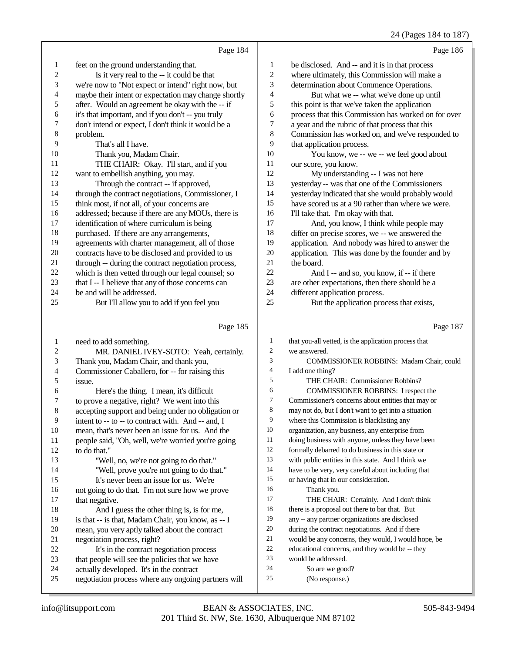## 24 (Pages 184 to 187)

| o |  |
|---|--|

|                          | Page 184                                                                                        |                          | Page 186                                             |
|--------------------------|-------------------------------------------------------------------------------------------------|--------------------------|------------------------------------------------------|
| $\mathbf{1}$             | feet on the ground understanding that.                                                          | $\mathbf{1}$             | be disclosed. And -- and it is in that process       |
| $\overline{\mathbf{c}}$  | Is it very real to the -- it could be that                                                      | $\sqrt{2}$               | where ultimately, this Commission will make a        |
| 3                        | we're now to "Not expect or intend" right now, but                                              | 3                        | determination about Commence Operations.             |
| $\overline{\mathcal{L}}$ | maybe their intent or expectation may change shortly                                            | 4                        | But what we -- what we've done up until              |
| 5                        | after. Would an agreement be okay with the -- if                                                | 5                        | this point is that we've taken the application       |
| 6                        | it's that important, and if you don't -- you truly                                              | 6                        | process that this Commission has worked on for over  |
| 7                        | don't intend or expect, I don't think it would be a                                             | 7                        | a year and the rubric of that process that this      |
| $\,$ 8 $\,$              | problem.                                                                                        | 8                        | Commission has worked on, and we've responded to     |
| 9                        | That's all I have.                                                                              | 9                        | that application process.                            |
| 10                       | Thank you, Madam Chair.                                                                         | $10\,$                   | You know, we -- we -- we feel good about             |
| 11                       | THE CHAIR: Okay. I'll start, and if you                                                         | 11                       | our score, you know.                                 |
| 12                       | want to embellish anything, you may.                                                            | 12                       | My understanding -- I was not here                   |
| 13                       | Through the contract -- if approved,                                                            | 13                       | yesterday -- was that one of the Commissioners       |
| 14                       | through the contract negotiations, Commissioner, I                                              | 14                       | yesterday indicated that she would probably would    |
| 15                       | think most, if not all, of your concerns are                                                    | 15                       | have scored us at a 90 rather than where we were.    |
| 16                       | addressed; because if there are any MOUs, there is                                              | 16                       | I'll take that. I'm okay with that.                  |
| 17                       | identification of where curriculum is being                                                     | 17                       | And, you know, I think while people may              |
| 18                       | purchased. If there are any arrangements,                                                       | 18                       | differ on precise scores, we -- we answered the      |
| 19                       | agreements with charter management, all of those                                                | 19                       | application. And nobody was hired to answer the      |
| $20\,$                   | contracts have to be disclosed and provided to us                                               | $20\,$                   | application. This was done by the founder and by     |
| 21                       | through -- during the contract negotiation process,                                             | 21                       | the board.                                           |
| $22\,$                   | which is then vetted through our legal counsel; so                                              | $22\,$                   | And I -- and so, you know, if -- if there            |
| 23                       | that I -- I believe that any of those concerns can                                              | 23                       | are other expectations, then there should be a       |
| 24                       | be and will be addressed.                                                                       | 24                       | different application process.                       |
| 25                       | But I'll allow you to add if you feel you                                                       | 25                       | But the application process that exists,             |
|                          |                                                                                                 |                          |                                                      |
|                          |                                                                                                 |                          |                                                      |
|                          | Page 185                                                                                        |                          | Page 187                                             |
| $\mathbf{1}$             | need to add something.                                                                          | $\mathbf{1}$             | that you-all vetted, is the application process that |
| $\boldsymbol{2}$         | MR. DANIEL IVEY-SOTO: Yeah, certainly.                                                          | $\overline{\mathbf{c}}$  | we answered.                                         |
| 3                        | Thank you, Madam Chair, and thank you,                                                          | 3                        | COMMISSIONER ROBBINS: Madam Chair, could             |
| 4                        | Commissioner Caballero, for -- for raising this                                                 | $\overline{\mathcal{L}}$ | I add one thing?                                     |
| 5                        | issue.                                                                                          | 5                        | THE CHAIR: Commissioner Robbins?                     |
| 6                        | Here's the thing. I mean, it's difficult                                                        | 6                        | COMMISSIONER ROBBINS: I respect the                  |
| 7                        | to prove a negative, right? We went into this                                                   | 7                        | Commissioner's concerns about entities that may or   |
| 8                        | accepting support and being under no obligation or                                              | 8                        | may not do, but I don't want to get into a situation |
| 9                        | intent to -- to -- to contract with. And -- and, I                                              | 9                        | where this Commission is blacklisting any            |
| 10                       | mean, that's never been an issue for us. And the                                                | 10                       | organization, any business, any enterprise from      |
| 11                       | people said, "Oh, well, we're worried you're going                                              | 11                       | doing business with anyone, unless they have been    |
| 12                       | to do that."                                                                                    | 12                       | formally debarred to do business in this state or    |
| 13                       | "Well, no, we're not going to do that."                                                         | 13                       | with public entities in this state. And I think we   |
| 14                       | "Well, prove you're not going to do that."                                                      | 14                       | have to be very, very careful about including that   |
| 15                       | It's never been an issue for us. We're                                                          | 15                       | or having that in our consideration.                 |
| 16                       | not going to do that. I'm not sure how we prove                                                 | 16                       | Thank you.                                           |
| 17                       | that negative.                                                                                  | 17                       | THE CHAIR: Certainly. And I don't think              |
| 18                       | And I guess the other thing is, is for me,                                                      | 18                       | there is a proposal out there to bar that. But       |
| 19                       | is that -- is that, Madam Chair, you know, as -- I                                              | 19                       | any -- any partner organizations are disclosed       |
| 20                       | mean, you very aptly talked about the contract                                                  | 20                       | during the contract negotiations. And if there       |
| 21                       | negotiation process, right?                                                                     | 21                       | would be any concerns, they would, I would hope, be  |
| 22                       | It's in the contract negotiation process                                                        | 22                       | educational concerns, and they would be -- they      |
| 23                       | that people will see the policies that we have                                                  | 23                       | would be addressed.                                  |
| 24<br>25                 | actually developed. It's in the contract<br>negotiation process where any ongoing partners will | 24<br>25                 | So are we good?<br>(No response.)                    |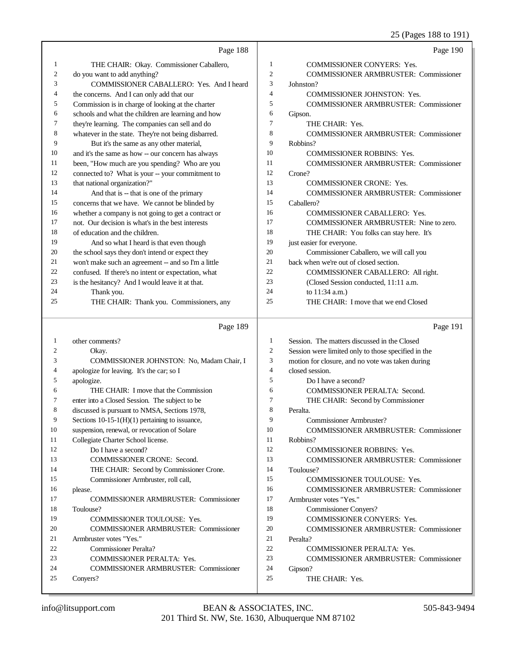25 (Pages 188 to 191)

|    |                                                     |                | 20(10)<br>$\sim$ 100 to 171,                        |
|----|-----------------------------------------------------|----------------|-----------------------------------------------------|
|    | Page 188                                            |                | Page 190                                            |
| 1  | THE CHAIR: Okay. Commissioner Caballero,            | $\mathbf{1}$   | <b>COMMISSIONER CONYERS: Yes.</b>                   |
| 2  | do you want to add anything?                        | $\mathfrak{2}$ | <b>COMMISSIONER ARMBRUSTER: Commissioner</b>        |
| 3  | COMMISSIONER CABALLERO: Yes. And I heard            | 3              | Johnston?                                           |
| 4  | the concerns. And I can only add that our           | 4              | <b>COMMISSIONER JOHNSTON: Yes.</b>                  |
| 5  | Commission is in charge of looking at the charter   | 5              | <b>COMMISSIONER ARMBRUSTER: Commissioner</b>        |
| 6  | schools and what the children are learning and how  | 6              | Gipson.                                             |
| 7  | they're learning. The companies can sell and do     | 7              | THE CHAIR: Yes.                                     |
| 8  | whatever in the state. They're not being disbarred. | 8              | <b>COMMISSIONER ARMBRUSTER: Commissioner</b>        |
| 9  | But it's the same as any other material,            | 9              | Robbins?                                            |
| 10 | and it's the same as how -- our concern has always  | 10             | <b>COMMISSIONER ROBBINS: Yes.</b>                   |
| 11 | been, "How much are you spending? Who are you       | 11             | <b>COMMISSIONER ARMBRUSTER: Commissioner</b>        |
| 12 | connected to? What is your -- your commitment to    | 12             | Crone?                                              |
| 13 | that national organization?"                        | 13             | <b>COMMISSIONER CRONE: Yes.</b>                     |
| 14 | And that is -- that is one of the primary           | 14             | <b>COMMISSIONER ARMBRUSTER: Commissioner</b>        |
| 15 | concerns that we have. We cannot be blinded by      | 15             | Caballero?                                          |
| 16 | whether a company is not going to get a contract or | 16             | <b>COMMISSIONER CABALLERO: Yes.</b>                 |
| 17 | not. Our decision is what's in the best interests   | 17             | COMMISSIONER ARMBRUSTER: Nine to zero.              |
| 18 | of education and the children.                      | 18             | THE CHAIR: You folks can stay here. It's            |
| 19 | And so what I heard is that even though             | 19             | just easier for everyone.                           |
| 20 | the school says they don't intend or expect they    | 20             | Commissioner Caballero, we will call you            |
| 21 | won't make such an agreement -- and so I'm a little | 21             | back when we're out of closed section.              |
| 22 | confused. If there's no intent or expectation, what | 22             | COMMISSIONER CABALLERO: All right.                  |
| 23 | is the hesitancy? And I would leave it at that.     | 23             | (Closed Session conducted, 11:11 a.m.               |
| 24 | Thank you.                                          | 24             | to 11:34 a.m.)                                      |
| 25 | THE CHAIR: Thank you. Commissioners, any            | 25             | THE CHAIR: I move that we end Closed                |
|    | Page 189                                            |                | Page 191                                            |
| 1  | other comments?                                     | 1              | Session. The matters discussed in the Closed        |
| 2  | Okay.                                               | 2              | Session were limited only to those specified in the |
| 3  | COMMISSIONER JOHNSTON: No, Madam Chair, I           | 3              | motion for closure, and no vote was taken during    |
| 4  | apologize for leaving. It's the car; so I           | $\overline{4}$ | closed session.                                     |
| 5  | apologize.                                          | 5              | Do I have a second?                                 |
| 6  | THE CHAIR: I move that the Commission               | 6              | <b>COMMISSIONER PERALTA: Second.</b>                |
| 7  | enter into a Closed Session. The subject to be      | 7              | THE CHAIR: Second by Commissioner                   |
| 8  | discussed is pursuant to NMSA, Sections 1978,       | 8              | Peralta.                                            |
| 9  | Sections $10-15-1(H)(1)$ pertaining to issuance,    | 9              | Commissioner Armbruster?                            |
| 10 | suspension, renewal, or revocation of Solare        | 10             | <b>COMMISSIONER ARMBRUSTER: Commissioner</b>        |
| 11 | Collegiate Charter School license.                  | 11             | Robbins?                                            |
| 12 | Do I have a second?                                 | 12             | <b>COMMISSIONER ROBBINS: Yes.</b>                   |
| 13 | <b>COMMISSIONER CRONE: Second.</b>                  | 13             | <b>COMMISSIONER ARMBRUSTER: Commissioner</b>        |
| 14 | THE CHAIR: Second by Commissioner Crone.            | 14             | Toulouse?                                           |

Conyers?

please.

Toulouse?

 Armbruster votes "Yes." Commissioner Peralta?

Commissioner Armbruster, roll call,

19 COMMISSIONER TOULOUSE: Yes.

COMMISSIONER PERALTA: Yes.

COMMISSIONER ARMBRUSTER: Commissioner

COMMISSIONER ARMBRUSTER: Commissioner

COMMISSIONER ARMBRUSTER: Commissioner

15 COMMISSIONER TOULOUSE: Yes.

COMMISSIONER CONYERS: Yes.

22 COMMISSIONER PERALTA: Yes.<br>23 COMMISSIONER ARMBRUSTER·

 Armbruster votes "Yes." Commissioner Conyers?

THE CHAIR: Yes.

Peralta?

Gipson?

COMMISSIONER ARMBRUSTER: Commissioner

COMMISSIONER ARMBRUSTER: Commissioner

COMMISSIONER ARMBRUSTER: Commissioner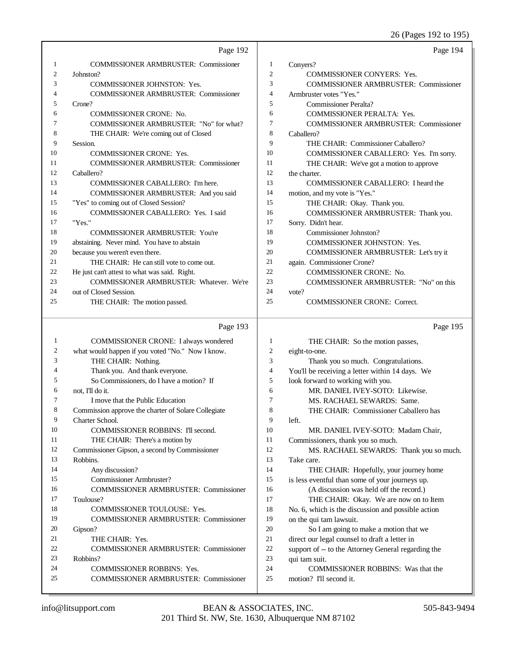26 (Pages 192 to 195)

|    |                                                     |                | $20$ (1 ages 172 to 179)                            |
|----|-----------------------------------------------------|----------------|-----------------------------------------------------|
|    | Page 192                                            |                | Page 194                                            |
| 1  | <b>COMMISSIONER ARMBRUSTER: Commissioner</b>        | $\mathbf{1}$   | Conyers?                                            |
| 2  | Johnston?                                           | $\overline{2}$ | <b>COMMISSIONER CONYERS: Yes.</b>                   |
| 3  | <b>COMMISSIONER JOHNSTON: Yes.</b>                  | 3              | <b>COMMISSIONER ARMBRUSTER: Commissioner</b>        |
| 4  | <b>COMMISSIONER ARMBRUSTER: Commissioner</b>        | 4              | Armbruster votes "Yes."                             |
| 5  | Crone?                                              | 5              | Commissioner Peralta?                               |
| 6  | <b>COMMISSIONER CRONE: No.</b>                      | 6              | <b>COMMISSIONER PERALTA: Yes.</b>                   |
| 7  | COMMISSIONER ARMBRUSTER: "No" for what?             | 7              | <b>COMMISSIONER ARMBRUSTER: Commissioner</b>        |
| 8  | THE CHAIR: We're coming out of Closed               | 8              | Caballero?                                          |
| 9  | Session.                                            | 9              | THE CHAIR: Commissioner Caballero?                  |
| 10 | <b>COMMISSIONER CRONE: Yes.</b>                     | 10             | COMMISSIONER CABALLERO: Yes. I'm sorry.             |
| 11 | <b>COMMISSIONER ARMBRUSTER: Commissioner</b>        | 11             | THE CHAIR: We've got a motion to approve            |
| 12 | Caballero?                                          | 12             | the charter.                                        |
| 13 | COMMISSIONER CABALLERO: I'm here.                   | 13             | COMMISSIONER CABALLERO: I heard the                 |
| 14 | COMMISSIONER ARMBRUSTER: And you said               | 14             | motion, and my vote is "Yes."                       |
| 15 | "Yes" to coming out of Closed Session?              | 15             | THE CHAIR: Okay. Thank you.                         |
| 16 | <b>COMMISSIONER CABALLERO: Yes. I said</b>          | 16             | COMMISSIONER ARMBRUSTER: Thank you.                 |
| 17 | "Yes."                                              | 17             | Sorry. Didn't hear.                                 |
| 18 | <b>COMMISSIONER ARMBRUSTER: You're</b>              | 18             | Commissioner Johnston?                              |
| 19 | abstaining. Never mind. You have to abstain         | 19             | <b>COMMISSIONER JOHNSTON: Yes.</b>                  |
| 20 | because you weren't even there.                     | 20             | COMMISSIONER ARMBRUSTER: Let's try it               |
| 21 | THE CHAIR: He can still vote to come out.           | 21             | again. Commissioner Crone?                          |
| 22 | He just can't attest to what was said. Right.       | 22             | <b>COMMISSIONER CRONE: No.</b>                      |
| 23 | COMMISSIONER ARMBRUSTER: Whatever. We're            | 23             | COMMISSIONER ARMBRUSTER: "No" on this               |
| 24 | out of Closed Session.                              | 24             | vote?                                               |
| 25 | THE CHAIR: The motion passed.                       | 25             | <b>COMMISSIONER CRONE: Correct.</b>                 |
|    |                                                     |                |                                                     |
|    | Page 193                                            |                | Page 195                                            |
| 1  | COMMISSIONER CRONE: I always wondered               | 1              | THE CHAIR: So the motion passes,                    |
| 2  | what would happen if you voted "No." Now I know.    | $\overline{c}$ | eight-to-one.                                       |
| 3  | THE CHAIR: Nothing.                                 | 3              | Thank you so much. Congratulations.                 |
| 4  | Thank you. And thank everyone.                      | 4              | You'll be receiving a letter within 14 days. We     |
| 5  | So Commissioners, do I have a motion? If            | 5              | look forward to working with you.                   |
| 6  | not, I'll do it.                                    | 6              | MR. DANIEL IVEY-SOTO: Likewise.                     |
| 7  | I move that the Public Education                    | 7              | MS. RACHAEL SEWARDS: Same.                          |
| 8  | Commission approve the charter of Solare Collegiate | 8              | THE CHAIR: Commissioner Caballero has               |
| 9  | Charter School.                                     | 9              | left.                                               |
| 10 | COMMISSIONER ROBBINS: I'll second.                  | 10             | MR. DANIEL IVEY-SOTO: Madam Chair,                  |
| 11 | THE CHAIR: There's a motion by                      | 11             | Commissioners, thank you so much.                   |
| 12 | Commissioner Gipson, a second by Commissioner       | 12             | MS. RACHAEL SEWARDS: Thank you so much.             |
| 13 | Robbins.                                            | 13             | Take care.                                          |
| 14 | Any discussion?                                     | 14             | THE CHAIR: Hopefully, your journey home             |
| 15 | Commissioner Armbruster?                            | 15             | is less eventful than some of your journeys up.     |
| 16 | <b>COMMISSIONER ARMBRUSTER: Commissioner</b>        | 16             | (A discussion was held off the record.)             |
| 17 | Toulouse?                                           | 17             | THE CHAIR: Okay. We are now on to Item              |
| 18 | COMMISSIONER TOULOUSE: Yes.                         | 18             | No. 6, which is the discussion and possible action  |
| 19 | <b>COMMISSIONER ARMBRUSTER: Commissioner</b>        | 19             | on the qui tam lawsuit.                             |
| 20 | Gipson?                                             | $20\,$         | So I am going to make a motion that we              |
| 21 | THE CHAIR: Yes.                                     | 21             | direct our legal counsel to draft a letter in       |
| 22 | COMMISSIONER ARMBRUSTER: Commissioner               | $22\,$         | support of -- to the Attorney General regarding the |
| 23 | Robbins?                                            | 23             | qui tam suit.                                       |
|    |                                                     |                |                                                     |

COMMISSIONER ROBBINS: Yes.

COMMISSIONER ARMBRUSTER: Commissioner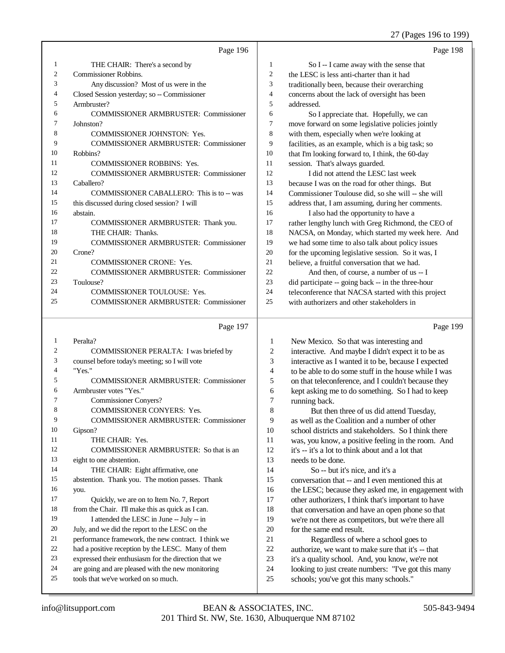#### 27 (Pages 196 to 199)

|    | Page 196                                       |                          | Page 198                                             |
|----|------------------------------------------------|--------------------------|------------------------------------------------------|
| 1  | THE CHAIR: There's a second by                 | $\mathbf{1}$             | So I -- I came away with the sense that              |
| 2  | <b>Commissioner Robbins.</b>                   | $\overline{c}$           | the LESC is less anti-charter than it had            |
| 3  | Any discussion? Most of us were in the         | 3                        | traditionally been, because their overarching        |
| 4  | Closed Session yesterday; so -- Commissioner   | $\overline{\mathcal{L}}$ | concerns about the lack of oversight has been        |
| 5  | Armbruster?                                    | 5                        | addressed.                                           |
| 6  | <b>COMMISSIONER ARMBRUSTER: Commissioner</b>   | 6                        | So I appreciate that. Hopefully, we can              |
| 7  | Johnston?                                      | 7                        | move forward on some legislative policies jointly    |
| 8  | COMMISSIONER JOHNSTON: Yes.                    | 8                        | with them, especially when we're looking at          |
| 9  | COMMISSIONER ARMBRUSTER: Commissioner          | 9                        | facilities, as an example, which is a big task; so   |
| 10 | Robbins?                                       | 10                       | that I'm looking forward to, I think, the 60-day     |
| 11 | COMMISSIONER ROBBINS: Yes.                     | 11                       | session. That's always guarded.                      |
| 12 | COMMISSIONER ARMBRUSTER: Commissioner          | 12                       | I did not attend the LESC last week                  |
| 13 | Caballero?                                     | 13                       | because I was on the road for other things. But      |
| 14 | COMMISSIONER CABALLERO: This is to -- was      | 14                       | Commissioner Toulouse did, so she will -- she will   |
| 15 | this discussed during closed session? I will   | 15                       | address that, I am assuming, during her comments.    |
| 16 | abstain.                                       | 16                       | I also had the opportunity to have a                 |
| 17 | COMMISSIONER ARMBRUSTER: Thank you.            | 17                       | rather lengthy lunch with Greg Richmond, the CEO of  |
| 18 | THE CHAIR: Thanks.                             | 18                       | NACSA, on Monday, which started my week here. And    |
| 19 | COMMISSIONER ARMBRUSTER: Commissioner          | 19                       | we had some time to also talk about policy issues    |
| 20 | Crone?                                         | 20                       | for the upcoming legislative session. So it was, I   |
| 21 | COMMISSIONER CRONE: Yes.                       | 21                       | believe, a fruitful conversation that we had.        |
| 22 | <b>COMMISSIONER ARMBRUSTER: Commissioner</b>   | 22                       | And then, of course, a number of us -- I             |
| 23 | Toulouse?                                      | 23                       | did participate -- going back -- in the three-hour   |
| 24 | COMMISSIONER TOULOUSE: Yes.                    | 24                       | teleconference that NACSA started with this project  |
| 25 | <b>COMMISSIONER ARMBRUSTER: Commissioner</b>   | 25                       | with authorizers and other stakeholders in           |
|    |                                                |                          |                                                      |
|    | Page 197                                       |                          | Page 199                                             |
| 1  | Peralta?                                       | $\mathbf{1}$             | New Mexico. So that was interesting and              |
| 2  | COMMISSIONER PERALTA: I was briefed by         | $\sqrt{2}$               | interactive. And maybe I didn't expect it to be as   |
| 3  | counsel before today's meeting; so I will vote | 3                        | interactive as I wanted it to be, because I expected |
| 4  | "Yes."                                         | $\overline{4}$           | to be able to do some stuff in the house while I was |
| 5  | <b>COMMISSIONER ARMBRUSTER: Commissioner</b>   | 5                        | on that teleconference, and I couldn't because they  |
| 6  | Armbruster votes "Yes."                        | 6                        | kept asking me to do something. So I had to keep     |
| 7  | <b>Commissioner Conyers?</b>                   | 7                        | running back.                                        |
| 8  | COMMISSIONER CONYERS: Yes.                     | 8                        | But then three of us did attend Tuesday,             |
| 9  | <b>COMMISSIONER ARMBRUSTER: Commissioner</b>   | 9                        | as well as the Coalition and a number of other       |

- Gipson? 11 THE CHAIR: Yes. COMMISSIONER ARMBRUSTER: So that is an eight to one abstention. 14 THE CHAIR: Eight affirmative, one abstention. Thank you. The motion passes. Thank you.
- 17 Quickly, we are on to Item No. 7, Report from the Chair. I'll make this as quick as I can. 19 I attended the LESC in June -- July -- in July, and we did the report to the LESC on the performance framework, the new contract. I think we 22 had a positive reception by the LESC. Many of them<br>23 expressed their enthusiasm for the direction that we expressed their enthusiasm for the direction that we
- are going and are pleased with the new monitoring
- tools that we've worked on so much.
- as well as the Coalition and a number of other school districts and stakeholders. So I think there was, you know, a positive feeling in the room. And it's -- it's a lot to think about and a lot that needs to be done. So -- but it's nice, and it's a conversation that -- and I even mentioned this at 16 the LESC; because they asked me, in engagement with
- other authorizers, I think that's important to have that conversation and have an open phone so that we're not there as competitors, but we're there all for the same end result.
- Regardless of where a school goes to authorize, we want to make sure that it's -- that
- it's a quality school. And, you know, we're not
- looking to just create numbers: "I've got this many
- schools; you've got this many schools."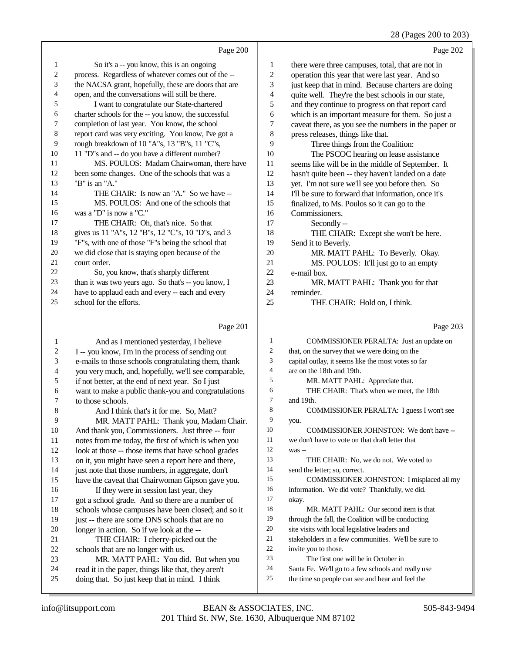## 28 (Pages 200 to 203)

|                | Page 200                                             |    | Page 202                                             |
|----------------|------------------------------------------------------|----|------------------------------------------------------|
| $\mathbf{1}$   | So it's a -- you know, this is an ongoing            | 1  | there were three campuses, total, that are not in    |
| $\overline{c}$ | process. Regardless of whatever comes out of the --  | 2  | operation this year that were last year. And so      |
| 3              | the NACSA grant, hopefully, these are doors that are | 3  | just keep that in mind. Because charters are doing   |
| 4              | open, and the conversations will still be there.     | 4  | quite well. They're the best schools in our state,   |
| 5              | I want to congratulate our State-chartered           | 5  | and they continue to progress on that report card    |
| 6              | charter schools for the -- you know, the successful  | 6  | which is an important measure for them. So just a    |
| 7              | completion of last year. You know, the school        | 7  | caveat there, as you see the numbers in the paper or |
| 8              | report card was very exciting. You know, I've got a  | 8  | press releases, things like that.                    |
| 9              | rough breakdown of 10 "A"s, 13 "B"s, 11 "C"s,        | 9  | Three things from the Coalition:                     |
| 10             | 11 "D"s and -- do you have a different number?       | 10 | The PSCOC hearing on lease assistance                |
| 11             | MS. POULOS: Madam Chairwoman, there have             | 11 | seems like will be in the middle of September. It    |
| 12             | been some changes. One of the schools that was a     | 12 | hasn't quite been -- they haven't landed on a date   |
| 13             | "B" is an "A."                                       | 13 | yet. I'm not sure we'll see you before then. So      |
| 14             | THE CHAIR: Is now an "A." So we have --              | 14 | I'll be sure to forward that information, once it's  |
| 15             | MS. POULOS: And one of the schools that              | 15 | finalized, to Ms. Poulos so it can go to the         |
| 16             | was a "D" is now a "C."                              | 16 | Commissioners.                                       |
| 17             | THE CHAIR: Oh, that's nice. So that                  | 17 | Secondly--                                           |
| 18             | gives us 11 "A"s, 12 "B"s, 12 "C"s, 10 "D"s, and 3   | 18 | THE CHAIR: Except she won't be here.                 |
| 19             | "F"s, with one of those "F"s being the school that   | 19 | Send it to Beverly.                                  |
| 20             | we did close that is staying open because of the     | 20 | MR. MATT PAHL: To Beverly. Okay.                     |
| 21             | court order.                                         | 21 | MS. POULOS: It'll just go to an empty                |
| 22             | So, you know, that's sharply different               | 22 | e-mail box.                                          |
| 23             | than it was two years ago. So that's -- you know, I  | 23 | MR. MATT PAHL: Thank you for that                    |
| 24             | have to applaud each and every -- each and every     | 24 | reminder.                                            |
| 25             | school for the efforts.                              | 25 | THE CHAIR: Hold on, I think.                         |
|                | Page 201                                             |    | Page 203                                             |
| 1              | And as I mentioned yesterday, I believe              | 1  | COMMISSIONER PERALTA: Just an update on              |

| 1  | And as I mentioned yesterday, I believe              | 1  | COMMISSIONER PERALTA: Just an update on             |
|----|------------------------------------------------------|----|-----------------------------------------------------|
| 2  | I -- you know, I'm in the process of sending out     | 2  | that, on the survey that we were doing on the       |
| 3  | e-mails to those schools congratulating them, thank  | 3  | capital outlay, it seems like the most votes so far |
| 4  | you very much, and, hopefully, we'll see comparable, | 4  | are on the 18th and 19th.                           |
| 5  | if not better, at the end of next year. So I just    | 5  | MR. MATT PAHL: Appreciate that.                     |
| 6  | want to make a public thank-you and congratulations  | 6  | THE CHAIR: That's when we meet, the 18th            |
| 7  | to those schools.                                    | 7  | and 19th.                                           |
| 8  | And I think that's it for me. So, Matt?              | 8  | COMMISSIONER PERALTA: I guess I won't see           |
| 9  | MR. MATT PAHL: Thank you, Madam Chair.               | 9  | you.                                                |
| 10 | And thank you, Commissioners. Just three -- four     | 10 | COMMISSIONER JOHNSTON: We don't have --             |
| 11 | notes from me today, the first of which is when you  | 11 | we don't have to vote on that draft letter that     |
| 12 | look at those -- those items that have school grades | 12 | was --                                              |
| 13 | on it, you might have seen a report here and there,  | 13 | THE CHAIR: No, we do not. We voted to               |
| 14 | just note that those numbers, in aggregate, don't    | 14 | send the letter; so, correct.                       |
| 15 | have the caveat that Chairwoman Gipson gave you.     | 15 | COMMISSIONER JOHNSTON: I misplaced all my           |
| 16 | If they were in session last year, they              | 16 | information. We did vote? Thankfully, we did.       |
| 17 | got a school grade. And so there are a number of     | 17 | okay.                                               |
| 18 | schools whose campuses have been closed; and so it   | 18 | MR. MATT PAHL: Our second item is that              |
| 19 | just -- there are some DNS schools that are no       | 19 | through the fall, the Coalition will be conducting  |
| 20 | longer in action. So if we look at the --            | 20 | site visits with local legislative leaders and      |
| 21 | THE CHAIR: I cherry-picked out the                   | 21 | stakeholders in a few communities. We'll be sure to |
| 22 | schools that are no longer with us.                  | 22 | invite you to those.                                |
| 23 | MR. MATT PAHL: You did. But when you                 | 23 | The first one will be in October in                 |
| 24 | read it in the paper, things like that, they aren't  | 24 | Santa Fe. We'll go to a few schools and really use  |
| 25 | doing that. So just keep that in mind. I think       | 25 | the time so people can see and hear and feel the    |
|    |                                                      |    |                                                     |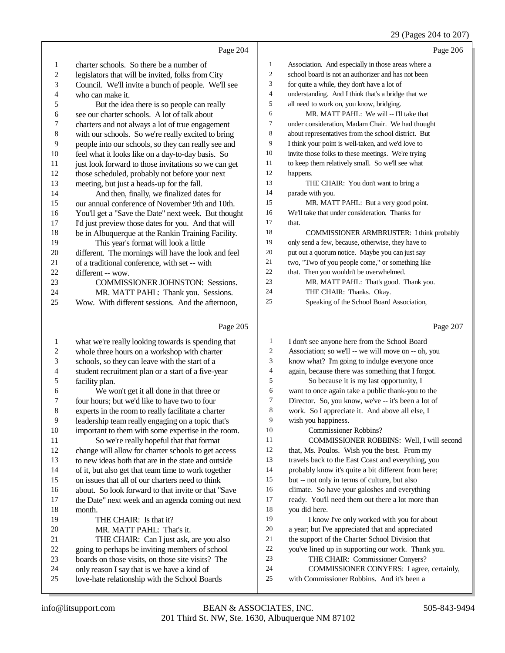#### 29 (Pages 204 to 207)

|                         |                                                      |                  | 29 (Pages 204 to 207)                               |
|-------------------------|------------------------------------------------------|------------------|-----------------------------------------------------|
|                         | Page 204                                             |                  | Page 206                                            |
| 1                       | charter schools. So there be a number of             | $\mathbf{1}$     | Association. And especially in those areas where a  |
| $\overline{c}$          | legislators that will be invited, folks from City    | $\boldsymbol{2}$ | school board is not an authorizer and has not been  |
| 3                       | Council. We'll invite a bunch of people. We'll see   | 3                | for quite a while, they don't have a lot of         |
| 4                       | who can make it.                                     | $\overline{4}$   | understanding. And I think that's a bridge that we  |
| 5                       | But the idea there is so people can really           | 5                | all need to work on, you know, bridging.            |
| 6                       | see our charter schools. A lot of talk about         | 6                | MR. MATT PAHL: We will -- I'll take that            |
| 7                       | charters and not always a lot of true engagement     | $\boldsymbol{7}$ | under consideration, Madam Chair. We had thought    |
| 8                       | with our schools. So we're really excited to bring   | $\,$ 8 $\,$      | about representatives from the school district. But |
| 9                       | people into our schools, so they can really see and  | 9                | I think your point is well-taken, and we'd love to  |
| 10                      | feel what it looks like on a day-to-day basis. So    | 10               | invite those folks to these meetings. We're trying  |
| 11                      | just look forward to those invitations so we can get | 11               | to keep them relatively small. So we'll see what    |
| 12                      | those scheduled, probably not before your next       | 12               | happens.                                            |
| 13                      | meeting, but just a heads-up for the fall.           | 13               | THE CHAIR: You don't want to bring a                |
| 14                      | And then, finally, we finalized dates for            | 14               | parade with you.                                    |
| 15                      | our annual conference of November 9th and 10th.      | 15               | MR. MATT PAHL: But a very good point.               |
| 16                      | You'll get a "Save the Date" next week. But thought  | 16               | We'll take that under consideration. Thanks for     |
| 17                      | I'd just preview those dates for you. And that will  | 17               | that.                                               |
| 18                      | be in Albuquerque at the Rankin Training Facility.   | 18               | COMMISSIONER ARMBRUSTER: I think probably           |
| 19                      | This year's format will look a little                | 19               | only send a few, because, otherwise, they have to   |
| 20                      | different. The mornings will have the look and feel  | 20               | put out a quorum notice. Maybe you can just say     |
| 21                      | of a traditional conference, with set -- with        | 21               | two, "Two of you people come," or something like    |
| 22                      | different -- wow.                                    | 22               | that. Then you wouldn't be overwhelmed.             |
| 23                      | COMMISSIONER JOHNSTON: Sessions.                     | 23               | MR. MATT PAHL: That's good. Thank you.              |
| 24                      | MR. MATT PAHL: Thank you. Sessions.                  | 24               | THE CHAIR: Thanks. Okay.                            |
| 25                      | Wow. With different sessions. And the afternoon,     | 25               | Speaking of the School Board Association,           |
|                         |                                                      |                  |                                                     |
|                         | Page 205                                             |                  | Page 207                                            |
| $\mathbf{1}$            | what we're really looking towards is spending that   | 1                | I don't see anyone here from the School Board       |
| $\overline{\mathbf{c}}$ | whole three hours on a workshop with charter         | 2                | Association; so we'll -- we will move on -- oh, you |
| 3                       | schools, so they can leave with the start of a       | 3                | know what? I'm going to indulge everyone once       |
| 4                       | student recruitment plan or a start of a five-year   | 4                | again, because there was something that I forgot.   |
| 5                       | facility plan.                                       | 5                | So because it is my last opportunity, I             |
| 6                       | We won't get it all done in that three or            | 6                | want to once again take a public thank-you to the   |
| 7                       | four hours; but we'd like to have two to four        | 7                | Director. So, you know, we've -- it's been a lot of |
| 8                       | experts in the room to really facilitate a charter   | 8                | work. So I appreciate it. And above all else, I     |
| 9                       | leadership team really engaging on a topic that's    | 9                | wish you happiness.                                 |
| 10                      | important to them with some expertise in the room.   | 10               | Commissioner Robbins?                               |
| 11                      | So we're really hopeful that that format             | 11               | COMMISSIONER ROBBINS: Well, I will second           |
| 12                      | change will allow for charter schools to get access  | 12               | that, Ms. Poulos. Wish you the best. From my        |
| 13                      | to new ideas both that are in the state and outside  | 13               | travels back to the East Coast and everything, you  |
| 14                      | of it, but also get that team time to work together  | 14               | probably know it's quite a bit different from here; |
| 15                      | on issues that all of our charters need to think     | 15               | but -- not only in terms of culture, but also       |
| 16                      | about. So look forward to that invite or that "Save  | 16               | climate. So have your galoshes and everything       |
| 17                      | the Date" next week and an agenda coming out next    | 17               | ready. You'll need them out there a lot more than   |
| 18                      | month.                                               | 18               | you did here.                                       |
| 19                      | THE CHAIR: Is that it?                               | 19               | I know I've only worked with you for about          |

- 
- 20 MR. MATT PAHL: That's it.<br>21 THE CHAIR: Can I just ask. 21 THE CHAIR: Can I just ask, are you also<br>22 going to perhaps be inviting members of school 22 going to perhaps be inviting members of school<br>23 boards on those visits, on those site visits? The
- 23 boards on those visits, on those site visits? The<br>24 only reason I say that is we have a kind of
- 24 only reason I say that is we have a kind of<br>25 love-hate relationship with the School Boa love-hate relationship with the School Boards
- 201 Third St. NW, Ste. 1630, Albuquerque NM 87102 info@litsupport.com BEAN & ASSOCIATES, INC. 505-843-9494

20 a year; but I've appreciated that and appreciated<br>
21 the support of the Charter School Division that 21 the support of the Charter School Division that<br>22 vou've lined up in supporting our work. Thank 22 you've lined up in supporting our work. Thank you.<br>23 THE CHAIR: Commissioner Convers? THE CHAIR: Commissioner Conyers? 24 COMMISSIONER CONYERS: I agree, certainly,<br>25 with Commissioner Robbins. And it's been a with Commissioner Robbins. And it's been a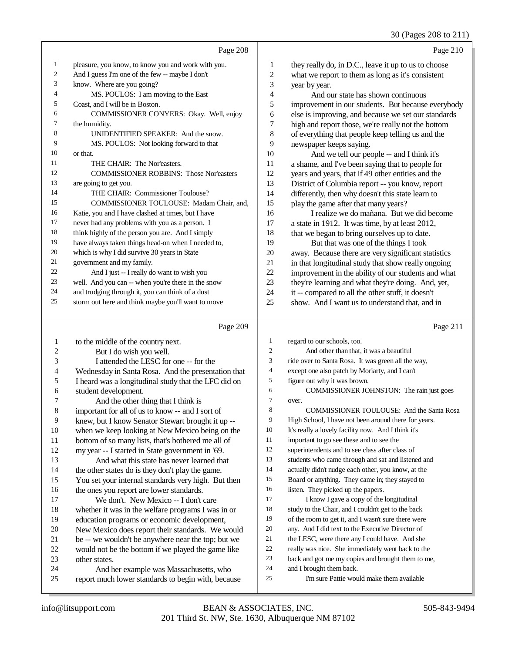30 (Pages 208 to 211)

|    | Page 208                                           |                | Page 210                                             |
|----|----------------------------------------------------|----------------|------------------------------------------------------|
| 1  | pleasure, you know, to know you and work with you. | 1              | they really do, in D.C., leave it up to us to choose |
| 2  | And I guess I'm one of the few -- maybe I don't    | $\overline{c}$ | what we report to them as long as it's consistent    |
| 3  | know. Where are you going?                         | 3              | year by year.                                        |
| 4  | MS. POULOS: I am moving to the East                | $\overline{4}$ | And our state has shown continuous                   |
| 5  | Coast, and I will be in Boston.                    | 5              | improvement in our students. But because everybody   |
| 6  | COMMISSIONER CONYERS: Okay. Well, enjoy            | 6              | else is improving, and because we set our standards  |
| 7  | the humidity.                                      | 7              | high and report those, we're really not the bottom   |
| 8  | UNIDENTIFIED SPEAKER: And the snow.                | 8              | of everything that people keep telling us and the    |
| 9  | MS. POULOS: Not looking forward to that            | 9              | newspaper keeps saying.                              |
| 10 | or that.                                           | 10             | And we tell our people -- and I think it's           |
| 11 | THE CHAIR: The Nor'easters.                        | 11             | a shame, and I've been saying that to people for     |
| 12 | <b>COMMISSIONER ROBBINS: Those Nor'easters</b>     | 12             | years and years, that if 49 other entities and the   |
| 13 | are going to get you.                              | 13             | District of Columbia report -- you know, report      |
| 14 | THE CHAIR: Commissioner Toulouse?                  | 14             | differently, then why doesn't this state learn to    |
| 15 | COMMISSIONER TOULOUSE: Madam Chair, and,           | 15             | play the game after that many years?                 |
| 16 | Katie, you and I have clashed at times, but I have | 16             | I realize we do mañana. But we did become            |
| 17 | never had any problems with you as a person. I     | 17             | a state in 1912. It was time, by at least 2012,      |
| 18 | think highly of the person you are. And I simply   | 18             | that we began to bring ourselves up to date.         |
| 19 | have always taken things head-on when I needed to, | 19             | But that was one of the things I took                |
| 20 | which is why I did survive 30 years in State       | 20             | away. Because there are very significant statistics  |
| 21 | government and my family.                          | 21             | in that longitudinal study that show really ongoing  |
| 22 | And I just -- I really do want to wish you         | 22             | improvement in the ability of our students and what  |
| 23 | well. And you can -- when you're there in the snow | 23             | they're learning and what they're doing. And, yet,   |
| 24 | and trudging through it, you can think of a dust   | 24             | it -- compared to all the other stuff, it doesn't    |
| 25 | storm out here and think maybe you'll want to move | 25             | show. And I want us to understand that, and in       |
|    |                                                    |                |                                                      |
|    | Page 209                                           |                | Page 211                                             |

#### Page

|                | $1 \text{ age } 202$                                 |                | $4 \text{ g}$ $41$                                   |
|----------------|------------------------------------------------------|----------------|------------------------------------------------------|
| 1              | to the middle of the country next.                   | 1              | regard to our schools, too.                          |
| 2              | But I do wish you well.                              | $\overline{2}$ | And other than that, it was a beautiful              |
| 3              | I attended the LESC for one -- for the               | 3              | ride over to Santa Rosa. It was green all the way,   |
| $\overline{4}$ | Wednesday in Santa Rosa. And the presentation that   | $\overline{4}$ | except one also patch by Moriarty, and I can't       |
| 5              | I heard was a longitudinal study that the LFC did on | 5              | figure out why it was brown.                         |
| 6              | student development.                                 | 6              | COMMISSIONER JOHNSTON: The rain just goes            |
| 7              | And the other thing that I think is                  | 7              | over.                                                |
| 8              | important for all of us to know -- and I sort of     | 8              | <b>COMMISSIONER TOULOUSE:</b> And the Santa Rosa     |
| 9              | knew, but I know Senator Stewart brought it up --    | 9              | High School, I have not been around there for years. |
| 10             | when we keep looking at New Mexico being on the      | 10             | It's really a lovely facility now. And I think it's  |
| 11             | bottom of so many lists, that's bothered me all of   | 11             | important to go see these and to see the             |
| 12             | my year -- I started in State government in '69.     | 12             | superintendents and to see class after class of      |
| 13             | And what this state has never learned that           | 13             | students who came through and sat and listened and   |
| 14             | the other states do is they don't play the game.     | 14             | actually didn't nudge each other, you know, at the   |
| 15             | You set your internal standards very high. But then  | 15             | Board or anything. They came in; they stayed to      |
| 16             | the ones you report are lower standards.             | 16             | listen. They picked up the papers.                   |
| 17             | We don't. New Mexico -- I don't care                 | 17             | I know I gave a copy of the longitudinal             |
| 18             | whether it was in the welfare programs I was in or   | 18             | study to the Chair, and I couldn't get to the back   |
| 19             | education programs or economic development,          | 19             | of the room to get it, and I wasn't sure there were  |
| 20             | New Mexico does report their standards. We would     | 20             | any. And I did text to the Executive Director of     |
| 21             | be -- we wouldn't be anywhere near the top; but we   | 21             | the LESC, were there any I could have. And she       |
| 22             | would not be the bottom if we played the game like   | 22             | really was nice. She immediately went back to the    |
| 23             | other states.                                        | 23             | back and got me my copies and brought them to me,    |
| 24             | And her example was Massachusetts, who               | 24             | and I brought them back.                             |
| 25             | report much lower standards to begin with, because   | 25             | I'm sure Pattie would make them available            |
|                |                                                      |                |                                                      |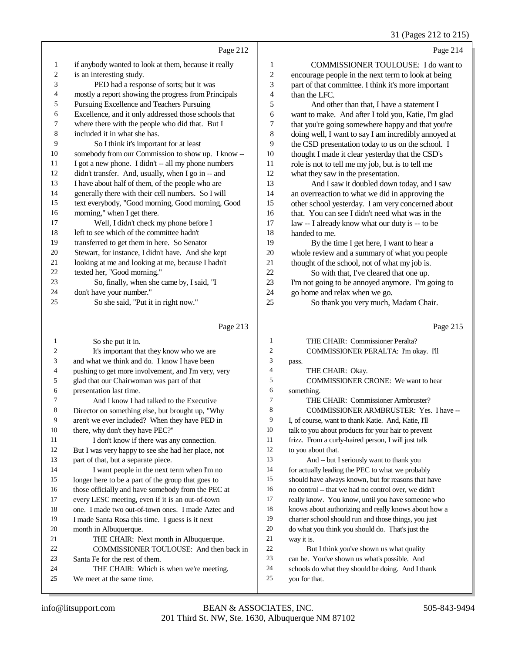#### 31 (Pages 212 to 215)

|    | Page 212                                             |                | Page 214                                             |
|----|------------------------------------------------------|----------------|------------------------------------------------------|
| 1  | if anybody wanted to look at them, because it really | 1              | <b>COMMISSIONER TOULOUSE:</b> I do want to           |
| 2  | is an interesting study.                             | $\mathfrak{2}$ | encourage people in the next term to look at being   |
| 3  | PED had a response of sorts; but it was              | 3              | part of that committee. I think it's more important  |
| 4  | mostly a report showing the progress from Principals | 4              | than the LFC.                                        |
| 5  | Pursuing Excellence and Teachers Pursuing            | 5              | And other than that, I have a statement I            |
| 6  | Excellence, and it only addressed those schools that | 6              | want to make. And after I told you, Katie, I'm glad  |
| 7  | where there with the people who did that. But I      | 7              | that you're going somewhere happy and that you're    |
| 8  | included it in what she has.                         | 8              | doing well, I want to say I am incredibly annoyed at |
| 9  | So I think it's important for at least               | 9              | the CSD presentation today to us on the school. I    |
| 10 | somebody from our Commission to show up. I know --   | 10             | thought I made it clear yesterday that the CSD's     |
| 11 | I got a new phone. I didn't -- all my phone numbers  | 11             | role is not to tell me my job, but is to tell me     |
| 12 | didn't transfer. And, usually, when I go in -- and   | 12             | what they saw in the presentation.                   |
| 13 | I have about half of them, of the people who are     | 13             | And I saw it doubled down today, and I saw           |
| 14 | generally there with their cell numbers. So I will   | 14             | an overreaction to what we did in approving the      |
| 15 | text everybody, "Good morning, Good morning, Good    | 15             | other school yesterday. I am very concerned about    |
| 16 | morning," when I get there.                          | 16             | that. You can see I didn't need what was in the      |
| 17 | Well, I didn't check my phone before I               | 17             | law -- I already know what our duty is -- to be      |
| 18 | left to see which of the committee hadn't            | 18             | handed to me.                                        |
| 19 | transferred to get them in here. So Senator          | 19             | By the time I get here, I want to hear a             |
| 20 | Stewart, for instance, I didn't have. And she kept   | 20             | whole review and a summary of what you people        |
| 21 | looking at me and looking at me, because I hadn't    | 21             | thought of the school, not of what my job is.        |
| 22 | texted her, "Good morning."                          | 22             | So with that, I've cleared that one up.              |
| 23 | So, finally, when she came by, I said, "I            | 23             | I'm not going to be annoyed anymore. I'm going to    |
| 24 | don't have your number."                             | 24             | go home and relax when we go.                        |
| 25 | So she said, "Put it in right now."                  | 25             | So thank you very much, Madam Chair.                 |
|    | Page 213                                             |                | Page 215                                             |

#### Page 213

 So she put it in. 2 It's important that they know who we are and what we think and do. I know I have been pushing to get more involvement, and I'm very, very glad that our Chairwoman was part of that 6 presentation last time.<br>7 And I know I ha And I know I had talked to the Executive Director on something else, but brought up, "Why aren't we ever included? When they have PED in there, why don't they have PEC?" 11 I don't know if there was any connection.<br>12 But I was very hanny to see she had her place. But I was very happy to see she had her place, not part of that, but a separate piece. 14 I want people in the next term when I'm no longer here to be a part of the group that goes to those officially and have somebody from the PEC at every LESC meeting, even if it is an out-of-town one. I made two out-of-town ones. I made Aztec and I made Santa Rosa this time. I guess is it next month in Albuquerque. 21 THE CHAIR: Next month in Albuquerque.<br>22 COMMISSIONER TOULOUSE: And then 22 COMMISSIONER TOULOUSE: And then back in<br>
23 Santa Fe for the rest of them Santa Fe for the rest of them. 24 THE CHAIR: Which is when we're meeting.<br>25 We meet at the same time We meet at the same time. THE CHAIR: Commissioner Peralta? COMMISSIONER PERALTA: I'm okay. I'll pass. THE CHAIR: Okay. COMMISSIONER CRONE: We want to hear something. THE CHAIR: Commissioner Armbruster? 8 COMMISSIONER ARMBRUSTER: Yes. I have -- I, of course, want to thank Katie. And, Katie, I'll talk to you about products for your hair to prevent frizz. From a curly-haired person, I will just talk to you about that. And -- but I seriously want to thank you for actually leading the PEC to what we probably should have always known, but for reasons that have no control -- that we had no control over, we didn't really know. You know, until you have someone who knows about authorizing and really knows about how a charter school should run and those things, you just do what you think you should do. That's just the way it is. But I think you've shown us what quality can be. You've shown us what's possible. And schools do what they should be doing. And I thank you for that.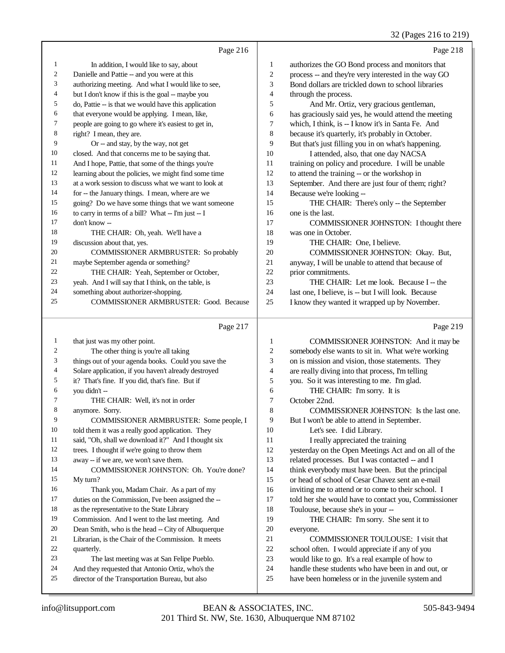## 32 (Pages 216 to 219)

|                | Page 216                                             |                | Page 218                                             |
|----------------|------------------------------------------------------|----------------|------------------------------------------------------|
| 1              | In addition, I would like to say, about              | 1              | authorizes the GO Bond process and monitors that     |
| $\overline{2}$ | Danielle and Pattie -- and you were at this          | $\overline{2}$ | process -- and they're very interested in the way GO |
| 3              | authorizing meeting. And what I would like to see,   | 3              | Bond dollars are trickled down to school libraries   |
| $\overline{4}$ | but I don't know if this is the goal -- maybe you    | $\overline{4}$ | through the process.                                 |
| 5              | do, Pattie -- is that we would have this application | 5              | And Mr. Ortiz, very gracious gentleman,              |
| 6              | that everyone would be applying. I mean, like,       | 6              | has graciously said yes, he would attend the meeting |
| $\overline{7}$ | people are going to go where it's easiest to get in, | 7              | which, I think, is -- I know it's in Santa Fe. And   |
| 8              | right? I mean, they are.                             | 8              | because it's quarterly, it's probably in October.    |
| 9              | Or -- and stay, by the way, not get                  | 9              | But that's just filling you in on what's happening.  |
| 10             | closed. And that concerns me to be saying that.      | 10             | I attended, also, that one day NACSA                 |
| 11             | And I hope, Pattie, that some of the things you're   | 11             | training on policy and procedure. I will be unable   |
| 12             | learning about the policies, we might find some time | 12             | to attend the training -- or the workshop in         |
| 13             | at a work session to discuss what we want to look at | 13             | September. And there are just four of them; right?   |
| 14             | for -- the January things. I mean, where are we      | 14             | Because we're looking --                             |
| 15             | going? Do we have some things that we want someone   | 15             | THE CHAIR: There's only -- the September             |
| 16             | to carry in terms of a bill? What -- I'm just -- I   | 16             | one is the last.                                     |
| 17             | don't know --                                        | 17             | COMMISSIONER JOHNSTON: I thought there               |
| 18             | THE CHAIR: Oh, yeah. We'll have a                    | 18             | was one in October.                                  |
| 19             | discussion about that, yes.                          | 19             | THE CHAIR: One, I believe.                           |
| 20             | COMMISSIONER ARMBRUSTER: So probably                 | 20             | COMMISSIONER JOHNSTON: Okay. But,                    |
| 21             | maybe September agenda or something?                 | 21             | anyway, I will be unable to attend that because of   |
| 22             | THE CHAIR: Yeah, September or October,               | 22             | prior commitments.                                   |
| 23             | yeah. And I will say that I think, on the table, is  | 23             | THE CHAIR: Let me look. Because I -- the             |
| 24             | something about authorizer-shopping.                 | 24             | last one, I believe, is -- but I will look. Because  |
| 25             | <b>COMMISSIONER ARMBRUSTER: Good. Because</b>        | 25             | I know they wanted it wrapped up by November.        |
|                | Page 217                                             |                | Page 219                                             |

### Page 217  $\parallel$

| 1  | that just was my other point.                        | 1              | COMMISSIONER JOHNSTON: And it may be                 |
|----|------------------------------------------------------|----------------|------------------------------------------------------|
| 2  | The other thing is you're all taking                 | $\overline{c}$ | somebody else wants to sit in. What we're working    |
| 3  | things out of your agenda books. Could you save the  | 3              | on is mission and vision, those statements. They     |
| 4  | Solare application, if you haven't already destroyed | 4              | are really diving into that process, I'm telling     |
| 5  | it? That's fine. If you did, that's fine. But if     | 5              | you. So it was interesting to me. I'm glad.          |
| 6  | you didn't --                                        | 6              | THE CHAIR: I'm sorry. It is                          |
| 7  | THE CHAIR: Well, it's not in order                   | 7              | October 22nd.                                        |
| 8  | anymore. Sorry.                                      | 8              | COMMISSIONER JOHNSTON: Is the last one.              |
| 9  | COMMISSIONER ARMBRUSTER: Some people, I              | 9              | But I won't be able to attend in September.          |
| 10 | told them it was a really good application. They     | 10             | Let's see. I did Library.                            |
| 11 | said, "Oh, shall we download it?" And I thought six  | 11             | I really appreciated the training                    |
| 12 | trees. I thought if we're going to throw them        | 12             | yesterday on the Open Meetings Act and on all of the |
| 13 | away -- if we are, we won't save them.               | 13             | related processes. But I was contacted -- and I      |
| 14 | COMMISSIONER JOHNSTON: Oh. You're done?              | 14             | think everybody must have been. But the principal    |
| 15 | My turn?                                             | 15             | or head of school of Cesar Chavez sent an e-mail     |
| 16 | Thank you, Madam Chair. As a part of my              | 16             | inviting me to attend or to come to their school. I  |
| 17 | duties on the Commission, I've been assigned the --  | 17             | told her she would have to contact you, Commissioner |
| 18 | as the representative to the State Library           | 18             | Toulouse, because she's in your --                   |
| 19 | Commission. And I went to the last meeting. And      | 19             | THE CHAIR: I'm sorry. She sent it to                 |
| 20 | Dean Smith, who is the head -- City of Albuquerque   | 20             | everyone.                                            |
| 21 | Librarian, is the Chair of the Commission. It meets  | 21             | COMMISSIONER TOULOUSE: I visit that                  |
| 22 | quarterly.                                           | 22             | school often. I would appreciate if any of you       |
| 23 | The last meeting was at San Felipe Pueblo.           | 23             | would like to go. It's a real example of how to      |
| 24 | And they requested that Antonio Ortiz, who's the     | 24             | handle these students who have been in and out, or   |
| 25 | director of the Transportation Bureau, but also      | 25             | have been homeless or in the juvenile system and     |
|    |                                                      |                |                                                      |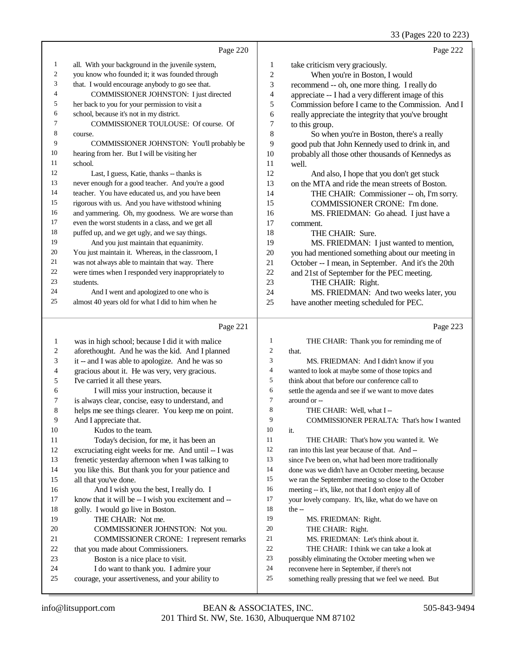#### 33 (Pages 220 to 223)

|                | Page 220                                            |                             | Page 222                                            |
|----------------|-----------------------------------------------------|-----------------------------|-----------------------------------------------------|
| $\mathbf{1}$   | all. With your background in the juvenile system,   | 1                           | take criticism very graciously.                     |
| 2              | you know who founded it; it was founded through     | $\sqrt{2}$                  | When you're in Boston, I would                      |
| 3              | that. I would encourage anybody to go see that.     | $\ensuremath{\mathfrak{Z}}$ | recommend -- oh, one more thing. I really do        |
| $\overline{4}$ | COMMISSIONER JOHNSTON: I just directed              | $\overline{4}$              | appreciate -- I had a very different image of this  |
| 5              | her back to you for your permission to visit a      | 5                           | Commission before I came to the Commission. And I   |
| 6              | school, because it's not in my district.            | 6                           | really appreciate the integrity that you've brought |
| 7              | COMMISSIONER TOULOUSE: Of course. Of                | 7                           | to this group.                                      |
| 8              | course.                                             | 8                           | So when you're in Boston, there's a really          |
| 9              | COMMISSIONER JOHNSTON: You'll probably be           | 9                           | good pub that John Kennedy used to drink in, and    |
| 10             | hearing from her. But I will be visiting her        | 10                          | probably all those other thousands of Kennedys as   |
| 11             | school.                                             | 11                          | well.                                               |
| 12             | Last, I guess, Katie, thanks -- thanks is           | 12                          | And also, I hope that you don't get stuck           |
| 13             | never enough for a good teacher. And you're a good  | 13                          | on the MTA and ride the mean streets of Boston.     |
| 14             | teacher. You have educated us, and you have been    | 14                          | THE CHAIR: Commissioner -- oh, I'm sorry.           |
| 15             | rigorous with us. And you have withstood whining    | 15                          | COMMISSIONER CRONE: I'm done.                       |
| 16             | and yammering. Oh, my goodness. We are worse than   | 16                          | MS. FRIEDMAN: Go ahead. I just have a               |
| 17             | even the worst students in a class, and we get all  | 17                          | comment.                                            |
| 18             | puffed up, and we get ugly, and we say things.      | 18                          | THE CHAIR: Sure.                                    |
| 19             | And you just maintain that equanimity.              | 19                          | MS. FRIEDMAN: I just wanted to mention,             |
| 20             | You just maintain it. Whereas, in the classroom, I  | 20                          | you had mentioned something about our meeting in    |
| 21             | was not always able to maintain that way. There     | 21                          | October -- I mean, in September. And it's the 20th  |
| 22             | were times when I responded very inappropriately to | 22                          | and 21st of September for the PEC meeting.          |
| 23             | students.                                           | 23                          | THE CHAIR: Right.                                   |
| 24             | And I went and apologized to one who is             | 24                          | MS. FRIEDMAN: And two weeks later, you              |
| 25             | almost 40 years old for what I did to him when he   | 25                          | have another meeting scheduled for PEC.             |
|                | Page 221                                            |                             | Page 223                                            |
| 1              | was in high school; because I did it with malice    | 1                           | THE CHAIR: Thank you for reminding me of            |
| 2              | aforethought. And he was the kid. And I planned     | $\overline{c}$              | that.                                               |
| 3              | it -- and I was able to apologize. And he was so    | 3                           | MS. FRIEDMAN: And I didn't know if you              |
| 4              | gracious about it. He was very, very gracious.      | $\overline{\mathcal{A}}$    | wanted to look at maybe some of those topics and    |
| 5              | I've carried it all these years.                    | 5                           | think about that before our conference call to      |
| 6              | I will miss your instruction, because it            | 6                           | settle the agenda and see if we want to move dates  |

- is always clear, concise, easy to understand, and
- helps me see things clearer. You keep me on point.
- And I appreciate that.

# Kudos to the team.

- Today's decision, for me, it has been an excruciating eight weeks for me. And until -- I was frenetic yesterday afternoon when I was talking to you like this. But thank you for your patience and all that you've done. 16 And I wish you the best, I really do. I 17 know that it will be -- I wish you excitement and -- golly. I would go live in Boston. THE CHAIR: Not me.
- COMMISSIONER JOHNSTON: Not you. COMMISSIONER CRONE: I represent remarks that you made about Commissioners. Boston is a nice place to visit. I do want to thank you. I admire your courage, your assertiveness, and your ability to

# around or -- THE CHAIR: Well, what I -- COMMISSIONER PERALTA: That's how I wanted it. THE CHAIR: That's how you wanted it. We ran into this last year because of that. And -- since I've been on, what had been more traditionally done was we didn't have an October meeting, because we ran the September meeting so close to the October meeting -- it's, like, not that I don't enjoy all of your lovely company. It's, like, what do we have on the -- MS. FRIEDMAN: Right. THE CHAIR: Right. MS. FRIEDMAN: Let's think about it.

- THE CHAIR: I think we can take a look at
- possibly eliminating the October meeting when we
- reconvene here in September, if there's not
- something really pressing that we feel we need. But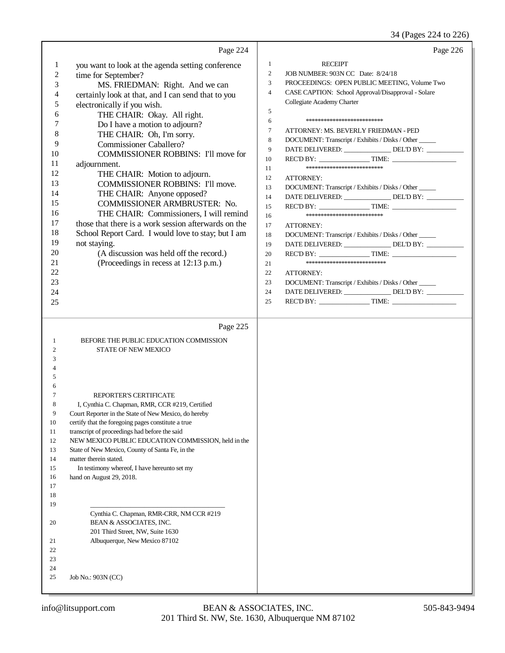34 (Pages 224 to 226)

|                                                                                                                                                             | Page 224                                                                                                                                                                                                                                                                                                                                                                                                                                                                                                                                                                                                                                                                                                                                                                                              | Page 226                                                                                                                                                                                                                                                                                                                                                                                                                                                                                                                                                                                                                                                                                                                                                                                                                                                                                                                                                                                                              |
|-------------------------------------------------------------------------------------------------------------------------------------------------------------|-------------------------------------------------------------------------------------------------------------------------------------------------------------------------------------------------------------------------------------------------------------------------------------------------------------------------------------------------------------------------------------------------------------------------------------------------------------------------------------------------------------------------------------------------------------------------------------------------------------------------------------------------------------------------------------------------------------------------------------------------------------------------------------------------------|-----------------------------------------------------------------------------------------------------------------------------------------------------------------------------------------------------------------------------------------------------------------------------------------------------------------------------------------------------------------------------------------------------------------------------------------------------------------------------------------------------------------------------------------------------------------------------------------------------------------------------------------------------------------------------------------------------------------------------------------------------------------------------------------------------------------------------------------------------------------------------------------------------------------------------------------------------------------------------------------------------------------------|
| $\mathbf{1}$<br>$\mathfrak{2}$<br>3<br>4<br>5<br>6<br>7<br>8<br>9<br>10<br>11<br>12<br>13<br>14<br>15<br>16<br>17<br>18<br>19<br>20<br>21<br>22<br>23<br>24 | you want to look at the agenda setting conference<br>time for September?<br>MS. FRIEDMAN: Right. And we can<br>certainly look at that, and I can send that to you<br>electronically if you wish.<br>THE CHAIR: Okay. All right.<br>Do I have a motion to adjourn?<br>THE CHAIR: Oh, I'm sorry.<br><b>Commissioner Caballero?</b><br><b>COMMISSIONER ROBBINS: I'll move for</b><br>adjournment.<br>THE CHAIR: Motion to adjourn.<br><b>COMMISSIONER ROBBINS: I'll move.</b><br>THE CHAIR: Anyone opposed?<br>COMMISSIONER ARMBRUSTER: No.<br>THE CHAIR: Commissioners, I will remind<br>those that there is a work session afterwards on the<br>School Report Card. I would love to stay; but I am<br>not staying.<br>(A discussion was held off the record.)<br>(Proceedings in recess at 12:13 p.m.) | <b>RECEIPT</b><br>$\mathbf{1}$<br>2<br>JOB NUMBER: 903N CC Date: 8/24/18<br>3<br>PROCEEDINGS: OPEN PUBLIC MEETING, Volume Two<br>$\overline{4}$<br>CASE CAPTION: School Approval/Disapproval - Solare<br>Collegiate Academy Charter<br>5<br>6<br>*************************<br>$\tau$<br>ATTORNEY: MS. BEVERLY FRIEDMAN - PED<br>8<br>DOCUMENT: Transcript / Exhibits / Disks / Other<br>9<br>DATE DELIVERED: _______________ DEL'D BY: __________<br>10<br>**************************<br>11<br>12<br><b>ATTORNEY:</b><br>13<br>DOCUMENT: Transcript / Exhibits / Disks / Other<br>DATE DELIVERED: _______________ DEL'D BY: __________<br>14<br>15<br>**************************<br>16<br>17<br>ATTORNEY:<br>DOCUMENT: Transcript / Exhibits / Disks / Other<br>18<br>DATE DELIVERED: _______________ DEL'D BY: _________<br>19<br>20<br>***************************<br>21<br>22<br>ATTORNEY:<br>23<br>DOCUMENT: Transcript / Exhibits / Disks / Other<br>DATE DELIVERED: ________________ DEL'D BY: __________<br>24 |
| 25                                                                                                                                                          |                                                                                                                                                                                                                                                                                                                                                                                                                                                                                                                                                                                                                                                                                                                                                                                                       | 25                                                                                                                                                                                                                                                                                                                                                                                                                                                                                                                                                                                                                                                                                                                                                                                                                                                                                                                                                                                                                    |
| 1<br>2<br>3<br>4<br>5<br>6<br>7<br>8<br>9<br>10<br>11<br>12<br>13<br>14<br>15<br>16<br>17<br>18<br>19<br>20<br>21<br>22                                     | Page 225<br>BEFORE THE PUBLIC EDUCATION COMMISSION<br><b>STATE OF NEW MEXICO</b><br>REPORTER'S CERTIFICATE<br>I, Cynthia C. Chapman, RMR, CCR #219, Certified<br>Court Reporter in the State of New Mexico, do hereby<br>certify that the foregoing pages constitute a true<br>transcript of proceedings had before the said<br>NEW MEXICO PUBLIC EDUCATION COMMISSION, held in the<br>State of New Mexico, County of Santa Fe, in the<br>matter therein stated.<br>In testimony whereof, I have hereunto set my<br>hand on August 29, 2018.<br>Cynthia C. Chapman, RMR-CRR, NM CCR #219<br>BEAN & ASSOCIATES, INC.<br>201 Third Street, NW, Suite 1630<br>Albuquerque, New Mexico 87102                                                                                                              |                                                                                                                                                                                                                                                                                                                                                                                                                                                                                                                                                                                                                                                                                                                                                                                                                                                                                                                                                                                                                       |
| 23<br>24<br>25                                                                                                                                              | Job No.: 903N (CC)                                                                                                                                                                                                                                                                                                                                                                                                                                                                                                                                                                                                                                                                                                                                                                                    |                                                                                                                                                                                                                                                                                                                                                                                                                                                                                                                                                                                                                                                                                                                                                                                                                                                                                                                                                                                                                       |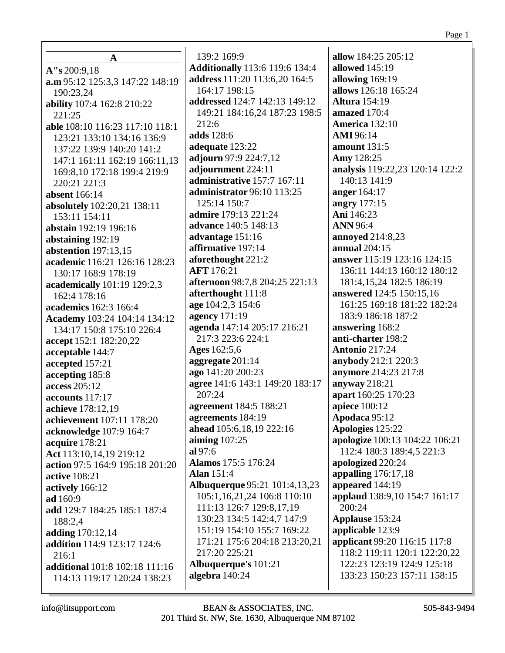| A                                    | 139:2 169:9                           | allow 184:25 205:12             |
|--------------------------------------|---------------------------------------|---------------------------------|
| A''s 200:9,18                        | <b>Additionally</b> 113:6 119:6 134:4 | allowed 145:19                  |
|                                      | address 111:20 113:6,20 164:5         | allowing 169:19                 |
| a.m 95:12 125:3,3 147:22 148:19      | 164:17 198:15                         | allows 126:18 165:24            |
| 190:23,24                            | addressed 124:7 142:13 149:12         | <b>Altura</b> 154:19            |
| ability 107:4 162:8 210:22<br>221:25 | 149:21 184:16,24 187:23 198:5         | amazed 170:4                    |
| able 108:10 116:23 117:10 118:1      | 212:6                                 | <b>America</b> 132:10           |
| 123:21 133:10 134:16 136:9           | adds 128:6                            | <b>AMI</b> 96:14                |
| 137:22 139:9 140:20 141:2            | adequate 123:22                       | amount 131:5                    |
| 147:1 161:11 162:19 166:11,13        | adjourn 97:9 224:7,12                 | Amy 128:25                      |
| 169:8,10 172:18 199:4 219:9          | adjournment 224:11                    | analysis 119:22,23 120:14 122:2 |
| 220:21 221:3                         | administrative 157:7 167:11           | 140:13 141:9                    |
| <b>absent</b> 166:14                 | administrator 96:10 113:25            | anger 164:17                    |
| absolutely 102:20,21 138:11          | 125:14 150:7                          | angry 177:15                    |
| 153:11 154:11                        | admire 179:13 221:24                  | Ani 146:23                      |
| abstain 192:19 196:16                | advance 140:5 148:13                  | <b>ANN 96:4</b>                 |
| abstaining 192:19                    | advantage 151:16                      | <b>annoyed</b> 214:8,23         |
| abstention $197:13.15$               | affirmative 197:14                    | annual 204:15                   |
| academic 116:21 126:16 128:23        | aforethought 221:2                    | answer 115:19 123:16 124:15     |
| 130:17 168:9 178:19                  | <b>AFT</b> 176:21                     | 136:11 144:13 160:12 180:12     |
| academically 101:19 129:2,3          | afternoon 98:7,8 204:25 221:13        | 181:4, 15, 24 182: 5 186: 19    |
| 162:4 178:16                         | afterthought 111:8                    | <b>answered</b> 124:5 150:15,16 |
| academics 162:3 166:4                | age 104:2,3 154:6                     | 161:25 169:18 181:22 182:24     |
| Academy 103:24 104:14 134:12         | agency 171:19                         | 183:9 186:18 187:2              |
| 134:17 150:8 175:10 226:4            | agenda 147:14 205:17 216:21           | answering 168:2                 |
| accept 152:1 182:20,22               | 217:3 223:6 224:1                     | anti-charter 198:2              |
| acceptable 144:7                     | Ages 162:5,6                          | <b>Antonio 217:24</b>           |
| accepted 157:21                      | aggregate 201:14                      | anybody 212:1 220:3             |
| accepting 185:8                      | ago 141:20 200:23                     | anymore 214:23 217:8            |
| access 205:12                        | agree 141:6 143:1 149:20 183:17       | anyway 218:21                   |
| accounts 117:17                      | 207:24                                | apart 160:25 170:23             |
| achieve 178:12,19                    | agreement 184:5 188:21                | apiece 100:12                   |
| achievement 107:11 178:20            | agreements 184:19                     | Apodaca 95:12                   |
| acknowledge 107:9 164:7              | ahead 105:6,18,19 222:16              | Apologies 125:22                |
| acquire 178:21                       | aiming $107:25$                       | apologize 100:13 104:22 106:21  |
| Act 113:10,14,19 219:12              | al 97:6                               | 112:4 180:3 189:4,5 221:3       |
| action 97:5 164:9 195:18 201:20      | Alamos 175:5 176:24                   | apologized 220:24               |
| <b>active</b> 108:21                 | <b>Alan</b> 151:4                     | appalling $176:17,18$           |
| actively 166:12                      | <b>Albuquerque 95:21 101:4,13,23</b>  | appeared 144:19                 |
| ad 160:9                             | 105:1,16,21,24 106:8 110:10           | applaud 138:9,10 154:7 161:17   |
| add 129:7 184:25 185:1 187:4         | 111:13 126:7 129:8,17,19              | 200:24                          |
| 188:2,4                              | 130:23 134:5 142:4,7 147:9            | Applause 153:24                 |
| adding 170:12,14                     | 151:19 154:10 155:7 169:22            | applicable 123:9                |
| addition 114:9 123:17 124:6          | 171:21 175:6 204:18 213:20,21         | applicant 99:20 116:15 117:8    |
| 216:1                                | 217:20 225:21                         | 118:2 119:11 120:1 122:20,22    |
| additional 101:8 102:18 111:16       | Albuquerque's 101:21                  | 122:23 123:19 124:9 125:18      |
| 114:13 119:17 120:24 138:23          | algebra 140:24                        | 133:23 150:23 157:11 158:15     |
|                                      |                                       |                                 |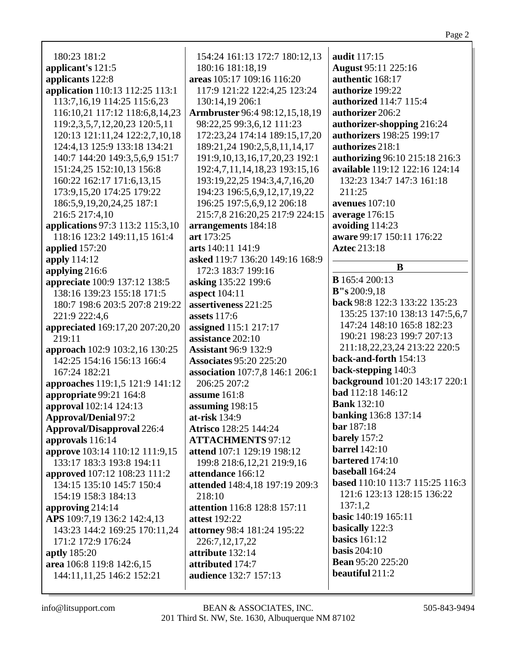| 180:23 181:2                      | 154:24 161:13 172:7 180:12,13         | audit 117:15                    |
|-----------------------------------|---------------------------------------|---------------------------------|
| applicant's 121:5                 | 180:16 181:18,19                      | <b>August 95:11 225:16</b>      |
| applicants 122:8                  | areas 105:17 109:16 116:20            | authentic 168:17                |
| application 110:13 112:25 113:1   | 117:9 121:22 122:4,25 123:24          | authorize 199:22                |
| 113:7, 16, 19 114: 25 115: 6, 23  | 130:14,19 206:1                       | authorized 114:7 115:4          |
| 116:10,21 117:12 118:6,8,14,23    | <b>Armbruster</b> 96:4 98:12,15,18,19 | authorizer 206:2                |
| 119:2,3,5,7,12,20,23 120:5,11     | 98:22,25 99:3,6,12 111:23             | authorizer-shopping 216:24      |
| 120:13 121:11,24 122:2,7,10,18    | 172:23,24 174:14 189:15,17,20         | authorizers 198:25 199:17       |
| 124:4,13 125:9 133:18 134:21      | 189:21,24 190:2,5,8,11,14,17          | authorizes 218:1                |
| 140:7 144:20 149:3,5,6,9 151:7    | 191:9, 10, 13, 16, 17, 20, 23 192: 1  | authorizing 96:10 215:18 216:3  |
| 151:24,25 152:10,13 156:8         | 192:4,7,11,14,18,23 193:15,16         | available 119:12 122:16 124:14  |
| 160:22 162:17 171:6,13,15         | 193:19,22,25 194:3,4,7,16,20          | 132:23 134:7 147:3 161:18       |
| 173:9,15,20 174:25 179:22         | 194:23 196:5,6,9,12,17,19,22          | 211:25                          |
| 186:5, 9, 19, 20, 24, 25 187:1    | 196:25 197:5,6,9,12 206:18            | avenues $107:10$                |
| 216:5 217:4,10                    | 215:7,8 216:20,25 217:9 224:15        | average 176:15                  |
| applications 97:3 113:2 115:3,10  | arrangements 184:18                   | avoiding 114:23                 |
| 118:16 123:2 149:11,15 161:4      | art 173:25                            | aware 99:17 150:11 176:22       |
| applied 157:20                    | arts 140:11 141:9                     | <b>Aztec 213:18</b>             |
| apply 114:12                      | asked 119:7 136:20 149:16 168:9       |                                 |
| applying 216:6                    | 172:3 183:7 199:16                    | B                               |
| appreciate 100:9 137:12 138:5     | asking 135:22 199:6                   | <b>B</b> 165:4 200:13           |
| 138:16 139:23 155:18 171:5        | aspect 104:11                         | B''s 200:9,18                   |
| 180:7 198:6 203:5 207:8 219:22    | assertiveness 221:25                  | back 98:8 122:3 133:22 135:23   |
| 221:9 222:4,6                     | <b>assets</b> 117:6                   | 135:25 137:10 138:13 147:5,6,7  |
| appreciated 169:17,20 207:20,20   | assigned 115:1 217:17                 | 147:24 148:10 165:8 182:23      |
| 219:11                            | assistance 202:10                     | 190:21 198:23 199:7 207:13      |
| approach 102:9 103:2,16 130:25    | <b>Assistant 96:9 132:9</b>           | 211:18,22,23,24 213:22 220:5    |
| 142:25 154:16 156:13 166:4        | <b>Associates 95:20 225:20</b>        | back-and-forth 154:13           |
| 167:24 182:21                     | association 107:7,8 146:1 206:1       | back-stepping 140:3             |
| approaches 119:1,5 121:9 141:12   | 206:25 207:2                          | background 101:20 143:17 220:1  |
| appropriate 99:21 164:8           | assume 161:8                          | bad 112:18 146:12               |
| approval 102:14 124:13            | assuming 198:15                       | <b>Bank</b> 132:10              |
| <b>Approval/Denial 97:2</b>       | at-risk 134:9                         | <b>banking</b> 136:8 137:14     |
| <b>Approval/Disapproval</b> 226:4 | Atrisco 128:25 144:24                 | bar 187:18                      |
| approvals 116:14                  | <b>ATTACHMENTS 97:12</b>              | barely 157:2                    |
| approve 103:14 110:12 111:9,15    | attend 107:1 129:19 198:12            | <b>barrel</b> 142:10            |
| 133:17 183:3 193:8 194:11         | 199:8 218:6, 12, 21 219:9, 16         | bartered 174:10                 |
| approved 107:12 108:23 111:2      | attendance 166:12                     | baseball 164:24                 |
| 134:15 135:10 145:7 150:4         | attended 148:4,18 197:19 209:3        | based 110:10 113:7 115:25 116:3 |
| 154:19 158:3 184:13               | 218:10                                | 121:6 123:13 128:15 136:22      |
| approving 214:14                  | <b>attention</b> 116:8 128:8 157:11   | 137:1,2                         |
| APS 109:7,19 136:2 142:4,13       | <b>attest</b> 192:22                  | <b>basic</b> 140:19 165:11      |
| 143:23 144:2 169:25 170:11,24     | attorney 98:4 181:24 195:22           | basically 122:3                 |
| 171:2 172:9 176:24                | 226:7,12,17,22                        | basics $161:12$                 |
|                                   |                                       |                                 |
| aptly 185:20                      | attribute 132:14                      | basis $204:10$                  |
| area 106:8 119:8 142:6,15         | attributed 174:7                      | <b>Bean</b> 95:20 225:20        |
| 144:11,11,25 146:2 152:21         | <b>audience</b> 132:7 157:13          | beautiful 211:2                 |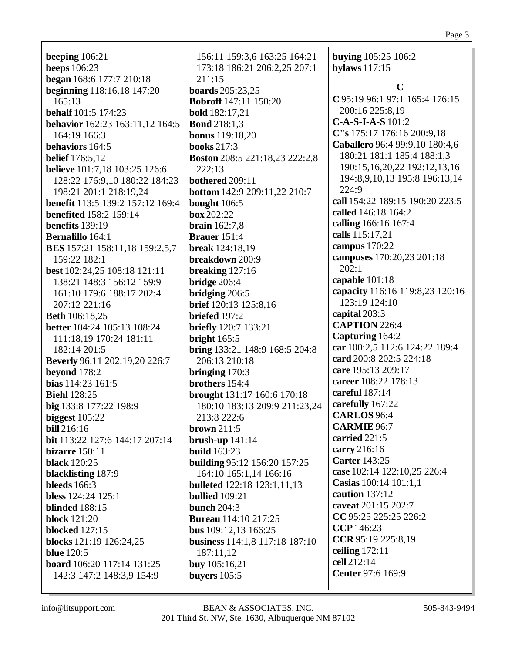**beeps** 106:23 **began** 168:6 177:7 210:18 **beginning** 118:16,18 147:20 165:13 **behalf** 101:5 174:23 **behavior** 162:23 163:11,12 164:5 164:19 166:3 **behaviors** 164:5 **belief** 176:5,12 **believe** 101:7,18 103:25 126:6 128:22 176:9,10 180:22 184:23 198:21 201:1 218:19,24 **benefit** 113:5 139:2 157:12 169:4 **benefited** 158:2 159:14 **benefits** 139:19 **Bernalillo** 164:1 **BES** 157:21 158:11,18 159:2,5,7 159:22 182:1 **best** 102:24,25 108:18 121:11 138:21 148:3 156:12 159:9 161:10 179:6 188:17 202:4 207:12 221:16 **Beth** 106:18,25 **better** 104:24 105:13 108:24 111:18,19 170:24 181:11 182:14 201:5 **Beverly** 96:11 202:19,20 226:7 **beyond** 178:2 **bias** 114:23 161:5 **Biehl** 128:25 **big** 133:8 177:22 198:9 **biggest** 105:22 **bill** 216:16 **bit** 113:22 127:6 144:17 207:14 **bizarre** 150:11 **black** 120:25 **blacklisting** 187:9 **bleeds** 166:3 **bless** 124:24 125:1 **blinded** 188:15 **block** 121:20 **blocked** 127:15 **blocks** 121:19 126:24,25 **blue** 120:5 **board** 106:20 117:14 131:25 142:3 147:2 148:3,9 154:9

**beeping** 106:21

156:11 159:3,6 163:25 164:21 173:18 186:21 206:2,25 207:1 211:15 **boards** 205:23,25 **Bobroff** 147:11 150:20 **bold** 182:17,21 **Bond** 218:1,3 **bonus** 119:18,20 **books** 217:3 **Boston** 208:5 221:18,23 222:2,8 222:13 **bothered** 209:11 **bottom** 142:9 209:11,22 210:7 **bought** 106:5 **box** 202:22 **brain** 162:7,8 **Brauer** 151:4 **break** 124:18,19 **breakdown** 200:9 **breaking** 127:16 **bridge** 206:4 **bridging** 206:5 **brief** 120:13 125:8,16 **briefed** 197:2 **briefly** 120:7 133:21 **bright** 165:5 **bring** 133:21 148:9 168:5 204:8 206:13 210:18 **bringing** 170:3 **brothers** 154:4 **brought** 131:17 160:6 170:18 180:10 183:13 209:9 211:23,24 213:8 222:6 **brown** 211:5 **brush-up** 141:14 **build** 163:23 **building** 95:12 156:20 157:25 164:10 165:1,14 166:16 **bulleted** 122:18 123:1,11,13 **bullied** 109:21 **bunch** 204:3 **Bureau** 114:10 217:25 **bus** 109:12,13 166:25 **business** 114:1,8 117:18 187:10 187:11,12 **buy** 105:16,21 **buyers** 105:5

**buying** 105:25 106:2 **bylaws** 117:15 **C C** 95:19 96:1 97:1 165:4 176:15 200:16 225:8,19 **C-A-S-I-A-S** 101:2 **C"s** 175:17 176:16 200:9,18 **Caballero** 96:4 99:9,10 180:4,6 180:21 181:1 185:4 188:1,3 190:15,16,20,22 192:12,13,16 194:8,9,10,13 195:8 196:13,14 224:9 **call** 154:22 189:15 190:20 223:5 **called** 146:18 164:2 **calling** 166:16 167:4 **calls** 115:17,21 **campus** 170:22 **campuses** 170:20,23 201:18 202:1 **capable** 101:18 **capacity** 116:16 119:8,23 120:16 123:19 124:10 **capital** 203:3 **CAPTION** 226:4 **Capturing** 164:2 **car** 100:2,5 112:6 124:22 189:4 **card** 200:8 202:5 224:18 **care** 195:13 209:17 **career** 108:22 178:13 **careful** 187:14 **carefully** 167:22 **CARLOS** 96:4 **CARMIE** 96:7 **carried** 221:5 **carry** 216:16 **Carter** 143:25 **case** 102:14 122:10,25 226:4 **Casias** 100:14 101:1,1 **caution** 137:12 **caveat** 201:15 202:7 **CC** 95:25 225:25 226:2 **CCP** 146:23 **CCR** 95:19 225:8,19 **ceiling** 172:11 **cell** 212:14 **Center** 97:6 169:9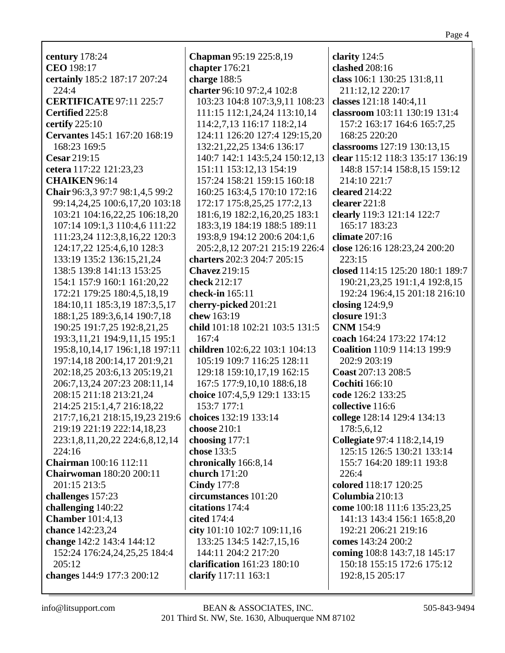century 178:24 CEO 198:17 certainly 185:2 187:17 207:24  $224:4$ **CERTIFICATE 97:11 225:7** Certified 225:8 certify  $225:10$ Cervantes 145:1 167:20 168:19 168:23 169:5 Cesar 219:15 cetera 117:22 121:23.23 **CHAIKEN** 96:14 Chair 96:3,3 97:7 98:1,4,5 99:2 99:14,24,25 100:6,17,20 103:18 103:21 104:16,22,25 106:18,20 107:14 109:1,3 110:4,6 111:22 111:23,24 112:3,8,16,22 120:3 124:17,22 125:4,6,10 128:3 133:19 135:2 136:15,21,24 138:5 139:8 141:13 153:25 154:1 157:9 160:1 161:20,22 172:21 179:25 180:4,5,18,19 184:10.11 185:3.19 187:3.5.17 188:1,25 189:3,6,14 190:7,18 190:25 191:7,25 192:8,21,25 193:3, 11, 21 194: 9, 11, 15 195: 1 195:8, 10, 14, 17 196:1, 18 197:11 197:14,18 200:14,17 201:9,21 202:18.25 203:6.13 205:19.21 206:7,13,24 207:23 208:11,14 208:15 211:18 213:21,24 214:25 215:1,4,7 216:18,22 217:7,16,21 218:15,19,23 219:6 219:19 221:19 222:14,18,23 223:1,8,11,20,22 224:6,8,12,14  $224.16$ **Chairman** 100:16 112:11 **Chairwoman** 180:20 200:11 201:15 213:5 challenges 157:23 challenging  $140:22$ **Chamber** 101:4.13 chance 142:23,24 change 142:2 143:4 144:12 152:24 176:24,24,25,25 184:4  $205:12$ changes 144:9 177:3 200:12

**Chapman** 95:19 225:8,19 chapter  $176:21$ charge 188:5 charter 96:10 97:2,4 102:8 103:23 104:8 107:3,9,11 108:23 111:15 112:1,24,24 113:10,14 114:2,7,13 116:17 118:2.14 124:11 126:20 127:4 129:15.20 132:21, 22, 25 134: 6 136: 17 140:7 142:1 143:5,24 150:12,13 151:11 153:12.13 154:19 157:24 158:21 159:15 160:18 160:25 163:4,5 170:10 172:16 172:17 175:8,25,25 177:2,13 181:6, 19 182:2, 16, 20, 25 183:1 183:3,19 184:19 188:5 189:11 193:8.9 194:12 200:6 204:1.6 205:2,8,12 207:21 215:19 226:4 charters 202:3 204:7 205:15 **Chavez** 219:15 check 212:17 check-in  $165:11$ cherry-picked 201:21 chew  $163:19$ child 101:18 102:21 103:5 131:5  $167:4$ children 102:6,22 103:1 104:13 105:19 109:7 116:25 128:11 129:18 159:10,17,19 162:15 167:5 177:9,10,10 188:6,18 choice 107:4,5,9 129:1 133:15 153:7 177:1 choices 132:19 133:14 choose 210:1 choosing  $177:1$ chose 133:5 chronically 166:8,14 church  $171:20$ **Cindy** 177:8 circumstances 101:20 citations  $174:4$ cited 174:4 city 101:10 102:7 109:11,16 133:25 134:5 142:7.15.16 144:11 204:2 217:20 clarification  $161:23$   $180:10$ clarify 117:11 163:1

clarity  $124:5$ clashed  $208:16$ class 106:1 130:25 131:8,11 211:12,12 220:17 classes 121:18 140:4,11 classroom 103:11 130:19 131:4 157:2 163:17 164:6 165:7,25 168:25 220:20 classrooms 127:19 130:13,15 clear 115:12 118:3 135:17 136:19 148:8 157:14 158:8.15 159:12 214:10 221:7 cleared  $214:22$ clearer 221:8 clearly 119:3 121:14 122:7 165:17 183:23 climate  $207:16$ close 126:16 128:23,24 200:20  $223:15$ closed 114:15 125:20 180:1 189:7 190:21,23,25 191:1,4 192:8,15 192:24 196:4,15 201:18 216:10 closing  $124:9.9$ closure  $191:3$ **CNM** 154:9 coach 164:24 173:22 174:12 Coalition 110:9 114:13 199:9 202:9 203:19 Coast 207:13 208:5 **Cochiti** 166:10 code 126:2 133:25 collective 116:6 college 128:14 129:4 134:13 178:5,6,12 Collegiate 97:4 118:2,14,19 125:15 126:5 130:21 133:14 155:7 164:20 189:11 193:8  $226:4$ colored 118:17 120:25 Columbia 210:13 come 100:18 111:6 135:23,25 141:13 143:4 156:1 165:8,20 192:21 206:21 219:16 comes 143:24 200:2 coming 108:8 143:7,18 145:17 150:18 155:15 172:6 175:12 192:8,15 205:17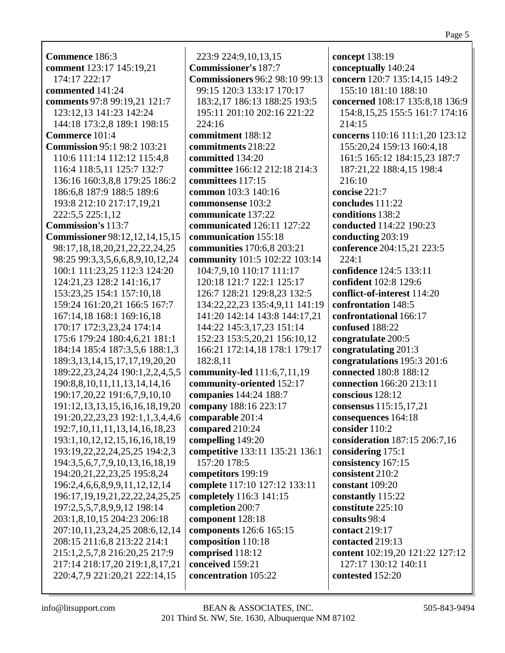**Commence** 186:3 **comment** 123:17 145:19,21 174:17 222:17 **commented** 141:24 **comments** 97:8 99:19,21 121:7 123:12,13 141:23 142:24 144:18 173:2,8 189:1 198:15 **Commerce** 101:4 **Commission** 95:1 98:2 103:21 110:6 111:14 112:12 115:4,8 116:4 118:5,11 125:7 132:7 136:16 160:3,8,8 179:25 186:2 186:6,8 187:9 188:5 189:6 193:8 212:10 217:17,19,21 222:5,5 225:1,12 **Commission's** 113:7 **Commissioner** 98:12,12,14,15,15 98:17,18,18,20,21,22,22,24,25 98:25 99:3,3,5,6,6,8,9,10,12,24 100:1 111:23,25 112:3 124:20 124:21,23 128:2 141:16,17 153:23,25 154:1 157:10,18 159:24 161:20,21 166:5 167:7 167:14,18 168:1 169:16,18 170:17 172:3,23,24 174:14 175:6 179:24 180:4,6,21 181:1 184:14 185:4 187:3,5,6 188:1,3 189:3,13,14,15,17,17,19,20,20 189:22,23,24,24 190:1,2,2,4,5,5 190:8,8,10,11,11,13,14,14,16 190:17,20,22 191:6,7,9,10,10 191:12,13,13,15,16,16,18,19,20 191:20,22,23,23 192:1,1,3,4,4,6 192:7,10,11,11,13,14,16,18,23 193:1,10,12,12,15,16,16,18,19 193:19,22,22,24,25,25 194:2,3 194:3,5,6,7,7,9,10,13,16,18,19 194:20,21,22,23,25 195:8,24 196:2,4,6,6,8,9,9,11,12,12,14 196:17,19,19,21,22,22,24,25,25 197:2,5,5,7,8,9,9,12 198:14 203:1,8,10,15 204:23 206:18 207:10,11,23,24,25 208:6,12,14 208:15 211:6,8 213:22 214:1 215:1,2,5,7,8 216:20,25 217:9 217:14 218:17,20 219:1,8,17,21 220:4,7,9 221:20,21 222:14,15

223:9 224:9,10,13,15 **Commissioner's** 187:7 **Commissioners** 96:2 98:10 99:13 99:15 120:3 133:17 170:17 183:2,17 186:13 188:25 193:5 195:11 201:10 202:16 221:22 224:16 **commitment** 188:12 **commitments** 218:22 **committed** 134:20 **committee** 166:12 212:18 214:3 **committees** 117:15 **common** 103:3 140:16 **commonsense** 103:2 **communicate** 137:22 **communicated** 126:11 127:22 **communication** 155:18 **communities** 170:6,8 203:21 **community** 101:5 102:22 103:14 104:7,9,10 110:17 111:17 120:18 121:7 122:1 125:17 126:7 128:21 129:8,23 132:5 134:22,22,23 135:4,9,11 141:19 141:20 142:14 143:8 144:17,21 144:22 145:3,17,23 151:14 152:23 153:5,20,21 156:10,12 166:21 172:14,18 178:1 179:17 182:8,11 **community-led** 111:6,7,11,19 **community-oriented** 152:17 **companies** 144:24 188:7 **company** 188:16 223:17 **comparable** 201:4 **compared** 210:24 **compelling** 149:20 **competitive** 133:11 135:21 136:1 157:20 178:5 **competitors** 199:19 **complete** 117:10 127:12 133:11 **completely** 116:3 141:15 **completion** 200:7 **component** 128:18 **components** 126:6 165:15 **composition** 110:18 **comprised** 118:12 **conceived** 159:21 **concentration** 105:22

**concept** 138:19 **conceptually** 140:24 **concern** 120:7 135:14,15 149:2 155:10 181:10 188:10 **concerned** 108:17 135:8,18 136:9 154:8,15,25 155:5 161:7 174:16 214:15 **concerns** 110:16 111:1,20 123:12 155:20,24 159:13 160:4,18 161:5 165:12 184:15,23 187:7 187:21,22 188:4,15 198:4 216:10 **concise** 221:7 **concludes** 111:22 **conditions** 138:2 **conducted** 114:22 190:23 **conducting** 203:19 **conference** 204:15,21 223:5 224:1 **confidence** 124:5 133:11 **confident** 102:8 129:6 **conflict-of-interest** 114:20 **confrontation** 148:5 **confrontational** 166:17 **confused** 188:22 **congratulate** 200:5 **congratulating** 201:3 **congratulations** 195:3 201:6 **connected** 180:8 188:12 **connection** 166:20 213:11 **conscious** 128:12 **consensus** 115:15,17,21 **consequences** 164:18 **consider** 110:2 **consideration** 187:15 206:7,16 **considering** 175:1 **consistency** 167:15 **consistent** 210:2 **constant** 109:20 **constantly** 115:22 **constitute** 225:10 **consults** 98:4 **contact** 219:17 **contacted** 219:13 **content** 102:19,20 121:22 127:12 127:17 130:12 140:11 **contested** 152:20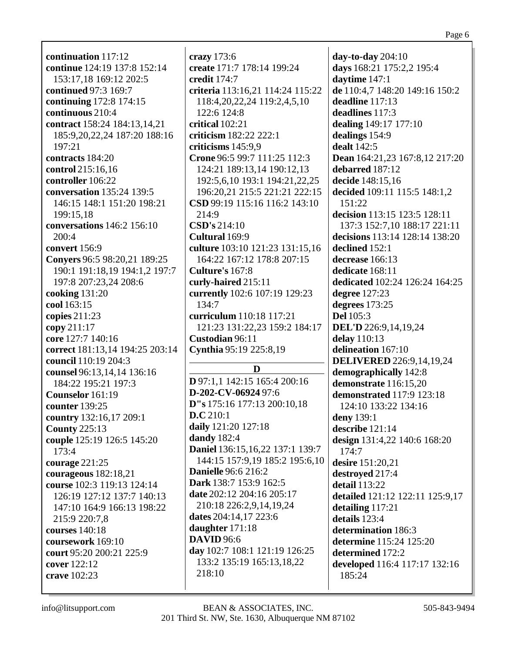**continuation** 117:12 **continue** 124:19 137:8 152:14 153:17,18 169:12 202:5 **continued** 97:3 169:7 **continuing** 172:8 174:15 **continuous** 210:4 **contract** 158:24 184:13,14,21 185:9,20,22,24 187:20 188:16 197:21 **contracts** 184:20 **control** 215:16,16 **controller** 106:22 **conversation** 135:24 139:5 146:15 148:1 151:20 198:21 199:15,18 **conversations** 146:2 156:10 200:4 **convert** 156:9 **Conyers** 96:5 98:20,21 189:25 190:1 191:18,19 194:1,2 197:7 197:8 207:23,24 208:6 **cooking** 131:20 **cool** 163:15 **copies** 211:23 **copy** 211:17 **core** 127:7 140:16 **correct** 181:13,14 194:25 203:14 **council** 110:19 204:3 **counsel** 96:13,14,14 136:16 184:22 195:21 197:3 **Counselor** 161:19 **counter** 139:25 **country** 132:16,17 209:1 **County** 225:13 **couple** 125:19 126:5 145:20 173:4 **courage** 221:25 **courageous** 182:18,21 **course** 102:3 119:13 124:14 126:19 127:12 137:7 140:13 147:10 164:9 166:13 198:22 215:9 220:7,8 **courses** 140:18 **coursework** 169:10 **court** 95:20 200:21 225:9 **cover** 122:12 **crave** 102:23

**crazy** 173:6 **create** 171:7 178:14 199:24 **credit** 174:7 **criteria** 113:16,21 114:24 115:22 118:4,20,22,24 119:2,4,5,10 122:6 124:8 **critical** 102:21 **criticism** 182:22 222:1 **criticisms** 145:9,9 **Crone** 96:5 99:7 111:25 112:3 124:21 189:13,14 190:12,13 192:5,6,10 193:1 194:21,22,25 196:20,21 215:5 221:21 222:15 **CSD** 99:19 115:16 116:2 143:10 214:9 **CSD's** 214:10 **Cultural** 169:9 **culture** 103:10 121:23 131:15,16 164:22 167:12 178:8 207:15 **Culture's** 167:8 **curly-haired** 215:11 **currently** 102:6 107:19 129:23 134:7 **curriculum** 110:18 117:21 121:23 131:22,23 159:2 184:17 **Custodian** 96:11 **Cynthia** 95:19 225:8,19 **D D** 97:1,1 142:15 165:4 200:16

**D-202-CV-06924** 97:6

**daily** 121:20 127:18

**Danielle** 96:6 216:2 **Dark** 138:7 153:9 162:5 **date** 202:12 204:16 205:17 210:18 226:2,9,14,19,24

**dates** 204:14,17 223:6 **daughter** 171:18 **DAVID** 96:6

**D.C** 210:1

**dandy** 182:4

218:10

**D"s** 175:16 177:13 200:10,18

**Daniel** 136:15,16,22 137:1 139:7 144:15 157:9,19 185:2 195:6,10 **days** 168:21 175:2,2 195:4 **daytime** 147:1 **de** 110:4,7 148:20 149:16 150:2 **deadline** 117:13 **deadlines** 117:3 **dealing** 149:17 177:10 **dealings** 154:9 **dealt** 142:5 **Dean** 164:21,23 167:8,12 217:20 **debarred** 187:12 **decide** 148:15,16 **decided** 109:11 115:5 148:1,2 151:22 **decision** 113:15 123:5 128:11 137:3 152:7,10 188:17 221:11 **decisions** 113:14 128:14 138:20 **declined** 152:1 **decrease** 166:13 **dedicate** 168:11 **dedicated** 102:24 126:24 164:25 **degree** 127:23 **degrees** 173:25 **Del** 105:3 **DEL'D** 226:9,14,19,24 **delay** 110:13 **delineation** 167:10 **DELIVERED** 226:9,14,19,24 **demographically** 142:8 **demonstrate** 116:15,20 **demonstrated** 117:9 123:18 124:10 133:22 134:16 **deny** 139:1 **describe** 121:14 **design** 131:4,22 140:6 168:20  $174.7$ **desire** 151:20,21 **destroyed** 217:4 **detail** 113:22 **detailed** 121:12 122:11 125:9,17 **detailing** 117:21 **details** 123:4 **determination** 186:3 **determine** 115:24 125:20 **determined** 172:2 **developed** 116:4 117:17 132:16 185:24

**day-to-day** 204:10

**day** 102:7 108:1 121:19 126:25 133:2 135:19 165:13,18,22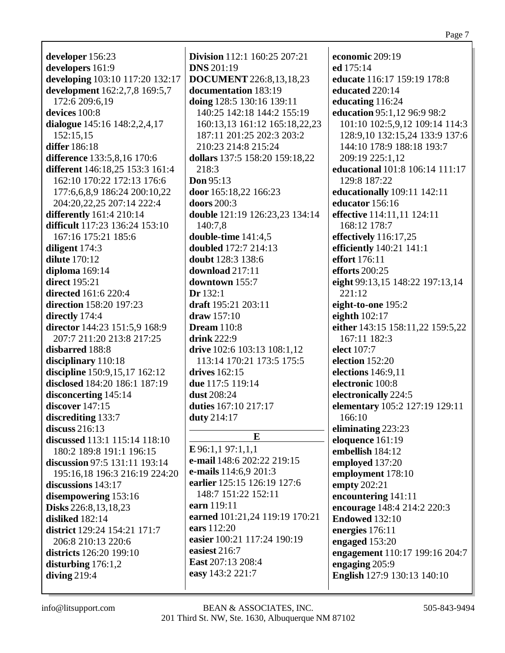| developer 156:23                                      | <b>Division</b> 112:1 160:25 207:21 |
|-------------------------------------------------------|-------------------------------------|
| developers 161:9                                      | <b>DNS</b> 201:19                   |
| developing 103:10 117:20 132:17                       | <b>DOCUMENT</b> 226:8,13,18,23      |
| development 162:2,7,8 169:5,7                         | documentation 183:19                |
| 172:6 209:6,19                                        | doing 128:5 130:16 139:11           |
| devices 100:8                                         | 140:25 142:18 144:2 155:19          |
| dialogue 145:16 148:2,2,4,17                          | 160:13,13 161:12 165:18,22,23       |
| 152:15,15                                             | 187:11 201:25 202:3 203:2           |
| differ 186:18                                         | 210:23 214:8 215:24                 |
| difference 133:5,8,16 170:6                           | dollars 137:5 158:20 159:18,22      |
| different 146:18,25 153:3 161:4                       | 218:3                               |
| 162:10 170:22 172:13 176:6                            | Don 95:13                           |
|                                                       |                                     |
| 177:6,6,8,9 186:24 200:10,22                          | door 165:18,22 166:23               |
| 204:20,22,25 207:14 222:4                             | doors 200:3                         |
| differently 161:4 210:14                              | double 121:19 126:23,23 134:14      |
| difficult 117:23 136:24 153:10                        | 140:7,8                             |
| 167:16 175:21 185:6                                   | double-time 141:4,5                 |
| diligent 174:3                                        | doubled 172:7 214:13                |
| <b>dilute</b> 170:12                                  | doubt 128:3 138:6                   |
| diploma 169:14                                        | download 217:11                     |
| <b>direct</b> 195:21                                  | downtown 155:7                      |
| <b>directed</b> 161:6 220:4                           | Dr 132:1                            |
| <b>direction</b> 158:20 197:23                        | draft 195:21 203:11                 |
| directly 174:4                                        | draw $157:10$                       |
| director 144:23 151:5,9 168:9                         | <b>Dream</b> 110:8                  |
| 207:7 211:20 213:8 217:25                             | <b>drink</b> 222:9                  |
| disbarred 188:8                                       | drive 102:6 103:13 108:1,12         |
| disciplinary 110:18                                   | 113:14 170:21 173:5 175:5           |
| discipline 150:9,15,17 162:12                         | drives 162:15                       |
| disclosed 184:20 186:1 187:19                         | due 117:5 119:14                    |
| disconcerting 145:14                                  | dust 208:24                         |
| discover $147:15$                                     | duties 167:10 217:17                |
| discrediting 133:7                                    | duty 214:17                         |
| discuss $216:13$                                      |                                     |
| discussed 113:1 115:14 118:10                         | E                                   |
| 180:2 189:8 191:1 196:15                              | $E$ 96:1,197:1,1,1                  |
| discussion 97:5 131:11 193:14                         | e-mail 148:6 202:22 219:15          |
|                                                       | e-mails 114:6,9 201:3               |
| 195:16,18 196:3 216:19 224:20<br>discussions $143:17$ | earlier 125:15 126:19 127:6         |
|                                                       | 148:7 151:22 152:11                 |
| disempowering 153:16                                  | earn 119:11                         |
| Disks 226:8,13,18,23                                  | earned 101:21,24 119:19 170:21      |
| disliked 182:14                                       | ears 112:20                         |
| district 129:24 154:21 171:7                          |                                     |
| 206:8 210:13 220:6                                    | easier 100:21 117:24 190:19         |
| districts 126:20 199:10                               | easiest 216:7                       |
| disturbing $176:1,2$                                  | East 207:13 208:4                   |
| diving $219:4$                                        | easy 143:2 221:7                    |
|                                                       |                                     |

**economic** 209:19 **ed** 175:14 **educate** 116:17 159:19 178:8 **educated** 220:14 **educating** 116:24 **education** 95:1,12 96:9 98:2 101:10 102:5,9,12 109:14 114:3 128:9,10 132:15,24 133:9 137:6 144:10 178:9 188:18 193:7 209:19 225:1,12 **educational** 101:8 106:14 111:17 129:8 187:22 **educationally** 109:11 142:11 **educator** 156:16 **effective** 114:11,11 124:11 168:12 178:7 **effectively** 116:17,25 **efficiently** 140:21 141:1 **effort** 176:11 **efforts** 200:25 **eight** 99:13,15 148:22 197:13,14 221:12 **eight-to-one** 195:2 **eighth** 102:17 **either** 143:15 158:11,22 159:5,22 167:11 182:3 **elect** 107:7 **election** 152:20 **elections** 146:9,11 **electronic** 100:8 **electronically** 224:5 **elementary** 105:2 127:19 129:11 166:10 **eliminating** 223:23 **eloquence** 161:19 **embellish** 184:12 **employed** 137:20 **employment** 178:10 **empty** 202:21 **encountering** 141:11 **encourage** 148:4 214:2 220:3 **Endowed** 132:10 **energies** 176:11 **engaged** 153:20 **engagement** 110:17 199:16 204:7 **engaging** 205:9 **English** 127:9 130:13 140:10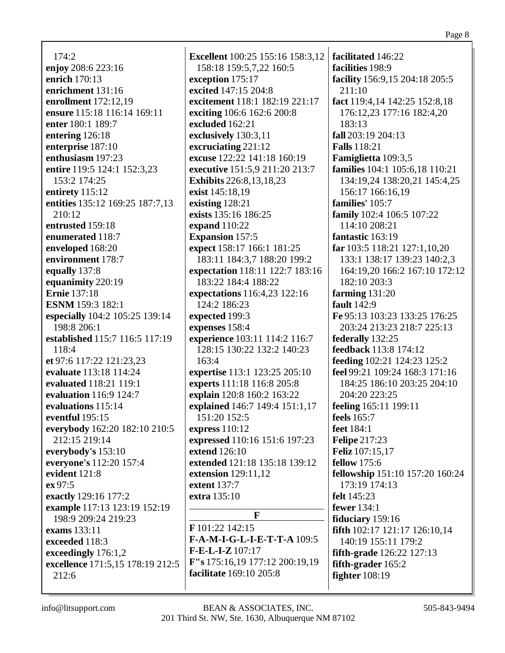$174:2$ enjoy 208:6 223:16 enrich 170:13 enrichment 131:16 enrollment 172:12,19 ensure 115:18 116:14 169:11 enter  $180:1 189:7$ entering 126:18 enterprise 187:10 enthusiasm 197:23 entire 119:5 124:1 152:3.23 153:2 174:25 entirety 115:12 entities 135:12 169:25 187:7,13  $210:12$ entrusted 159:18 enumerated 118:7 enveloped 168:20 environment 178:7 equally 137:8 equanimity 220:19 **Ernie** 137:18 **ESNM** 159:3 182:1 especially 104:2 105:25 139:14 198:8 206:1 established 115:7 116:5 117:19 118:4 et 97:6 117:22 121:23.23 evaluate 113:18 114:24 evaluated 118:21 119:1 evaluation 116:9 124:7 evaluations 115:14 eventful 195:15 everybody 162:20 182:10 210:5 212:15 219:14 everybody's  $153:10$ everyone's 112:20 157:4 evident 121:8 ex 97:5 exactly 129:16 177:2 example 117:13 123:19 152:19 198:9 209:24 219:23 exams 133:11 exceeded 118:3 exceedingly 176:1,2 excellence 171:5,15 178:19 212:5  $212:6$ 

**Excellent** 100:25 155:16 158:3,12 158:18 159:5,7,22 160:5 exception 175:17 excited 147:15 204:8 excitement 118:1 182:19 221:17 exciting 106:6 162:6 200:8 excluded  $162:21$ exclusively 130:3,11 excruciating  $221:12$ excuse 122:22 141:18 160:19 executive 151:5.9 211:20 213:7 **Exhibits** 226:8,13,18,23 exist 145:18,19 existing  $128:21$ exists 135:16 186:25 expand  $110:22$ **Expansion** 157:5 expect 158:17 166:1 181:25 183:11 184:3.7 188:20 199:2 expectation 118:11 122:7 183:16 183:22 184:4 188:22 **expectations** 116:4,23 122:16 124:2 186:23 expected 199:3 expenses 158:4 experience 103:11 114:2 116:7 128:15 130:22 132:2 140:23  $163:4$ expertise 113:1 123:25 205:10 experts 111:18 116:8 205:8 explain 120:8 160:2 163:22 explained 146:7 149:4 151:1,17 151:20 152:5 express  $110:12$ expressed 110:16 151:6 197:23 extend  $126:10$ extended 121:18 135:18 139:12 extension 129:11,12 extent 137:7 extra  $135:10$ F F 101:22 142:15

F-A-M-I-G-L-I-E-T-T-A 109:5  $F-E-L-I-Z 107:17$ F"s 175:16,19 177:12 200:19,19 facilitate 169:10 205:8

facilitated 146:22 facilities 198:9 facility 156:9,15 204:18 205:5  $211:10$ fact 119:4,14 142:25 152:8,18 176:12,23 177:16 182:4,20  $183:13$ fall 203:19 204:13 **Falls** 118:21 Famiglietta 109:3,5 **families** 104:1 105:6.18 110:21 134:19.24 138:20.21 145:4.25 156:17 166:16,19 families' 105:7 family 102:4 106:5 107:22 114:10 208:21 fantastic 163:19 **far** 103:5 118:21 127:1,10,20 133:1 138:17 139:23 140:2,3 164:19,20 166:2 167:10 172:12 182:10 203:3 farming  $131:20$ **fault** 142:9 Fe 95:13 103:23 133:25 176:25 203:24 213:23 218:7 225:13 federally 132:25 feedback 113:8 174:12 feeding 102:21 124:23 125:2 feel 99:21 109:24 168:3 171:16 184:25 186:10 203:25 204:10 204:20 223:25 feeling 165:11 199:11 feels 165:7 feet 184:1 **Felipe** 217:23 **Feliz** 107:15.17 **fellow** 175:6 fellowship 151:10 157:20 160:24 173:19 174:13 felt  $145:23$ fewer 134:1 fiduciary  $159:16$ fifth 102:17 121:17 126:10,14 140:19 155:11 179:2 **fifth-grade** 126:22 127:13 fifth-grader 165:2 fighter  $108:19$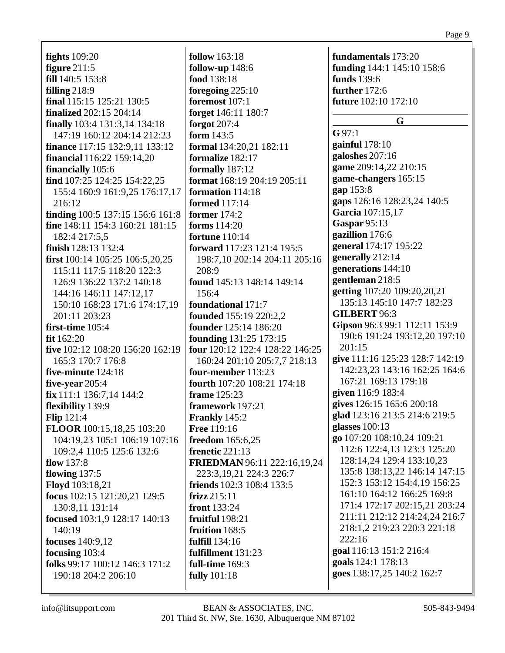**fights** 109:20 **figure** 211:5 **fill** 140:5 153:8 **filling** 218:9 **final** 115:15 125:21 130:5 **finalized** 202:15 204:14 **finally** 103:4 131:3,14 134:18 147:19 160:12 204:14 212:23 **finance** 117:15 132:9,11 133:12 **financial** 116:22 159:14,20 **financially** 105:6 **find** 107:25 124:25 154:22,25 155:4 160:9 161:9,25 176:17,17 216:12 **finding** 100:5 137:15 156:6 161:8 **fine** 148:11 154:3 160:21 181:15 182:4 217:5,5 **finish** 128:13 132:4 **first** 100:14 105:25 106:5,20,25 115:11 117:5 118:20 122:3 126:9 136:22 137:2 140:18 144:16 146:11 147:12,17 150:10 168:23 171:6 174:17,19 201:11 203:23 **first-time** 105:4 **fit** 162:20 **five** 102:12 108:20 156:20 162:19 165:3 170:7 176:8 **five-minute** 124:18 **five-year** 205:4 **fix** 111:1 136:7,14 144:2 **flexibility** 139:9 **Flip** 121:4 **FLOOR** 100:15,18,25 103:20 104:19,23 105:1 106:19 107:16 109:2,4 110:5 125:6 132:6 **flow** 137:8 **flowing** 137:5 **Floyd** 103:18,21 **focus** 102:15 121:20,21 129:5 130:8,11 131:14 **focused** 103:1,9 128:17 140:13 140:19 **focuses** 140:9,12 **focusing** 103:4 **folks** 99:17 100:12 146:3 171:2 190:18 204:2 206:10

**follow** 163:18 **follow-up** 148:6 **food** 138:18 **foregoing** 225:10 **foremost** 107:1 **forget** 146:11 180:7 **forgot** 207:4 **form** 143:5 **formal** 134:20,21 182:11 **formalize** 182:17 **formally** 187:12 **format** 168:19 204:19 205:11 **formation** 114:18 **formed** 117:14 **former** 174:2 **forms** 114:20 **fortune** 110:14 **forward** 117:23 121:4 195:5 198:7,10 202:14 204:11 205:16 208:9 **found** 145:13 148:14 149:14 156:4 **foundational** 171:7 **founded** 155:19 220:2,2 **founder** 125:14 186:20 **founding** 131:25 173:15 **four** 120:12 122:4 128:22 146:25 160:24 201:10 205:7,7 218:13 **four-member** 113:23 **fourth** 107:20 108:21 174:18 **frame** 125:23 **framework** 197:21 **Frankly** 145:2 **Free** 119:16 **freedom** 165:6,25 **frenetic** 221:13 **FRIEDMAN** 96:11 222:16,19,24 223:3,19,21 224:3 226:7 **friends** 102:3 108:4 133:5 **frizz** 215:11 **front** 133:24 **fruitful** 198:21 **fruition** 168:5 **fulfill** 134:16 **fulfillment** 131:23 **full-time** 169:3 **fully** 101:18

**fundamentals** 173:20 **funding** 144:1 145:10 158:6 **funds** 139:6 **further** 172:6 **future** 102:10 172:10

**G**

**G** 97:1 **gainful** 178:10 **galoshes** 207:16 **game** 209:14,22 210:15 **game-changers** 165:15 **gap** 153:8 **gaps** 126:16 128:23,24 140:5 **Garcia** 107:15,17 **Gaspar** 95:13 **gazillion** 176:6 **general** 174:17 195:22 **generally** 212:14 **generations** 144:10 **gentleman** 218:5 **getting** 107:20 109:20,20,21 135:13 145:10 147:7 182:23 **GILBERT** 96:3 **Gipson** 96:3 99:1 112:11 153:9 190:6 191:24 193:12,20 197:10  $201:15$ **give** 111:16 125:23 128:7 142:19 142:23,23 143:16 162:25 164:6 167:21 169:13 179:18 **given** 116:9 183:4 **gives** 126:15 165:6 200:18 **glad** 123:16 213:5 214:6 219:5 **glasses** 100:13 **go** 107:20 108:10,24 109:21 112:6 122:4,13 123:3 125:20 128:14,24 129:4 133:10,23 135:8 138:13,22 146:14 147:15 152:3 153:12 154:4,19 156:25 161:10 164:12 166:25 169:8 171:4 172:17 202:15,21 203:24 211:11 212:12 214:24,24 216:7 218:1,2 219:23 220:3 221:18 222:16 **goal** 116:13 151:2 216:4 **goals** 124:1 178:13 **goes** 138:17,25 140:2 162:7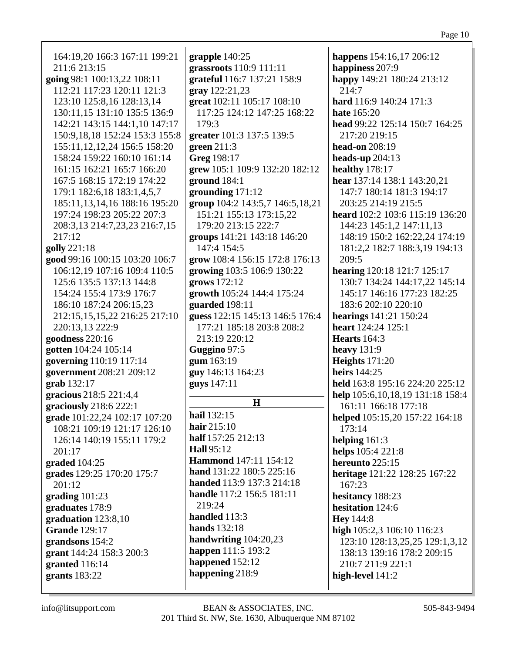| 164:19,20 166:3 167:11 199:21                                                                                                | grapple 140:25                                       | happens 154:16,17 206:12                                                                                                                           |
|------------------------------------------------------------------------------------------------------------------------------|------------------------------------------------------|----------------------------------------------------------------------------------------------------------------------------------------------------|
| 211:6 213:15                                                                                                                 | grassroots 110:9 111:11                              | happiness 207:9                                                                                                                                    |
| going 98:1 100:13,22 108:11                                                                                                  | grateful 116:7 137:21 158:9                          | happy 149:21 180:24 213:12                                                                                                                         |
| 112:21 117:23 120:11 121:3                                                                                                   | gray 122:21,23                                       | 214:7                                                                                                                                              |
| 123:10 125:8,16 128:13,14                                                                                                    | great 102:11 105:17 108:10                           | hard 116:9 140:24 171:3                                                                                                                            |
| 130:11,15 131:10 135:5 136:9                                                                                                 | 117:25 124:12 147:25 168:22                          | <b>hate</b> 165:20                                                                                                                                 |
| 142:21 143:15 144:1,10 147:17                                                                                                | 179:3                                                | head 99:22 125:14 150:7 164:25                                                                                                                     |
| 150:9, 18, 18 152: 24 153: 3 155: 8                                                                                          | greater 101:3 137:5 139:5                            | 217:20 219:15                                                                                                                                      |
| 155:11, 12, 12, 24 156:5 158:20                                                                                              | green $211:3$                                        | head-on 208:19                                                                                                                                     |
| 158:24 159:22 160:10 161:14                                                                                                  | Greg 198:17                                          | heads-up $204:13$                                                                                                                                  |
| 161:15 162:21 165:7 166:20                                                                                                   | grew 105:1 109:9 132:20 182:12                       | healthy 178:17                                                                                                                                     |
| 167:5 168:15 172:19 174:22                                                                                                   | ground $184:1$                                       | hear 137:14 138:1 143:20,21                                                                                                                        |
| 179:1 182:6,18 183:1,4,5,7                                                                                                   | grounding 171:12                                     | 147:7 180:14 181:3 194:17                                                                                                                          |
| 185:11, 13, 14, 16 188:16 195:20                                                                                             | group 104:2 143:5,7 146:5,18,21                      | 203:25 214:19 215:5                                                                                                                                |
| 197:24 198:23 205:22 207:3                                                                                                   | 151:21 155:13 173:15,22                              | heard 102:2 103:6 115:19 136:20                                                                                                                    |
| 208:3,13 214:7,23,23 216:7,15                                                                                                | 179:20 213:15 222:7                                  | 144:23 145:1,2 147:11,13                                                                                                                           |
| 217:12                                                                                                                       | groups 141:21 143:18 146:20                          | 148:19 150:2 162:22,24 174:19                                                                                                                      |
| golly 221:18                                                                                                                 | 147:4 154:5                                          | 181:2,2 182:7 188:3,19 194:13                                                                                                                      |
| good 99:16 100:15 103:20 106:7                                                                                               | grow 108:4 156:15 172:8 176:13                       | 209:5                                                                                                                                              |
| 106:12,19 107:16 109:4 110:5                                                                                                 | growing 103:5 106:9 130:22                           | hearing 120:18 121:7 125:17                                                                                                                        |
| 125:6 135:5 137:13 144:8                                                                                                     | grows 172:12                                         | 130:7 134:24 144:17,22 145:14                                                                                                                      |
| 154:24 155:4 173:9 176:7                                                                                                     | growth 105:24 144:4 175:24                           | 145:17 146:16 177:23 182:25                                                                                                                        |
| 186:10 187:24 206:15,23                                                                                                      | guarded 198:11                                       | 183:6 202:10 220:10                                                                                                                                |
| 212:15,15,15,22 216:25 217:10                                                                                                | guess 122:15 145:13 146:5 176:4                      | hearings 141:21 150:24                                                                                                                             |
| 220:13,13 222:9                                                                                                              | 177:21 185:18 203:8 208:2                            | heart 124:24 125:1                                                                                                                                 |
| goodness 220:16                                                                                                              | 213:19 220:12                                        | Hearts $164:3$                                                                                                                                     |
| gotten 104:24 105:14                                                                                                         | Guggino 97:5                                         | heavy $131:9$                                                                                                                                      |
| governing 110:19 117:14                                                                                                      | gum 163:19                                           | <b>Heights</b> 171:20                                                                                                                              |
| government 208:21 209:12<br>grab 132:17<br>gracious 218:5 221:4,4<br>graciously 218:6 222:1<br>grade 101:22,24 102:17 107:20 | guy 146:13 164:23<br>guys 147:11<br>H<br>hail 132:15 | heirs 144:25<br>held 163:8 195:16 224:20 225:12<br>help 105:6, 10, 18, 19 131: 18 158: 4<br>161:11 166:18 177:18<br>helped 105:15,20 157:22 164:18 |
| 108:21 109:19 121:17 126:10                                                                                                  | hair $215:10$                                        | 173:14                                                                                                                                             |
| 126:14 140:19 155:11 179:2                                                                                                   | half 157:25 212:13                                   | helping $161:3$                                                                                                                                    |
| 201:17                                                                                                                       | <b>Hall</b> 95:12                                    | helps 105:4 221:8                                                                                                                                  |
| graded $104:25$                                                                                                              | <b>Hammond</b> 147:11 154:12                         | hereunto 225:15                                                                                                                                    |
| grades 129:25 170:20 175:7                                                                                                   | hand 131:22 180:5 225:16                             | heritage 121:22 128:25 167:22                                                                                                                      |
| 201:12                                                                                                                       | handed 113:9 137:3 214:18                            | 167:23                                                                                                                                             |
| grading $101:23$                                                                                                             | handle 117:2 156:5 181:11                            | hesitancy 188:23                                                                                                                                   |
| graduates 178:9                                                                                                              | 219:24                                               | hesitation 124:6                                                                                                                                   |
| graduation 123:8,10                                                                                                          | handled 113:3                                        | <b>Hey</b> 144:8                                                                                                                                   |
| <b>Grande</b> 129:17                                                                                                         | <b>hands</b> 132:18                                  | high 105:2,3 106:10 116:23                                                                                                                         |
| grandsons 154:2                                                                                                              | handwriting 104:20,23                                | 123:10 128:13,25,25 129:1,3,12                                                                                                                     |
| grant 144:24 158:3 200:3                                                                                                     | happen 111:5 193:2                                   | 138:13 139:16 178:2 209:15                                                                                                                         |
| granted 116:14                                                                                                               | happened 152:12                                      | 210:7 211:9 221:1                                                                                                                                  |
| grants $183:22$                                                                                                              | happening 218:9                                      | high-level 141:2                                                                                                                                   |
|                                                                                                                              |                                                      |                                                                                                                                                    |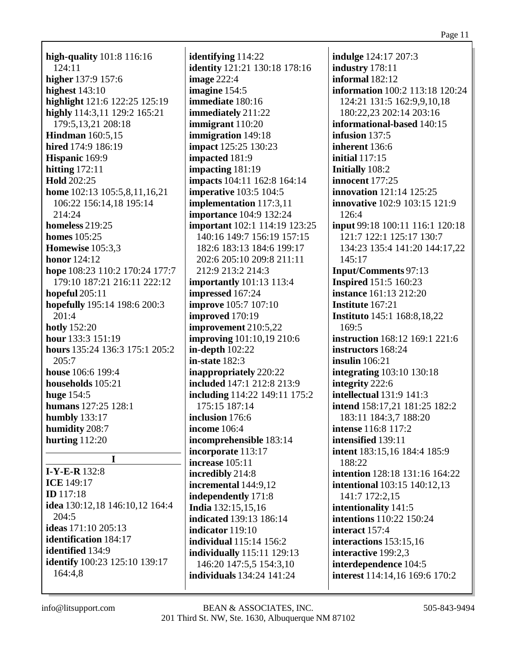**high-quality** 101:8 116:16 124:11 **higher** 137:9 157:6 **highest** 143:10 **highlight** 121:6 122:25 125:19 **highly** 114:3,11 129:2 165:21 179:5,13,21 208:18 **Hindman** 160:5,15 **hired** 174:9 186:19 **Hispanic** 169:9 **hitting** 172:11 **Hold** 202:25 **home** 102:13 105:5,8,11,16,21 106:22 156:14,18 195:14 214:24 **homeless** 219:25 **homes** 105:25 **Homewise** 105:3,3 **honor** 124:12 **hope** 108:23 110:2 170:24 177:7 179:10 187:21 216:11 222:12 **hopeful** 205:11 **hopefully** 195:14 198:6 200:3 201:4 **hotly** 152:20 **hour** 133:3 151:19 **hours** 135:24 136:3 175:1 205:2  $205:7$ **house** 106:6 199:4 **households** 105:21 **huge** 154:5 **humans** 127:25 128:1 **humbly** 133:17 **humidity** 208:7 **hurting** 112:20 **I I-Y-E-R** 132:8 **ICE** 149:17 **ID** 117:18 **idea** 130:12,18 146:10,12 164:4 204:5 **ideas** 171:10 205:13 **identification** 184:17 **identified** 134:9

**identifying** 114:22 **identity** 121:21 130:18 178:16 **image** 222:4 **imagine** 154:5 **immediate** 180:16 **immediately** 211:22 **immigrant** 110:20 **immigration** 149:18 **impact** 125:25 130:23 **impacted** 181:9 **impacting** 181:19 **impacts** 104:11 162:8 164:14 **imperative** 103:5 104:5 **implementation** 117:3,11 **importance** 104:9 132:24 **important** 102:1 114:19 123:25 140:16 149:7 156:19 157:15 182:6 183:13 184:6 199:17 202:6 205:10 209:8 211:11 212:9 213:2 214:3 **importantly** 101:13 113:4 **impressed** 167:24 **improve** 105:7 107:10 **improved** 170:19 **improvement** 210:5,22 **improving** 101:10,19 210:6 **in-depth** 102:22 **in-state** 182:3 **inappropriately** 220:22 **included** 147:1 212:8 213:9 **including** 114:22 149:11 175:2 175:15 187:14 **inclusion** 176:6 **income** 106:4 **incomprehensible** 183:14 **incorporate** 113:17 **increase** 105:11 **incredibly** 214:8 **incremental** 144:9,12 **independently** 171:8 **India** 132:15,15,16 **indicated** 139:13 186:14 **indicator** 119:10 **individual** 115:14 156:2 **individually** 115:11 129:13 146:20 147:5,5 154:3,10 **individuals** 134:24 141:24

**indulge** 124:17 207:3 **industry** 178:11 **informal** 182:12 **information** 100:2 113:18 120:24 124:21 131:5 162:9,9,10,18 180:22,23 202:14 203:16 **informational-based** 140:15 **infusion** 137:5 **inherent** 136:6 **initial** 117:15 **Initially** 108:2 **innocent** 177:25 **innovation** 121:14 125:25 **innovative** 102:9 103:15 121:9 126:4 **input** 99:18 100:11 116:1 120:18 121:7 122:1 125:17 130:7 134:23 135:4 141:20 144:17,22 145:17 **Input/Comments** 97:13 **Inspired** 151:5 160:23 **instance** 161:13 212:20 **Institute** 167:21 **Instituto** 145:1 168:8,18,22 169:5 **instruction** 168:12 169:1 221:6 **instructors** 168:24 **insulin** 106:21 **integrating** 103:10 130:18 **integrity** 222:6 **intellectual** 131:9 141:3 **intend** 158:17,21 181:25 182:2 183:11 184:3,7 188:20 **intense** 116:8 117:2 **intensified** 139:11 **intent** 183:15,16 184:4 185:9 188:22 **intention** 128:18 131:16 164:22 **intentional** 103:15 140:12,13 141:7 172:2,15 **intentionality** 141:5 **intentions** 110:22 150:24 **interact** 157:4 **interactions** 153:15,16 **interactive** 199:2,3 **interdependence** 104:5 **interest** 114:14,16 169:6 170:2

164:4,8

**identify** 100:23 125:10 139:17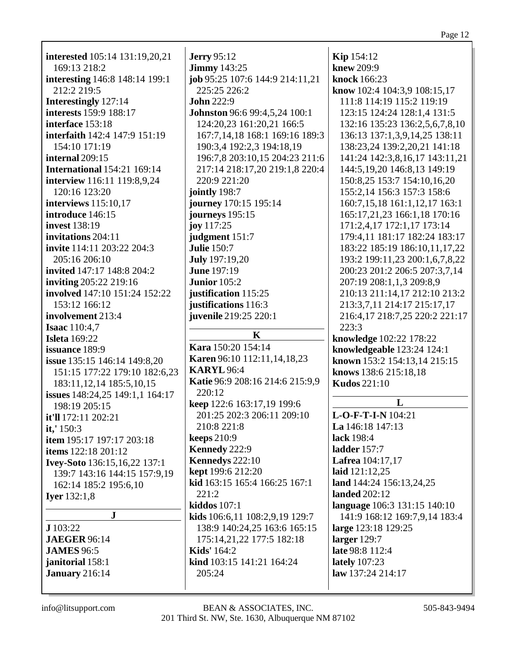| <b>interested</b> 105:14 131:19,20,21 | <b>Jerry</b> 95:12                   | <b>Kip</b> 154:12                |
|---------------------------------------|--------------------------------------|----------------------------------|
| 169:13 218:2                          | <b>Jimmy</b> 143:25                  | knew 209:9                       |
| interesting 146:8 148:14 199:1        | job 95:25 107:6 144:9 214:11,21      | knock 166:23                     |
| 212:2 219:5                           | 225:25 226:2                         | know 102:4 104:3,9 108:15,17     |
|                                       | <b>John 222:9</b>                    |                                  |
| Interestingly 127:14                  |                                      | 111:8 114:19 115:2 119:19        |
| interests 159:9 188:17                | <b>Johnston</b> 96:6 99:4,5,24 100:1 | 123:15 124:24 128:1,4 131:5      |
| interface 153:18                      | 124:20,23 161:20,21 166:5            | 132:16 135:23 136:2,5,6,7,8,10   |
| interfaith 142:4 147:9 151:19         | 167:7,14,18 168:1 169:16 189:3       | 136:13 137:1,3,9,14,25 138:11    |
| 154:10 171:19                         | 190:3,4 192:2,3 194:18,19            | 138:23,24 139:2,20,21 141:18     |
| internal 209:15                       | 196:7,8 203:10,15 204:23 211:6       | 141:24 142:3,8,16,17 143:11,21   |
| <b>International 154:21 169:14</b>    | 217:14 218:17,20 219:1,8 220:4       | 144:5, 19, 20 146: 8, 13 149: 19 |
| interview 116:11 119:8,9,24           | 220:9 221:20                         | 150:8,25 153:7 154:10,16,20      |
| 120:16 123:20                         | jointly 198:7                        | 155:2,14 156:3 157:3 158:6       |
| interviews 115:10,17                  | journey 170:15 195:14                | 160:7,15,18 161:1,12,17 163:1    |
| introduce 146:15                      | journeys 195:15                      | 165:17,21,23 166:1,18 170:16     |
| <b>invest</b> 138:19                  | joy 117:25                           | 171:2,4,17 172:1,17 173:14       |
| invitations 204:11                    | judgment 151:7                       | 179:4,11 181:17 182:24 183:17    |
| invite 114:11 203:22 204:3            | <b>Julie 150:7</b>                   | 183:22 185:19 186:10,11,17,22    |
| 205:16 206:10                         | <b>July</b> 197:19,20                | 193:2 199:11,23 200:1,6,7,8,22   |
| invited 147:17 148:8 204:2            | <b>June 197:19</b>                   | 200:23 201:2 206:5 207:3,7,14    |
| <b>inviting 205:22 219:16</b>         | <b>Junior</b> 105:2                  | 207:19 208:1,1,3 209:8,9         |
| involved 147:10 151:24 152:22         | justification 115:25                 | 210:13 211:14,17 212:10 213:2    |
| 153:12 166:12                         | justifications 116:3                 | 213:3,7,11 214:17 215:17,17      |
| involvement 213:4                     | juvenile 219:25 220:1                | 216:4,17 218:7,25 220:2 221:17   |
| <b>Isaac</b> 110:4,7                  |                                      | 223:3                            |
| <b>Isleta</b> 169:22                  | $\mathbf K$                          | knowledge 102:22 178:22          |
| issuance 189:9                        | Kara 150:20 154:14                   | knowledgeable 123:24 124:1       |
| issue 135:15 146:14 149:8,20          | Karen 96:10 112:11,14,18,23          | known 153:2 154:13,14 215:15     |
| 151:15 177:22 179:10 182:6,23         | <b>KARYL 96:4</b>                    | knows 138:6 215:18,18            |
| 183:11, 12, 14 185: 5, 10, 15         | Katie 96:9 208:16 214:6 215:9,9      | <b>Kudos</b> 221:10              |
| issues 148:24,25 149:1,1 164:17       | 220:12                               |                                  |
| 198:19 205:15                         | keep 122:6 163:17,19 199:6           | L                                |
| it'll 172:11 202:21                   | 201:25 202:3 206:11 209:10           | L-O-F-T-I-N 104:21               |
| it,' 150:3                            | 210:8 221:8                          | La $146:18$ $147:13$             |
| item 195:17 197:17 203:18             | keeps $210:9$                        | lack 198:4                       |
| <b>items</b> 122:18 201:12            | Kennedy 222:9                        | <b>ladder</b> 157:7              |
|                                       | Kennedys 222:10                      | <b>Lafrea</b> 104:17,17          |
| <b>Ivey-Soto</b> 136:15,16,22 137:1   | kept 199:6 212:20                    | laid $121:12,25$                 |
| 139:7 143:16 144:15 157:9,19          | kid 163:15 165:4 166:25 167:1        | land 144:24 156:13,24,25         |
| 162:14 185:2 195:6,10                 | 221:2                                | <b>landed</b> 202:12             |
| <b>Iyer</b> $132:1,8$                 | kiddos 107:1                         | language 106:3 131:15 140:10     |
| $\mathbf{J}$                          | kids 106:6,11 108:2,9,19 129:7       | 141:9 168:12 169:7,9,14 183:4    |
| J 103:22                              | 138:9 140:24,25 163:6 165:15         |                                  |
|                                       |                                      | large 123:18 129:25              |
| <b>JAEGER 96:14</b>                   | 175:14,21,22 177:5 182:18            | larger $129:7$                   |
| <b>JAMES</b> 96:5                     | <b>Kids'</b> 164:2                   | late 98:8 112:4                  |
| janitorial 158:1                      | kind 103:15 141:21 164:24            | <b>lately</b> 107:23             |
| January 216:14                        | 205:24                               | law 137:24 214:17                |
|                                       |                                      |                                  |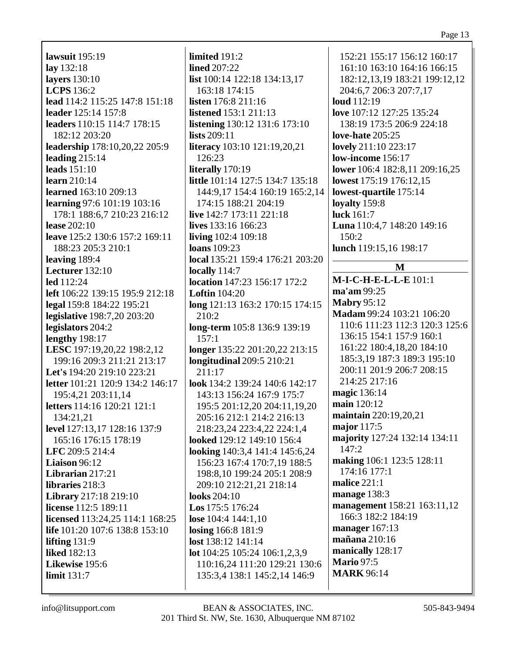#### Page 13

**lawsuit** 195:19 **lay** 132:18 **layers** 130:10 **LCPS** 136:2 **lead** 114:2 115:25 147:8 151:18 **leader** 125:14 157:8 **leaders** 110:15 114:7 178:15 182:12 203:20 **leadership** 178:10,20,22 205:9 **leading** 215:14 **leads** 151:10 **learn** 210:14 **learned** 163:10 209:13 **learning** 97:6 101:19 103:16 178:1 188:6,7 210:23 216:12 **lease** 202:10 **leave** 125:2 130:6 157:2 169:11 188:23 205:3 210:1 **leaving** 189:4 **Lecturer** 132:10 **led** 112:24 **left** 106:22 139:15 195:9 212:18 **legal** 159:8 184:22 195:21 **legislative** 198:7,20 203:20 **legislators** 204:2 **lengthy** 198:17 **LESC** 197:19,20,22 198:2,12 199:16 209:3 211:21 213:17 **Let's** 194:20 219:10 223:21 **letter** 101:21 120:9 134:2 146:17 195:4,21 203:11,14 **letters** 114:16 120:21 121:1 134:21,21 **level** 127:13,17 128:16 137:9 165:16 176:15 178:19 **LFC** 209:5 214:4 **Liaison** 96:12 **Librarian** 217:21 **libraries** 218:3 **Library** 217:18 219:10 **license** 112:5 189:11 **licensed** 113:24,25 114:1 168:25 **life** 101:20 107:6 138:8 153:10 **lifting** 131:9 **liked** 182:13 **Likewise** 195:6 **limit** 131:7

**limited** 191:2 **lined** 207:22 **list** 100:14 122:18 134:13,17 163:18 174:15 **listen** 176:8 211:16 **listened** 153:1 211:13 **listening** 130:12 131:6 173:10 **lists** 209:11 **literacy** 103:10 121:19,20,21 126:23 **literally** 170:19 **little** 101:14 127:5 134:7 135:18 144:9,17 154:4 160:19 165:2,14 174:15 188:21 204:19 **live** 142:7 173:11 221:18 **lives** 133:16 166:23 **living** 102:4 109:18 **loans** 109:23 **local** 135:21 159:4 176:21 203:20 **locally** 114:7 **location** 147:23 156:17 172:2 **Loftin** 104:20 **long** 121:13 163:2 170:15 174:15 210:2 **long-term** 105:8 136:9 139:19 157:1 **longer** 135:22 201:20,22 213:15 **longitudinal** 209:5 210:21 211:17 **look** 134:2 139:24 140:6 142:17 143:13 156:24 167:9 175:7 195:5 201:12,20 204:11,19,20 205:16 212:1 214:2 216:13 218:23,24 223:4,22 224:1,4 **looked** 129:12 149:10 156:4 **looking** 140:3,4 141:4 145:6,24 156:23 167:4 170:7,19 188:5 198:8,10 199:24 205:1 208:9 209:10 212:21,21 218:14 **looks** 204:10 **Los** 175:5 176:24 **lose** 104:4 144:1,10 **losing** 166:8 181:9 **lost** 138:12 141:14 **lot** 104:25 105:24 106:1,2,3,9 110:16,24 111:20 129:21 130:6 135:3,4 138:1 145:2,14 146:9

152:21 155:17 156:12 160:17 161:10 163:10 164:16 166:15 182:12,13,19 183:21 199:12,12 204:6,7 206:3 207:7,17 **loud** 112:19 **love** 107:12 127:25 135:24 138:19 173:5 206:9 224:18 **love-hate** 205:25 **lovely** 211:10 223:17 **low-income** 156:17 **lower** 106:4 182:8,11 209:16,25 **lowest** 175:19 176:12,15 **lowest-quartile** 175:14 **loyalty** 159:8 **luck** 161:7 **Luna** 110:4,7 148:20 149:16 150:2 **lunch** 119:15,16 198:17 **M M-I-C-H-E-L-L-E** 101:1 **ma'am** 99:25 **Mabry** 95:12 **Madam** 99:24 103:21 106:20 110:6 111:23 112:3 120:3 125:6 136:15 154:1 157:9 160:1 161:22 180:4,18,20 184:10 185:3,19 187:3 189:3 195:10 200:11 201:9 206:7 208:15 214:25 217:16 **magic** 136:14 **main** 120:12 **maintain** 220:19,20,21 **major** 117:5 **majority** 127:24 132:14 134:11 147:2 **making** 106:1 123:5 128:11 174:16 177:1 **malice** 221:1 **manage** 138:3 **management** 158:21 163:11,12 166:3 182:2 184:19 **manager** 167:13 **mañana** 210:16 **manically** 128:17 **Mario** 97:5 **MARK** 96:14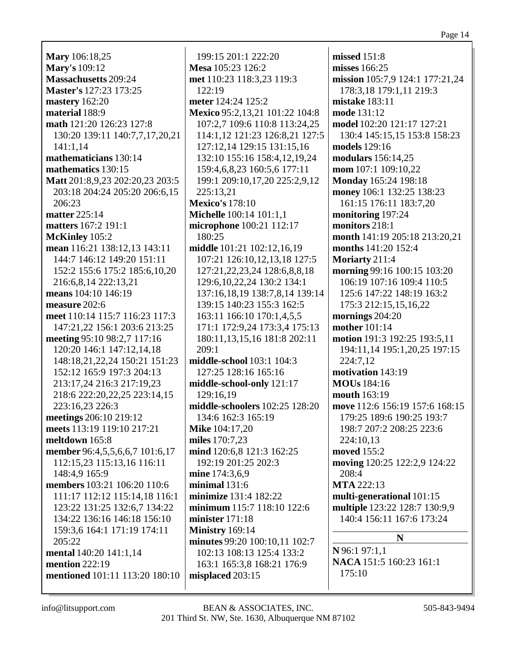**Mary** 106:18,25 **Mary's** 109:12 **Massachusetts** 209:24 **Master's** 127:23 173:25 **mastery** 162:20 **material** 188:9 **math** 121:20 126:23 127:8 130:20 139:11 140:7,7,17,20,21 141:1,14 **mathematicians** 130:14 **mathematics** 130:15 **Matt** 201:8,9,23 202:20,23 203:5 203:18 204:24 205:20 206:6,15 206:23 **matter** 225:14 **matters** 167:2 191:1 **McKinley** 105:2 **mean** 116:21 138:12,13 143:11 144:7 146:12 149:20 151:11 152:2 155:6 175:2 185:6,10,20 216:6,8,14 222:13,21 **means** 104:10 146:19 **measure** 202:6 **meet** 110:14 115:7 116:23 117:3 147:21,22 156:1 203:6 213:25 **meeting** 95:10 98:2,7 117:16 120:20 146:1 147:12,14,18 148:18,21,22,24 150:21 151:23 152:12 165:9 197:3 204:13 213:17,24 216:3 217:19,23 218:6 222:20,22,25 223:14,15 223:16,23 226:3 **meetings** 206:10 219:12 **meets** 113:19 119:10 217:21 **meltdown** 165:8 **member** 96:4,5,5,6,6,7 101:6,17 112:15,23 115:13,16 116:11 148:4,9 165:9 **members** 103:21 106:20 110:6 111:17 112:12 115:14,18 116:1 123:22 131:25 132:6,7 134:22 134:22 136:16 146:18 156:10 159:3,6 164:1 171:19 174:11 205:22 **mental** 140:20 141:1,14 **mention** 222:19 **mentioned** 101:11 113:20 180:10

199:15 201:1 222:20 **Mesa** 105:23 126:2 **met** 110:23 118:3,23 119:3 122:19 **meter** 124:24 125:2 **Mexico** 95:2,13,21 101:22 104:8 107:2,7 109:6 110:8 113:24,25 114:1,12 121:23 126:8,21 127:5 127:12,14 129:15 131:15,16 132:10 155:16 158:4,12,19,24 159:4,6,8,23 160:5,6 177:11 199:1 209:10,17,20 225:2,9,12 225:13,21 **Mexico's** 178:10 **Michelle** 100:14 101:1,1 **microphone** 100:21 112:17 180:25 **middle** 101:21 102:12,16,19 107:21 126:10,12,13,18 127:5 127:21,22,23,24 128:6,8,8,18 129:6,10,22,24 130:2 134:1 137:16,18,19 138:7,8,14 139:14 139:15 140:23 155:3 162:5 163:11 166:10 170:1,4,5,5 171:1 172:9,24 173:3,4 175:13 180:11,13,15,16 181:8 202:11 209:1 **middle-school** 103:1 104:3 127:25 128:16 165:16 **middle-school-only** 121:17 129:16,19 **middle-schoolers** 102:25 128:20 134:6 162:3 165:19 **Mike** 104:17,20 **miles** 170:7,23 **mind** 120:6,8 121:3 162:25 192:19 201:25 202:3 **mine** 174:3,6,9 **minimal** 131:6 **minimize** 131:4 182:22 **minimum** 115:7 118:10 122:6 **minister** 171:18 **Ministry** 169:14 **minutes** 99:20 100:10,11 102:7 102:13 108:13 125:4 133:2 163:1 165:3,8 168:21 176:9 **misplaced** 203:15

**missed** 151:8 **misses** 166:25 **mission** 105:7,9 124:1 177:21,24 178:3,18 179:1,11 219:3 **mistake** 183:11 **mode** 131:12 **model** 102:20 121:17 127:21 130:4 145:15,15 153:8 158:23 **models** 129:16 **modulars** 156:14,25 **mom** 107:1 109:10,22 **Monday** 165:24 198:18 **money** 106:1 132:25 138:23 161:15 176:11 183:7,20 **monitoring** 197:24 **monitors** 218:1 **month** 141:19 205:18 213:20,21 **months** 141:20 152:4 **Moriarty** 211:4 **morning** 99:16 100:15 103:20 106:19 107:16 109:4 110:5 125:6 147:22 148:19 163:2 175:3 212:15,15,16,22 **mornings** 204:20 **mother** 101:14 **motion** 191:3 192:25 193:5,11 194:11,14 195:1,20,25 197:15 224:7,12 **motivation** 143:19 **MOUs** 184:16 **mouth** 163:19 **move** 112:6 156:19 157:6 168:15 179:25 189:6 190:25 193:7 198:7 207:2 208:25 223:6 224:10,13 **moved** 155:2 **moving** 120:25 122:2,9 124:22 208:4 **MTA** 222:13 **multi-generational** 101:15 **multiple** 123:22 128:7 130:9,9 140:4 156:11 167:6 173:24 **N N** 96:1 97:1,1 **NACA** 151:5 160:23 161:1 175:10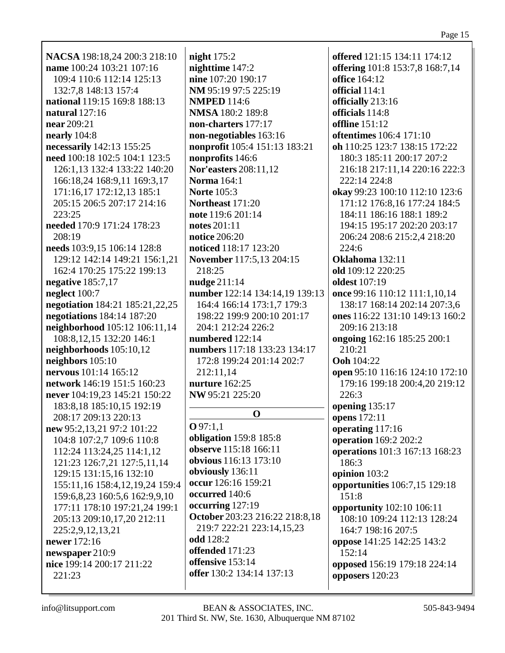| NACSA 198:18,24 200:3 218:10                                | night $175:2$                  | offered 121:15 134:11 174:12                             |
|-------------------------------------------------------------|--------------------------------|----------------------------------------------------------|
| name 100:24 103:21 107:16                                   | nighttime 147:2                | offering 101:8 153:7,8 168:7,14                          |
| 109:4 110:6 112:14 125:13                                   | nine 107:20 190:17             | <b>office</b> 164:12                                     |
| 132:7,8 148:13 157:4                                        | NM 95:19 97:5 225:19           | official 114:1                                           |
| national 119:15 169:8 188:13                                | <b>NMPED</b> 114:6             | officially 213:16                                        |
| natural 127:16                                              | <b>NMSA</b> 180:2 189:8        | officials 114:8                                          |
| near 209:21                                                 | non-charters 177:17            | <b>offline</b> 151:12                                    |
| nearly $104:8$                                              | non-negotiables 163:16         | oftentimes 106:4 171:10                                  |
| necessarily 142:13 155:25                                   | nonprofit 105:4 151:13 183:21  | oh 110:25 123:7 138:15 172:22                            |
| need 100:18 102:5 104:1 123:5                               | nonprofits 146:6               | 180:3 185:11 200:17 207:2                                |
| 126:1,13 132:4 133:22 140:20                                | <b>Nor'easters</b> 208:11,12   | 216:18 217:11,14 220:16 222:3                            |
| 166:18,24 168:9,11 169:3,17                                 | <b>Norma</b> 164:1             | 222:14 224:8                                             |
| 171:16,17 172:12,13 185:1                                   | <b>Norte</b> 105:3             | okay 99:23 100:10 112:10 123:6                           |
| 205:15 206:5 207:17 214:16                                  | Northeast 171:20               | 171:12 176:8,16 177:24 184:5                             |
| 223:25                                                      | note 119:6 201:14              | 184:11 186:16 188:1 189:2                                |
| needed 170:9 171:24 178:23                                  | notes 201:11                   | 194:15 195:17 202:20 203:17                              |
| 208:19                                                      | notice 206:20                  | 206:24 208:6 215:2,4 218:20                              |
| needs 103:9,15 106:14 128:8                                 | noticed 118:17 123:20          | 224:6                                                    |
| 129:12 142:14 149:21 156:1,21                               | November 117:5,13 204:15       | Oklahoma 132:11                                          |
| 162:4 170:25 175:22 199:13                                  | 218:25                         | old 109:12 220:25                                        |
| negative 185:7,17                                           | nudge 211:14                   | <b>oldest</b> 107:19                                     |
| neglect 100:7                                               | number 122:14 134:14,19 139:13 | once 99:16 110:12 111:1,10,14                            |
| negotiation 184:21 185:21,22,25                             | 164:4 166:14 173:1,7 179:3     | 138:17 168:14 202:14 207:3,6                             |
| negotiations 184:14 187:20                                  | 198:22 199:9 200:10 201:17     | ones 116:22 131:10 149:13 160:2                          |
| neighborhood 105:12 106:11,14                               | 204:1 212:24 226:2             | 209:16 213:18                                            |
| 108:8,12,15 132:20 146:1                                    | numbered 122:14                | ongoing 162:16 185:25 200:1                              |
| neighborhoods 105:10,12                                     | numbers 117:18 133:23 134:17   | 210:21                                                   |
| neighbors $105:10$                                          | 172:8 199:24 201:14 202:7      | <b>Ooh</b> 104:22                                        |
| nervous 101:14 165:12                                       | 212:11,14                      | open 95:10 116:16 124:10 172:10                          |
| network 146:19 151:5 160:23                                 | nurture 162:25                 | 179:16 199:18 200:4,20 219:12                            |
| never 104:19,23 145:21 150:22                               | NW 95:21 225:20                | 226:3                                                    |
| 183:8,18 185:10,15 192:19                                   |                                | opening $135:17$                                         |
| 208:17 209:13 220:13                                        | $\mathbf 0$                    | opens 172:11                                             |
| new 95:2,13,21 97:2 101:22                                  | Q97:1,1                        | operating 117:16                                         |
| 104:8 107:2,7 109:6 110:8                                   | obligation 159:8 185:8         | operation 169:2 202:2                                    |
| 112:24 113:24,25 114:1,12                                   | observe 115:18 166:11          | operations 101:3 167:13 168:23                           |
| 121:23 126:7,21 127:5,11,14                                 | obvious 116:13 173:10          | 186:3                                                    |
| 129:15 131:15,16 132:10                                     | obviously 136:11               | opinion 103:2                                            |
| 155:11,16 158:4,12,19,24 159:4                              | occur 126:16 159:21            | opportunities 106:7,15 129:18                            |
|                                                             | occurred 140:6                 | 151:8                                                    |
| 159:6,8,23 160:5,6 162:9,9,10                               | occurring 127:19               |                                                          |
| 177:11 178:10 197:21,24 199:1<br>205:13 209:10,17,20 212:11 | October 203:23 216:22 218:8,18 | opportunity 102:10 106:11<br>108:10 109:24 112:13 128:24 |
|                                                             | 219:7 222:21 223:14,15,23      | 164:7 198:16 207:5                                       |
| 225:2,9,12,13,21<br>newer 172:16                            | odd 128:2                      |                                                          |
|                                                             | offended 171:23                | oppose 141:25 142:25 143:2<br>152:14                     |
| newspaper 210:9<br>nice 199:14 200:17 211:22                | offensive 153:14               |                                                          |
| 221:23                                                      | offer 130:2 134:14 137:13      | opposed 156:19 179:18 224:14<br>opposers 120:23          |
|                                                             |                                |                                                          |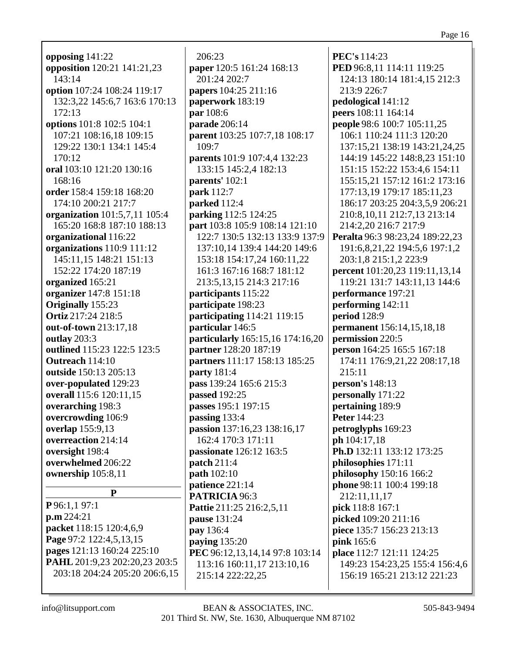**opposing** 141:22 **opposition** 120:21 141:21,23 143:14 **option** 107:24 108:24 119:17 132:3,22 145:6,7 163:6 170:13 172:13 **options** 101:8 102:5 104:1 107:21 108:16,18 109:15 129:22 130:1 134:1 145:4 170:12 **oral** 103:10 121:20 130:16 168:16 **order** 158:4 159:18 168:20 174:10 200:21 217:7 **organization** 101:5,7,11 105:4 165:20 168:8 187:10 188:13 **organizational** 116:22 **organizations** 110:9 111:12 145:11,15 148:21 151:13 152:22 174:20 187:19 **organized** 165:21 **organizer** 147:8 151:18 **Originally** 155:23 **Ortiz** 217:24 218:5 **out-of-town** 213:17,18 **outlay** 203:3 **outlined** 115:23 122:5 123:5 **Outreach** 114:10 **outside** 150:13 205:13 **over-populated** 129:23 **overall** 115:6 120:11,15 **overarching** 198:3 **overcrowding** 106:9 **overlap** 155:9,13 **overreaction** 214:14 **oversight** 198:4 **overwhelmed** 206:22 **ownership** 105:8,11 **P P** 96:1,1 97:1 **p.m** 224:21 **packet** 118:15 120:4,6,9 **Page** 97:2 122:4,5,13,15 **pages** 121:13 160:24 225:10

206:23 **paper** 120:5 161:24 168:13 201:24 202:7 **papers** 104:25 211:16 **paperwork** 183:19 **par** 108:6 **parade** 206:14 **parent** 103:25 107:7,18 108:17 109:7 **parents** 101:9 107:4,4 132:23 133:15 145:2,4 182:13 **parents'** 102:1 **park** 112:7 **parked** 112:4 **parking** 112:5 124:25 **part** 103:8 105:9 108:14 121:10 122:7 130:5 132:13 133:9 137:9 137:10,14 139:4 144:20 149:6 153:18 154:17,24 160:11,22 161:3 167:16 168:7 181:12 213:5,13,15 214:3 217:16 **participants** 115:22 **participate** 198:23 **participating** 114:21 119:15 **particular** 146:5 **particularly** 165:15,16 174:16,20 **partner** 128:20 187:19 **partners** 111:17 158:13 185:25 **party** 181:4 **pass** 139:24 165:6 215:3 **passed** 192:25 **passes** 195:1 197:15 **passing** 133:4 **passion** 137:16,23 138:16,17 162:4 170:3 171:11 **passionate** 126:12 163:5 **patch** 211:4 **path** 102:10 **patience** 221:14 **PATRICIA** 96:3 **Pattie** 211:25 216:2,5,11 **pause** 131:24 **pay** 136:4 **paying** 135:20 **PEC** 96:12,13,14,14 97:8 103:14 113:16 160:11,17 213:10,16 215:14 222:22,25

**PEC's** 114:23 **PED** 96:8,11 114:11 119:25 124:13 180:14 181:4,15 212:3 213:9 226:7 **pedological** 141:12 **peers** 108:11 164:14 **people** 98:6 100:7 105:11,25 106:1 110:24 111:3 120:20 137:15,21 138:19 143:21,24,25 144:19 145:22 148:8,23 151:10 151:15 152:22 153:4,6 154:11 155:15,21 157:12 161:2 173:16 177:13,19 179:17 185:11,23 186:17 203:25 204:3,5,9 206:21 210:8,10,11 212:7,13 213:14 214:2,20 216:7 217:9 **Peralta** 96:3 98:23,24 189:22,23 191:6,8,21,22 194:5,6 197:1,2 203:1,8 215:1,2 223:9 **percent** 101:20,23 119:11,13,14 119:21 131:7 143:11,13 144:6 **performance** 197:21 **performing** 142:11 **period** 128:9 **permanent** 156:14,15,18,18 **permission** 220:5 **person** 164:25 165:5 167:18 174:11 176:9,21,22 208:17,18 215:11 **person's** 148:13 **personally** 171:22 **pertaining** 189:9 **Peter** 144:23 **petroglyphs** 169:23 **ph** 104:17,18 **Ph.D** 132:11 133:12 173:25 **philosophies** 171:11 **philosophy** 150:16 166:2 **phone** 98:11 100:4 199:18 212:11,11,17 **pick** 118:8 167:1 **picked** 109:20 211:16 **piece** 135:7 156:23 213:13 **pink** 165:6 **place** 112:7 121:11 124:25 149:23 154:23,25 155:4 156:4,6 156:19 165:21 213:12 221:23

**PAHL** 201:9,23 202:20,23 203:5 203:18 204:24 205:20 206:6,15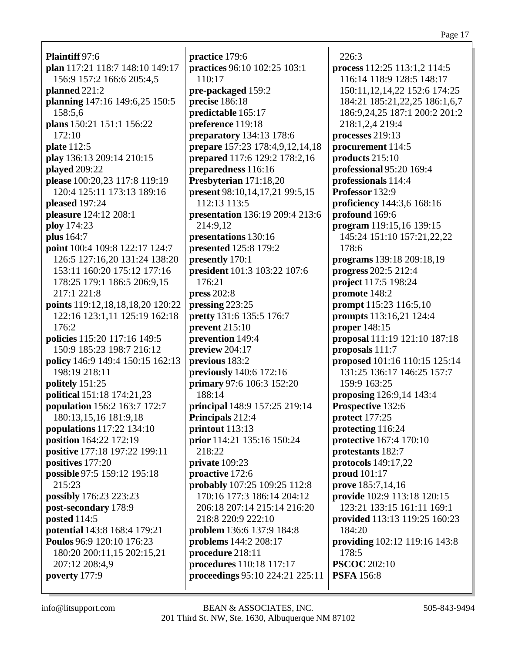**Plaintiff** 97:6 **plan** 117:21 118:7 148:10 149:17 156:9 157:2 166:6 205:4,5 **planned** 221:2 **planning** 147:16 149:6,25 150:5 158:5,6 **plans** 150:21 151:1 156:22  $172:10$ **plate** 112:5 **play** 136:13 209:14 210:15 **played** 209:22 **please** 100:20,23 117:8 119:19 120:4 125:11 173:13 189:16 **pleased** 197:24 **pleasure** 124:12 208:1 **ploy** 174:23 **plus** 164:7 **point** 100:4 109:8 122:17 124:7 126:5 127:16,20 131:24 138:20 153:11 160:20 175:12 177:16 178:25 179:1 186:5 206:9,15 217:1 221:8 **points** 119:12,18,18,18,20 120:22 122:16 123:1,11 125:19 162:18 176:2 **policies** 115:20 117:16 149:5 150:9 185:23 198:7 216:12 **policy** 146:9 149:4 150:15 162:13 198:19 218:11 **politely** 151:25 **political** 151:18 174:21,23 **population** 156:2 163:7 172:7 180:13,15,16 181:9,18 **populations** 117:22 134:10 **position** 164:22 172:19 **positive** 177:18 197:22 199:11 **positives** 177:20 **possible** 97:5 159:12 195:18 215:23 **possibly** 176:23 223:23 **post-secondary** 178:9 **posted** 114:5 **potential** 143:8 168:4 179:21 **Poulos** 96:9 120:10 176:23 180:20 200:11,15 202:15,21 207:12 208:4,9 **poverty** 177:9

**practice** 179:6 **practices** 96:10 102:25 103:1 110:17 **pre-packaged** 159:2 **precise** 186:18 **predictable** 165:17 **preference** 119:18 **preparatory** 134:13 178:6 **prepare** 157:23 178:4,9,12,14,18 **prepared** 117:6 129:2 178:2,16 **preparedness** 116:16 **Presbyterian** 171:18,20 **present** 98:10,14,17,21 99:5,15 112:13 113:5 **presentation** 136:19 209:4 213:6 214:9,12 **presentations** 130:16 **presented** 125:8 179:2 **presently** 170:1 **president** 101:3 103:22 107:6 176:21 **press** 202:8 **pressing** 223:25 **pretty** 131:6 135:5 176:7 **prevent** 215:10 **prevention** 149:4 **preview** 204:17 **previous** 183:2 **previously** 140:6 172:16 **primary** 97:6 106:3 152:20 188:14 **principal** 148:9 157:25 219:14 **Principals** 212:4 **printout** 113:13 **prior** 114:21 135:16 150:24 218:22 **private** 109:23 **proactive** 172:6 **probably** 107:25 109:25 112:8 170:16 177:3 186:14 204:12 206:18 207:14 215:14 216:20 218:8 220:9 222:10 **problem** 136:6 137:9 184:8 **problems** 144:2 208:17 **procedure** 218:11 **procedures** 110:18 117:17 **proceedings** 95:10 224:21 225:11

226:3 **process** 112:25 113:1,2 114:5 116:14 118:9 128:5 148:17 150:11,12,14,22 152:6 174:25 184:21 185:21,22,25 186:1,6,7 186:9,24,25 187:1 200:2 201:2 218:1,2,4 219:4 **processes** 219:13 **procurement** 114:5 **products** 215:10 **professional** 95:20 169:4 **professionals** 114:4 **Professor** 132:9 **proficiency** 144:3,6 168:16 **profound** 169:6 **program** 119:15,16 139:15 145:24 151:10 157:21,22,22 178:6 **programs** 139:18 209:18,19 **progress** 202:5 212:4 **project** 117:5 198:24 **promote** 148:2 **prompt** 115:23 116:5,10 **prompts** 113:16,21 124:4 **proper** 148:15 **proposal** 111:19 121:10 187:18 **proposals** 111:7 **proposed** 101:16 110:15 125:14 131:25 136:17 146:25 157:7 159:9 163:25 **proposing** 126:9,14 143:4 **Prospective** 132:6 **protect** 177:25 **protecting** 116:24 **protective** 167:4 170:10 **protestants** 182:7 **protocols** 149:17,22 **proud** 101:17 **prove** 185:7,14,16 **provide** 102:9 113:18 120:15 123:21 133:15 161:11 169:1 **provided** 113:13 119:25 160:23 184:20 **providing** 102:12 119:16 143:8 178:5 **PSCOC** 202:10 **PSFA** 156:8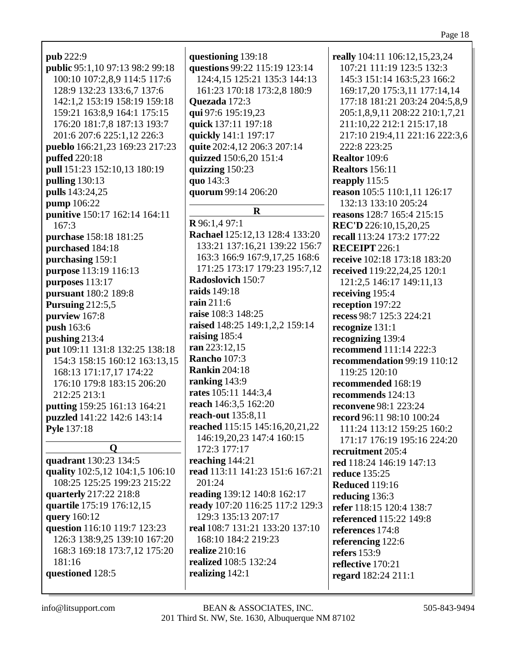| pub 222:9                       |
|---------------------------------|
| public 95:1,10 97:13 98:2 99:18 |
| 100:10 107:2,8,9 114:5 117:6    |
| 128:9 132:23 133:6,7 137:6      |
| 142:1,2 153:19 158:19 159:18    |
| 159:21 163:8,9 164:1 175:15     |
| 176:20 181:7,8 187:13 193:7     |
| 201:6 207:6 225:1,12 226:3      |
| pueblo 166:21,23 169:23 217:23  |
| puffed 220:18                   |
| pull 151:23 152:10,13 180:19    |
| pulling 130:13                  |
| pulls 143:24,25                 |
| pump 106:22                     |
| punitive 150:17 162:14 164:11   |
| 167:3                           |
| purchase 158:18 181:25          |
| purchased 184:18                |
| purchasing 159:1                |
| purpose 113:19 116:13           |
| purposes 113:17                 |
| pursuant 180:2 189:8            |
| <b>Pursuing 212:5,5</b>         |
| purview 167:8                   |
| push 163:6                      |
| pushing 213:4                   |
| put 109:11 131:8 132:25 138:18  |
| 154:3 158:15 160:12 163:13,15   |
| 168:13 171:17,17 174:22         |
| 176:10 179:8 183:15 206:20      |
| 212:25 213:1                    |
| putting 159:25 161:13 164:21    |
| puzzled 141:22 142:6 143:14     |
| Pyle 137:18                     |
|                                 |
| 0                               |
| quadrant 130:23 134:5           |

quality 102:5,12 104:1,5 106:10 108:25 125:25 199:23 215:22 quarterly 217:22 218:8 quartile 175:19 176:12,15 query 160:12 question 116:10 119:7 123:23 126:3 138:9,25 139:10 167:20 168:3 169:18 173:7,12 175:20  $181:16$ questioned 128:5

questioning 139:18 questions 99:22 115:19 123:14 124:4.15 125:21 135:3 144:13 161:23 170:18 173:2,8 180:9 **Ouezada** 172:3 qui 97:6 195:19,23 quick 137:11 197:18 quickly 141:1 197:17 quite 202:4,12 206:3 207:14 quizzed 150:6,20 151:4 quizzing 150:23 quo 143:3 quorum 99:14 206:20 R  $R$ 96:1,497:1 Rachael 125:12,13 128:4 133:20 133:21 137:16.21 139:22 156:7 163:3 166:9 167:9,17,25 168:6 171:25 173:17 179:23 195:7,12 **Radoslovich 150:7 raids** 149:18 rain 211:6 raise 108:3 148:25 raised 148:25 149:1,2,2 159:14 raising  $185:4$  $ran 223:12.15$ **Rancho** 107:3 **Rankin** 204:18 ranking  $143:9$ rates 105:11 144:3,4 reach 146:3,5 162:20 **reach-out** 135:8.11 reached 115:15 145:16,20,21,22 146:19,20,23 147:4 160:15 172:3 177:17 reaching  $144:21$ read 113:11 141:23 151:6 167:21 201:24 reading 139:12 140:8 162:17 ready 107:20 116:25 117:2 129:3 129:3 135:13 207:17 real 108:7 131:21 133:20 137:10 168:10 184:2 219:23 realize  $210:16$ realized 108:5 132:24 realizing  $142:1$ 

really 104:11 106:12,15,23,24 107:21 111:19 123:5 132:3 145:3 151:14 163:5,23 166:2 169:17,20 175:3,11 177:14,14 177:18 181:21 203:24 204:5,8,9 205:1,8,9,11 208:22 210:1,7,21 211:10,22 212:1 215:17,18 217:10 219:4,11 221:16 222:3,6 222:8 223:25 **Realtor** 109:6 **Realtors** 156:11 reapply  $115:5$ reason 105:5 110:1,11 126:17 132:13 133:10 205:24 reasons 128:7 165:4 215:15 **REC'D** 226:10,15,20,25 recall 113:24 173:2 177:22 RECEIPT 226:1 receive 102:18 173:18 183:20 received 119:22,24,25 120:1 121:2,5 146:17 149:11,13 receiving 195:4 reception 197:22 recess 98:7 125:3 224:21 recognize 131:1 recognizing 139:4 recommend 111:14 222:3 recommendation 99:19 110:12 119:25 120:10 recommended 168:19 recommends 124:13 reconvene 98:1 223:24 record 96:11 98:10 100:24 111:24 113:12 159:25 160:2 171:17 176:19 195:16 224:20 recruitment 205:4 red 118:24 146:19 147:13 **reduce** 135:25 **Reduced 119:16** reducing 136:3 refer 118:15 120:4 138:7 **referenced** 115:22 149:8 references 174:8 referencing 122:6 refers  $153:9$ reflective  $170:21$ regard 182:24 211:1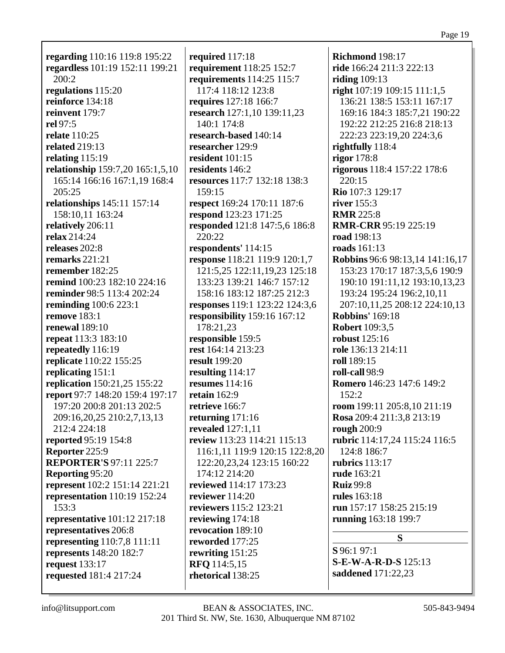**regarding** 110:16 119:8 195:22 **regardless** 101:19 152:11 199:21 200:2 **regulations** 115:20 **reinforce** 134:18 **reinvent** 179:7 **rel** 97:5 **relate** 110:25 **related** 219:13 **relating** 115:19 **relationship** 159:7,20 165:1,5,10 165:14 166:16 167:1,19 168:4 205:25 **relationships** 145:11 157:14 158:10,11 163:24 **relatively** 206:11 **relax** 214:24 **releases** 202:8 **remarks** 221:21 **remember** 182:25 **remind** 100:23 182:10 224:16 **reminder** 98:5 113:4 202:24 **reminding** 100:6 223:1 **remove** 183:1 **renewal** 189:10 **repeat** 113:3 183:10 **repeatedly** 116:19 **replicate** 110:22 155:25 **replicating** 151:1 **replication** 150:21,25 155:22 **report** 97:7 148:20 159:4 197:17 197:20 200:8 201:13 202:5 209:16,20,25 210:2,7,13,13 212:4 224:18 **reported** 95:19 154:8 **Reporter** 225:9 **REPORTER'S** 97:11 225:7 **Reporting** 95:20 **represent** 102:2 151:14 221:21 **representation** 110:19 152:24 153:3 **representative** 101:12 217:18 **representatives** 206:8 **representing** 110:7,8 111:11 **represents** 148:20 182:7 **request** 133:17 **requested** 181:4 217:24

**required** 117:18 **requirement** 118:25 152:7 **requirements** 114:25 115:7 117:4 118:12 123:8 **requires** 127:18 166:7 **research** 127:1,10 139:11,23 140:1 174:8 **research-based** 140:14 **researcher** 129:9 **resident** 101:15 **residents** 146:2 **resources** 117:7 132:18 138:3 159:15 **respect** 169:24 170:11 187:6 **respond** 123:23 171:25 **responded** 121:8 147:5,6 186:8 220:22 **respondents'** 114:15 **response** 118:21 119:9 120:1,7 121:5,25 122:11,19,23 125:18 133:23 139:21 146:7 157:12 158:16 183:12 187:25 212:3 **responses** 119:1 123:22 124:3,6 **responsibility** 159:16 167:12 178:21,23 **responsible** 159:5 **rest** 164:14 213:23 **result** 199:20 **resulting** 114:17 **resumes** 114:16 **retain** 162:9 **retrieve** 166:7 **returning** 171:16 **revealed** 127:1,11 **review** 113:23 114:21 115:13 116:1,11 119:9 120:15 122:8,20 122:20,23,24 123:15 160:22 174:12 214:20 **reviewed** 114:17 173:23 **reviewer** 114:20 **reviewers** 115:2 123:21 **reviewing** 174:18 **revocation** 189:10 **reworded** 177:25 **rewriting** 151:25 **RFQ** 114:5,15 **rhetorical** 138:25

**Richmond** 198:17 **ride** 166:24 211:3 222:13 **riding** 109:13 **right** 107:19 109:15 111:1,5 136:21 138:5 153:11 167:17 169:16 184:3 185:7,21 190:22 192:22 212:25 216:8 218:13 222:23 223:19,20 224:3,6 **rightfully** 118:4 **rigor** 178:8 **rigorous** 118:4 157:22 178:6 220:15 **Rio** 107:3 129:17 **river** 155:3 **RMR** 225:8 **RMR-CRR** 95:19 225:19 **road** 198:13 **roads** 161:13 **Robbins** 96:6 98:13,14 141:16,17 153:23 170:17 187:3,5,6 190:9 190:10 191:11,12 193:10,13,23 193:24 195:24 196:2,10,11 207:10,11,25 208:12 224:10,13 **Robbins'** 169:18 **Robert** 109:3,5 **robust** 125:16 **role** 136:13 214:11 **roll** 189:15 **roll-call** 98:9 **Romero** 146:23 147:6 149:2 152:2 **room** 199:11 205:8,10 211:19 **Rosa** 209:4 211:3,8 213:19 **rough** 200:9 **rubric** 114:17,24 115:24 116:5 124:8 186:7 **rubrics** 113:17 **rude** 163:21 **Ruiz** 99:8 **rules** 163:18 **run** 157:17 158:25 215:19 **running** 163:18 199:7 **S S** 96:1 97:1 **S-E-W-A-R-D-S** 125:13 **saddened** 171:22,23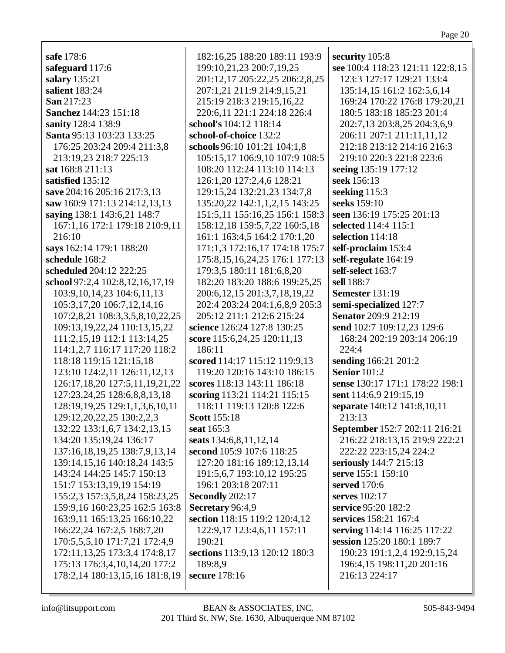**safe** 178:6 **safeguard** 117:6 **salary** 135:21 **salient** 183:24 **San** 217:23 **Sanchez** 144:23 151:18 **sanity** 128:4 138:9 **Santa** 95:13 103:23 133:25 176:25 203:24 209:4 211:3,8 213:19,23 218:7 225:13 **sat** 168:8 211:13 **satisfied** 135:12 **save** 204:16 205:16 217:3,13 **saw** 160:9 171:13 214:12,13,13 **saying** 138:1 143:6,21 148:7 167:1,16 172:1 179:18 210:9,11 216:10 **says** 162:14 179:1 188:20 **schedule** 168:2 **scheduled** 204:12 222:25 **school** 97:2,4 102:8,12,16,17,19 103:9,10,14,23 104:6,11,13 105:3,17,20 106:7,12,14,16 107:2,8,21 108:3,3,5,8,10,22,25 109:13,19,22,24 110:13,15,22 111:2,15,19 112:1 113:14,25 114:1,2,7 116:17 117:20 118:2 118:18 119:15 121:15,18 123:10 124:2,11 126:11,12,13 126:17,18,20 127:5,11,19,21,22 127:23,24,25 128:6,8,8,13,18 128:19,19,25 129:1,1,3,6,10,11 129:12,20,22,25 130:2,2,3 132:22 133:1,6,7 134:2,13,15 134:20 135:19,24 136:17 137:16,18,19,25 138:7,9,13,14 139:14,15,16 140:18,24 143:5 143:24 144:25 145:7 150:13 151:7 153:13,19,19 154:19 155:2,3 157:3,5,8,24 158:23,25 159:9,16 160:23,25 162:5 163:8 163:9,11 165:13,25 166:10,22 166:22,24 167:2,5 168:7,20 170:5,5,5,10 171:7,21 172:4,9 172:11,13,25 173:3,4 174:8,17 175:13 176:3,4,10,14,20 177:2 178:2,14 180:13,15,16 181:8,19

182:16,25 188:20 189:11 193:9 199:10,21,23 200:7,19,25 201:12,17 205:22,25 206:2,8,25 207:1,21 211:9 214:9,15,21 215:19 218:3 219:15,16,22 220:6,11 221:1 224:18 226:4 **school's** 104:12 118:14 **school-of-choice** 132:2 **schools** 96:10 101:21 104:1,8 105:15,17 106:9,10 107:9 108:5 108:20 112:24 113:10 114:13 126:1,20 127:2,4,6 128:21 129:15,24 132:21,23 134:7,8 135:20,22 142:1,1,2,15 143:25 151:5,11 155:16,25 156:1 158:3 158:12,18 159:5,7,22 160:5,18 161:1 163:4,5 164:2 170:1,20 171:1,3 172:16,17 174:18 175:7 175:8,15,16,24,25 176:1 177:13 179:3,5 180:11 181:6,8,20 182:20 183:20 188:6 199:25,25 200:6,12,15 201:3,7,18,19,22 202:4 203:24 204:1,6,8,9 205:3 205:12 211:1 212:6 215:24 **science** 126:24 127:8 130:25 **score** 115:6,24,25 120:11,13 186:11 **scored** 114:17 115:12 119:9,13 119:20 120:16 143:10 186:15 **scores** 118:13 143:11 186:18 **scoring** 113:21 114:21 115:15 118:11 119:13 120:8 122:6 **Scott** 155:18 **seat** 165:3 **seats** 134:6,8,11,12,14 **second** 105:9 107:6 118:25 127:20 181:16 189:12,13,14 191:5,6,7 193:10,12 195:25 196:1 203:18 207:11 **Secondly** 202:17 **Secretary** 96:4,9 **section** 118:15 119:2 120:4,12 122:9,17 123:4,6,11 157:11 190:21 **sections** 113:9,13 120:12 180:3 189:8,9 **secure** 178:16

**security** 105:8 **see** 100:4 118:23 121:11 122:8,15 123:3 127:17 129:21 133:4 135:14,15 161:2 162:5,6,14 169:24 170:22 176:8 179:20,21 180:5 183:18 185:23 201:4 202:7,13 203:8,25 204:3,6,9 206:11 207:1 211:11,11,12 212:18 213:12 214:16 216:3 219:10 220:3 221:8 223:6 **seeing** 135:19 177:12 **seek** 156:13 **seeking** 115:3 **seeks** 159:10 **seen** 136:19 175:25 201:13 **selected** 114:4 115:1 **selection** 114:18 **self-proclaim** 153:4 **self-regulate** 164:19 **self-select** 163:7 **sell** 188:7 **Semester** 131:19 **semi-specialized** 127:7 **Senator** 209:9 212:19 **send** 102:7 109:12,23 129:6 168:24 202:19 203:14 206:19 224:4 **sending** 166:21 201:2 **Senior** 101:2 **sense** 130:17 171:1 178:22 198:1 **sent** 114:6,9 219:15,19 **separate** 140:12 141:8,10,11 213:13 **September** 152:7 202:11 216:21 216:22 218:13,15 219:9 222:21 222:22 223:15,24 224:2 **seriously** 144:7 215:13 **serve** 155:1 159:10 **served** 170:6 **serves** 102:17 **service** 95:20 182:2 **services** 158:21 167:4 **serving** 114:14 116:25 117:22 **session** 125:20 180:1 189:7 190:23 191:1,2,4 192:9,15,24 196:4,15 198:11,20 201:16 216:13 224:17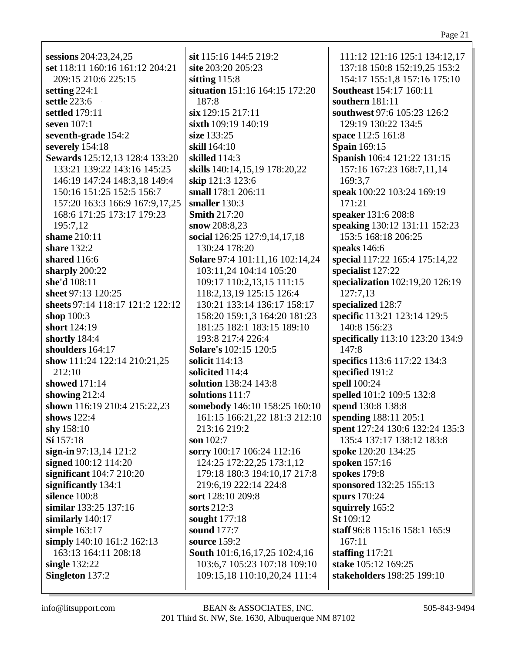### Page 21

| sessions 204:23,24,25            | sit 115:           |
|----------------------------------|--------------------|
|                                  |                    |
| set 118:11 160:16 161:12 204:21  | site 203           |
| 209:15 210:6 225:15              | sitting 1          |
| setting $224:1$                  | situatio           |
| settle 223:6                     | 187:8              |
| settled 179:11                   | $\sin 129$ :       |
| seven 107:1                      | $s$ ixth $10$      |
|                                  |                    |
| seventh-grade 154:2              | size 133           |
| severely 154:18                  | skill 164          |
| Sewards 125:12,13 128:4 133:20   | skilled            |
| 133:21 139:22 143:16 145:25      | skills 14          |
| 146:19 147:24 148:3,18 149:4     | skip 12            |
| 150:16 151:25 152:5 156:7        | small 17           |
|                                  | smaller            |
| 157:20 163:3 166:9 167:9,17,25   |                    |
| 168:6 171:25 173:17 179:23       | Smith <sub>2</sub> |
| 195:7,12                         | snow $20$          |
| shame 210:11                     | social 1           |
| share 132:2                      | 130:2              |
| shared 116:6                     | Solare 9           |
| sharply 200:22                   | 103:1              |
| she'd 108:11                     | 109:1'             |
|                                  |                    |
| sheet 97:13 120:25               | 118:2.             |
| sheets 97:14 118:17 121:2 122:12 | 130:2              |
| shop $100:3$                     | 158:2              |
| short 124:19                     | 181:2.             |
| shortly 184:4                    | 193:8              |
| shoulders 164:17                 | Solare's           |
| show 111:24 122:14 210:21,25     | solicit 1          |
| 212:10                           | solicited          |
|                                  |                    |
| showed 171:14                    | solutior           |
| showing $212:4$                  | solutior           |
| shown 116:19 210:4 215:22,23     | somebo             |
| shows $122:4$                    | 161:1.             |
| shy $158:10$                     | 213:1              |
| Sí 157:18                        | son $102$          |
| sign-in $97:13,14$ 121:2         | sorry $10$         |
| signed 100:12 114:20             | 124:2              |
|                                  |                    |
| significant 104:7 210:20         | 179:1              |
| significantly 134:1              | 219:6.             |
| silence 100:8                    | sort $128$         |
| similar 133:25 137:16            | sorts 21           |
| similarly 140:17                 | sought             |
| simple 163:17                    | sound 1            |
| simply 140:10 161:2 162:13       | source 2           |
| 163:13 164:11 208:18             | South 1            |
|                                  |                    |
| single $132:22$                  | 103:6              |
| Singleton 137:2                  | 109:1.             |
|                                  |                    |

16 144:5 219:2  $:20205:23$  $15:8$ m 151:16 164:15 172:20 15 217:11  $9:19$  140:19  $.25$  $4:10^{-}$ 114:3 10:14,15,19 178:20,22  $1:3$  123:6 78:1 206:11 130:3 17:20  $08:8.23$ 26:25 127:9,14,17,18 4 178:20 97:4 101:11,16 102:14,24 1,24 104:14 105:20 7 110:2,13,15 111:15 .13,19 125:15 126:4 1 133:14 136:17 158:17 0 159:1,3 164:20 181:23 5 182:1 183:15 189:10 217:4 226:4 s 102:15 120:5  $14:13$ d  $114:4$ n 138:24 143:8  $111:7$ dy 146:10 158:25 160:10 5 166:21,22 181:3 212:10 6 219:2  $:7$ 00:17 106:24 112:16 5 172:22,25 173:1,12 8 180:3 194:10,17 217:8 19 222:14 224:8 3:10 209:8  $2:3$  $177:18$  $77:7$  $159:2$ 01:6, 16, 17, 25 102:4, 16 7 105:23 107:18 109:10 5,18 110:10,20,24 111:4

111:12 121:16 125:1 134:12,17 137:18 150:8 152:19,25 153:2 154:17 155:1,8 157:16 175:10 **Southeast** 154:17 160:11 southern  $181:11$ southwest 97:6 105:23 126:2 129:19 130:22 134:5 space 112:5 161:8 **Spain** 169:15 Spanish 106:4 121:22 131:15 157:16 167:23 168:7,11,14 169:3.7 speak 100:22 103:24 169:19 171:21 speaker 131:6 208:8 speaking 130:12 131:11 152:23 153:5 168:18 206:25 speaks  $146:6$ special 117:22 165:4 175:14,22 specialist 127:22 specialization 102:19,20 126:19 127:7,13 specialized 128:7 specific 113:21 123:14 129:5 140:8 156:23 specifically 113:10 123:20 134:9 147:8 specifics 113:6 117:22 134:3 specified 191:2 **spell** 100:24 spelled 101:2 109:5 132:8 spend 130:8 138:8 spending 188:11 205:1 **spent** 127:24 130:6 132:24 135:3 135:4 137:17 138:12 183:8 spoke 120:20 134:25 spoken 157:16 spokes  $179:8$ sponsored 132:25 155:13 spurs  $170:24$ squirrely 165:2  $St 109:12$ staff 96:8 115:16 158:1 165:9  $167:11$ staffing  $117:21$ stake 105:12 169:25 stakeholders 198:25 199:10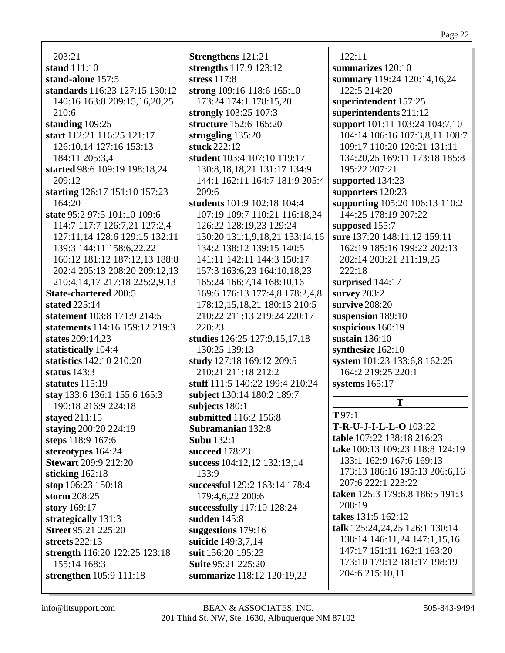Page 22

203:21 **stand** 111:10 **stand-alone** 157:5 **standards** 116:23 127:15 130:12 140:16 163:8 209:15,16,20,25 210:6 **standing** 109:25 **start** 112:21 116:25 121:17 126:10,14 127:16 153:13 184:11 205:3,4 **started** 98:6 109:19 198:18,24  $209:12$ **starting** 126:17 151:10 157:23 164:20 **state** 95:2 97:5 101:10 109:6 114:7 117:7 126:7,21 127:2,4 127:11,14 128:6 129:15 132:11 139:3 144:11 158:6,22,22 160:12 181:12 187:12,13 188:8 202:4 205:13 208:20 209:12,13 210:4,14,17 217:18 225:2,9,13 **State-chartered** 200:5 **stated** 225:14 **statement** 103:8 171:9 214:5 **statements** 114:16 159:12 219:3 **states** 209:14,23 **statistically** 104:4 **statistics** 142:10 210:20 **status** 143:3 **statutes** 115:19 **stay** 133:6 136:1 155:6 165:3 190:18 216:9 224:18 **stayed** 211:15 **staying** 200:20 224:19 **steps** 118:9 167:6 **stereotypes** 164:24 **Stewart** 209:9 212:20 **sticking** 162:18 **stop** 106:23 150:18 **storm** 208:25 **story** 169:17 **strategically** 131:3 **Street** 95:21 225:20 **streets** 222:13 **strength** 116:20 122:25 123:18 155:14 168:3 **strengthen** 105:9 111:18

**Strengthens** 121:21 **strengths** 117:9 123:12 **stress** 117:8 **strong** 109:16 118:6 165:10 173:24 174:1 178:15,20 **strongly** 103:25 107:3 **structure** 152:6 165:20 **struggling** 135:20 **stuck** 222:12 **student** 103:4 107:10 119:17 130:8,18,18,21 131:17 134:9 144:1 162:11 164:7 181:9 205:4 209:6 **students** 101:9 102:18 104:4 107:19 109:7 110:21 116:18,24 126:22 128:19,23 129:24 130:20 131:1,9,18,21 133:14,16 134:2 138:12 139:15 140:5 141:11 142:11 144:3 150:17 157:3 163:6,23 164:10,18,23 165:24 166:7,14 168:10,16 169:6 176:13 177:4,8 178:2,4,8 178:12,15,18,21 180:13 210:5 210:22 211:13 219:24 220:17 220:23 **studies** 126:25 127:9,15,17,18 130:25 139:13 **study** 127:18 169:12 209:5 210:21 211:18 212:2 **stuff** 111:5 140:22 199:4 210:24 **subject** 130:14 180:2 189:7 **subjects** 180:1 **submitted** 116:2 156:8 **Subramanian** 132:8 **Subu** 132:1 **succeed** 178:23 **success** 104:12,12 132:13,14 133:9 **successful** 129:2 163:14 178:4 179:4,6,22 200:6 **successfully** 117:10 128:24 **sudden** 145:8 **suggestions** 179:16 **suicide** 149:3,7,14 **suit** 156:20 195:23 **Suite** 95:21 225:20 **summarize** 118:12 120:19,22

122:11 **summarizes** 120:10 **summary** 119:24 120:14,16,24 122:5 214:20 **superintendent** 157:25 **superintendents** 211:12 **support** 101:11 103:24 104:7,10 104:14 106:16 107:3,8,11 108:7 109:17 110:20 120:21 131:11 134:20,25 169:11 173:18 185:8 195:22 207:21 **supported** 134:23 **supporters** 120:23 **supporting** 105:20 106:13 110:2 144:25 178:19 207:22 **supposed** 155:7 **sure** 137:20 148:11,12 159:11 162:19 185:16 199:22 202:13 202:14 203:21 211:19,25 222:18 **surprised** 144:17 **survey** 203:2 **survive** 208:20 **suspension** 189:10 **suspicious** 160:19 **sustain** 136:10 **synthesize** 162:10 **system** 101:23 133:6,8 162:25 164:2 219:25 220:1 **systems** 165:17 **T T** 97:1 **T-R-U-J-I-L-L-O** 103:22

**table** 107:22 138:18 216:23 **take** 100:13 109:23 118:8 124:19 133:1 162:9 167:6 169:13 173:13 186:16 195:13 206:6,16 207:6 222:1 223:22 **taken** 125:3 179:6,8 186:5 191:3 208:19 **takes** 131:5 162:12 **talk** 125:24,24,25 126:1 130:14 138:14 146:11,24 147:1,15,16 147:17 151:11 162:1 163:20 173:10 179:12 181:17 198:19 204:6 215:10,11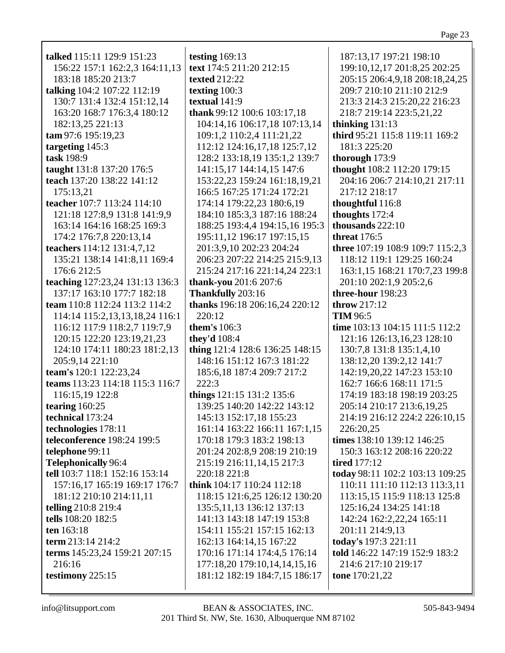| talked 115:11 129:9 151:23      | testing $169:13$                | 187:13,17 197:21 198:10          |
|---------------------------------|---------------------------------|----------------------------------|
| 156:22 157:1 162:2,3 164:11,13  | text 174:5 211:20 212:15        | 199:10,12,17 201:8,25 202:25     |
| 183:18 185:20 213:7             | <b>texted</b> 212:22            | 205:15 206:4,9,18 208:18,24,25   |
| talking 104:2 107:22 112:19     | texting 100:3                   | 209:7 210:10 211:10 212:9        |
| 130:7 131:4 132:4 151:12,14     | textual 141:9                   | 213:3 214:3 215:20,22 216:23     |
| 163:20 168:7 176:3,4 180:12     | thank 99:12 100:6 103:17,18     | 218:7 219:14 223:5,21,22         |
| 182:13,25 221:13                | 104:14,16 106:17,18 107:13,14   | thinking $131:13$                |
| tam 97:6 195:19,23              | 109:1,2 110:2,4 111:21,22       | third 95:21 115:8 119:11 169:2   |
| targeting 145:3                 | 112:12 124:16,17,18 125:7,12    | 181:3 225:20                     |
| task 198:9                      | 128:2 133:18,19 135:1,2 139:7   | thorough 173:9                   |
| taught 131:8 137:20 176:5       | 141:15,17 144:14,15 147:6       | thought 108:2 112:20 179:15      |
| teach 137:20 138:22 141:12      | 153:22,23 159:24 161:18,19,21   | 204:16 206:7 214:10,21 217:11    |
| 175:13,21                       | 166:5 167:25 171:24 172:21      | 217:12 218:17                    |
| teacher 107:7 113:24 114:10     | 174:14 179:22,23 180:6,19       | thoughtful 116:8                 |
| 121:18 127:8,9 131:8 141:9,9    | 184:10 185:3,3 187:16 188:24    | thoughts 172:4                   |
| 163:14 164:16 168:25 169:3      | 188:25 193:4,4 194:15,16 195:3  | thousands $222:10$               |
| 174:2 176:7,8 220:13,14         | 195:11,12 196:17 197:15,15      | <b>threat</b> 176:5              |
| teachers 114:12 131:4,7,12      | 201:3,9,10 202:23 204:24        | three 107:19 108:9 109:7 115:2,3 |
| 135:21 138:14 141:8,11 169:4    | 206:23 207:22 214:25 215:9,13   | 118:12 119:1 129:25 160:24       |
| 176:6 212:5                     | 215:24 217:16 221:14,24 223:1   | 163:1,15 168:21 170:7,23 199:8   |
| teaching 127:23,24 131:13 136:3 | thank-you 201:6 207:6           | 201:10 202:1,9 205:2,6           |
| 137:17 163:10 177:7 182:18      | Thankfully 203:16               | three-hour 198:23                |
| team 110:8 112:24 113:2 114:2   | thanks 196:18 206:16,24 220:12  | throw 217:12                     |
| 114:14 115:2,13,13,18,24 116:1  | 220:12                          | <b>TIM 96:5</b>                  |
| 116:12 117:9 118:2,7 119:7,9    | <b>them's</b> 106:3             | time 103:13 104:15 111:5 112:2   |
| 120:15 122:20 123:19,21,23      | they'd 108:4                    | 121:16 126:13,16,23 128:10       |
| 124:10 174:11 180:23 181:2,13   | thing 121:4 128:6 136:25 148:15 | 130:7,8 131:8 135:1,4,10         |
| 205:9,14 221:10                 | 148:16 151:12 167:3 181:22      | 138:12,20 139:2,12 141:7         |
| team's 120:1 122:23,24          | 185:6, 18 187:4 209:7 217:2     | 142:19,20,22 147:23 153:10       |
| teams 113:23 114:18 115:3 116:7 | 222:3                           | 162:7 166:6 168:11 171:5         |
| 116:15,19 122:8                 | things 121:15 131:2 135:6       | 174:19 183:18 198:19 203:25      |
| tearing $160:25$                | 139:25 140:20 142:22 143:12     | 205:14 210:17 213:6,19,25        |
| technical 173:24                | 145:13 152:17,18 155:23         | 214:19 216:12 224:2 226:10,15    |
| technologies 178:11             | 161:14 163:22 166:11 167:1,15   | 226:20,25                        |
| teleconference 198:24 199:5     | 170:18 179:3 183:2 198:13       | times 138:10 139:12 146:25       |
| telephone 99:11                 | 201:24 202:8,9 208:19 210:19    | 150:3 163:12 208:16 220:22       |
| <b>Telephonically 96:4</b>      | 215:19 216:11,14,15 217:3       | <b>tired</b> 177:12              |
| tell 103:7 118:1 152:16 153:14  | 220:18 221:8                    | today 98:11 102:2 103:13 109:25  |
| 157:16,17 165:19 169:17 176:7   | think 104:17 110:24 112:18      | 110:11 111:10 112:13 113:3,11    |
| 181:12 210:10 214:11,11         | 118:15 121:6,25 126:12 130:20   | 113:15,15 115:9 118:13 125:8     |
| telling 210:8 219:4             | 135:5, 11, 13 136: 12 137: 13   | 125:16,24 134:25 141:18          |
| tells 108:20 182:5              | 141:13 143:18 147:19 153:8      | 142:24 162:2,22,24 165:11        |
| ten 163:18                      | 154:11 155:21 157:15 162:13     | 201:11 214:9,13                  |
| term 213:14 214:2               | 162:13 164:14,15 167:22         | today's 197:3 221:11             |
| terms 145:23,24 159:21 207:15   | 170:16 171:14 174:4,5 176:14    | told 146:22 147:19 152:9 183:2   |
| 216:16                          | 177:18,20 179:10,14,14,15,16    | 214:6 217:10 219:17              |
| testimony $225:15$              | 181:12 182:19 184:7,15 186:17   | tone 170:21,22                   |
|                                 |                                 |                                  |
|                                 |                                 |                                  |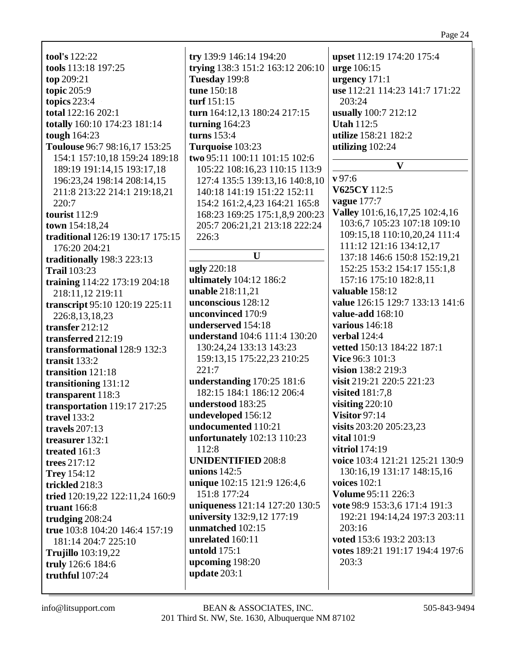**tool's** 122:22 **tools** 113:18 197:25 **top** 209:21 **topic** 205:9 **topics** 223:4 **total** 122:16 202:1 **totally** 160:10 174:23 181:14 **tough** 164:23 **Toulouse** 96:7 98:16,17 153:25 154:1 157:10,18 159:24 189:18 189:19 191:14,15 193:17,18 196:23,24 198:14 208:14,15 211:8 213:22 214:1 219:18,21 220:7 **tourist** 112:9 **town** 154:18,24 **traditional** 126:19 130:17 175:15 176:20 204:21 **traditionally** 198:3 223:13 **Trail** 103:23 **training** 114:22 173:19 204:18 218:11,12 219:11 **transcript** 95:10 120:19 225:11 226:8,13,18,23 **transfer** 212:12 **transferred** 212:19 **transformational** 128:9 132:3 **transit** 133:2 **transition** 121:18 **transitioning** 131:12 **transparent** 118:3 **transportation** 119:17 217:25 **travel** 133:2 **travels** 207:13 **treasurer** 132:1 **treated** 161:3 **trees** 217:12 **Trey** 154:12 **trickled** 218:3 **tried** 120:19,22 122:11,24 160:9 **truant** 166:8 **trudging** 208:24 **true** 103:8 104:20 146:4 157:19 181:14 204:7 225:10 **Trujillo** 103:19,22 **truly** 126:6 184:6 **truthful** 107:24

**try** 139:9 146:14 194:20 **trying** 138:3 151:2 163:12 206:10 **Tuesday** 199:8 **tune** 150:18 **turf** 151:15 **turn** 164:12,13 180:24 217:15 **turning** 164:23 **turns** 153:4 **Turquoise** 103:23 **two** 95:11 100:11 101:15 102:6 105:22 108:16,23 110:15 113:9 127:4 135:5 139:13,16 140:8,10 140:18 141:19 151:22 152:11 154:2 161:2,4,23 164:21 165:8 168:23 169:25 175:1,8,9 200:23 205:7 206:21,21 213:18 222:24 226:3 **U ugly** 220:18 **ultimately** 104:12 186:2 **unable** 218:11,21 **unconscious** 128:12 **unconvinced** 170:9 **underserved** 154:18 **understand** 104:6 111:4 130:20 130:24,24 133:13 143:23 159:13,15 175:22,23 210:25 221:7 **understanding** 170:25 181:6 182:15 184:1 186:12 206:4 **understood** 183:25 **undeveloped** 156:12 **undocumented** 110:21 **unfortunately** 102:13 110:23 112:8 **UNIDENTIFIED** 208:8 **unions** 142:5 **unique** 102:15 121:9 126:4,6 151:8 177:24 **uniqueness** 121:14 127:20 130:5 **university** 132:9,12 177:19 **unmatched** 102:15 **unrelated** 160:11 **untold** 175:1 **upcoming** 198:20 **update** 203:1

**upset** 112:19 174:20 175:4 **urge** 106:15 **urgency** 171:1 **use** 112:21 114:23 141:7 171:22 203:24 **usually** 100:7 212:12 **Utah** 112:5 **utilize** 158:21 182:2 **utilizing** 102:24 **V v** 97:6 **V625CY** 112:5 **vague** 177:7 **Valley** 101:6,16,17,25 102:4,16 103:6,7 105:23 107:18 109:10 109:15,18 110:10,20,24 111:4 111:12 121:16 134:12,17 137:18 146:6 150:8 152:19,21 152:25 153:2 154:17 155:1,8 157:16 175:10 182:8,11 **valuable** 158:12

**value** 126:15 129:7 133:13 141:6 **value-add** 168:10 **various** 146:18 **verbal** 124:4 **vetted** 150:13 184:22 187:1 **Vice** 96:3 101:3 **vision** 138:2 219:3 **visit** 219:21 220:5 221:23 **visited** 181:7,8 **visiting** 220:10 **Visitor** 97:14 **visits** 203:20 205:23,23 **vital** 101:9 **vitriol** 174:19 **voice** 103:4 121:21 125:21 130:9 130:16,19 131:17 148:15,16 **voices** 102:1 **Volume** 95:11 226:3 **vote** 98:9 153:3,6 171:4 191:3 192:21 194:14,24 197:3 203:11 203:16 **voted** 153:6 193:2 203:13 **votes** 189:21 191:17 194:4 197:6 203:3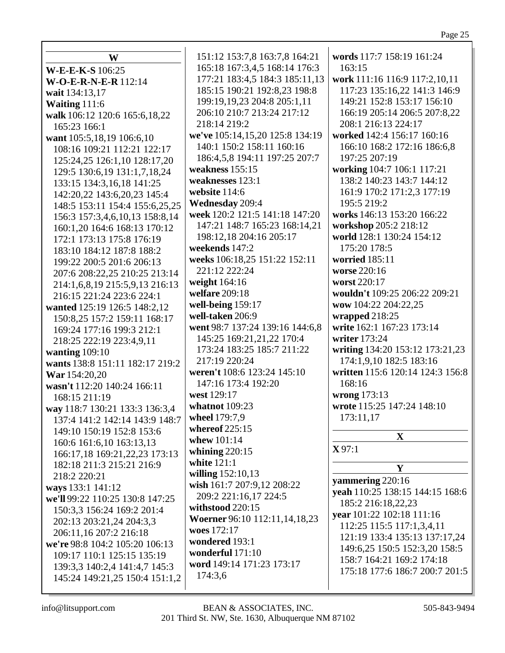| W                               | 151:12 153:7,8 163:7,8 164:21    | words 117:7 158:19 161:24                                      |
|---------------------------------|----------------------------------|----------------------------------------------------------------|
| W-E-E-K-S 106:25                | 165:18 167:3,4,5 168:14 176:3    | 163:15                                                         |
| W-O-E-R-N-E-R 112:14            | 177:21 183:4,5 184:3 185:11,13   | work 111:16 116:9 117:2,10,11                                  |
| wait 134:13,17                  | 185:15 190:21 192:8,23 198:8     | 117:23 135:16,22 141:3 146:9                                   |
| Waiting 111:6                   | 199:19,19,23 204:8 205:1,11      | 149:21 152:8 153:17 156:10                                     |
| walk 106:12 120:6 165:6,18,22   | 206:10 210:7 213:24 217:12       | 166:19 205:14 206:5 207:8,22                                   |
| 165:23 166:1                    | 218:14 219:2                     | 208:1 216:13 224:17                                            |
| want 105:5,18,19 106:6,10       | we've 105:14,15,20 125:8 134:19  | worked 142:4 156:17 160:16                                     |
| 108:16 109:21 112:21 122:17     | 140:1 150:2 158:11 160:16        | 166:10 168:2 172:16 186:6,8                                    |
| 125:24,25 126:1,10 128:17,20    | 186:4,5,8 194:11 197:25 207:7    | 197:25 207:19                                                  |
| 129:5 130:6,19 131:1,7,18,24    | weakness 155:15                  | working 104:7 106:1 117:21                                     |
| 133:15 134:3,16,18 141:25       | weaknesses 123:1                 | 138:2 140:23 143:7 144:12                                      |
| 142:20,22 143:6,20,23 145:4     | website 114:6                    | 161:9 170:2 171:2,3 177:19                                     |
| 148:5 153:11 154:4 155:6,25,25  | <b>Wednesday 209:4</b>           | 195:5 219:2                                                    |
| 156:3 157:3,4,6,10,13 158:8,14  | week 120:2 121:5 141:18 147:20   | works 146:13 153:20 166:22                                     |
| 160:1,20 164:6 168:13 170:12    | 147:21 148:7 165:23 168:14,21    | workshop 205:2 218:12                                          |
| 172:1 173:13 175:8 176:19       | 198:12,18 204:16 205:17          | world 128:1 130:24 154:12                                      |
| 183:10 184:12 187:8 188:2       | weekends 147:2                   | 175:20 178:5                                                   |
| 199:22 200:5 201:6 206:13       | weeks 106:18,25 151:22 152:11    | worried 185:11                                                 |
| 207:6 208:22,25 210:25 213:14   | 221:12 222:24                    | worse 220:16                                                   |
| 214:1,6,8,19 215:5,9,13 216:13  | weight 164:16                    | worst 220:17                                                   |
| 216:15 221:24 223:6 224:1       | welfare 209:18                   | wouldn't 109:25 206:22 209:21                                  |
| wanted 125:19 126:5 148:2,12    | well-being 159:17                | wow 104:22 204:22,25                                           |
| 150:8,25 157:2 159:11 168:17    | well-taken 206:9                 | wrapped $218:25$                                               |
| 169:24 177:16 199:3 212:1       | went 98:7 137:24 139:16 144:6,8  | write 162:1 167:23 173:14                                      |
| 218:25 222:19 223:4,9,11        | 145:25 169:21,21,22 170:4        | writer 173:24                                                  |
| wanting $109:10$                | 173:24 183:25 185:7 211:22       | writing 134:20 153:12 173:21,23                                |
| wants 138:8 151:11 182:17 219:2 | 217:19 220:24                    | 174:1,9,10 182:5 183:16                                        |
| War 154:20,20                   | weren't 108:6 123:24 145:10      | written 115:6 120:14 124:3 156:8                               |
| wasn't 112:20 140:24 166:11     | 147:16 173:4 192:20              | 168:16                                                         |
| 168:15 211:19                   | west 129:17                      | wrong 173:13                                                   |
| way 118:7 130:21 133:3 136:3,4  | whatnot 109:23                   | wrote 115:25 147:24 148:10                                     |
| 137:4 141:2 142:14 143:9 148:7  | wheel 179:7,9                    | 173:11,17                                                      |
| 149:10 150:19 152:8 153:6       | whereof $225:15$                 |                                                                |
| 160:6 161:6,10 163:13,13        | whew 101:14                      | $\mathbf{X}$                                                   |
| 166:17,18 169:21,22,23 173:13   | whining $220:15$                 | $X$ 97:1                                                       |
| 182:18 211:3 215:21 216:9       | white 121:1                      | Y                                                              |
| 218:2 220:21                    | willing 152:10,13                |                                                                |
| ways 133:1 141:12               | wish 161:7 207:9,12 208:22       | yammering 220:16                                               |
| we'll 99:22 110:25 130:8 147:25 | 209:2 221:16,17 224:5            | yeah 110:25 138:15 144:15 168:6                                |
| 150:3,3 156:24 169:2 201:4      | withstood 220:15                 | 185:2 216:18,22,23                                             |
| 202:13 203:21,24 204:3,3        | Woerner 96:10 112:11, 14, 18, 23 | year 101:22 102:18 111:16<br>112:25 115:5 117:1,3,4,11         |
| 206:11,16 207:2 216:18          | woes 172:17                      |                                                                |
| we're 98:8 104:2 105:20 106:13  | wondered 193:1                   | 121:19 133:4 135:13 137:17,24<br>149:6,25 150:5 152:3,20 158:5 |
| 109:17 110:1 125:15 135:19      | wonderful 171:10                 | 158:7 164:21 169:2 174:18                                      |
| 139:3,3 140:2,4 141:4,7 145:3   | word 149:14 171:23 173:17        | 175:18 177:6 186:7 200:7 201:5                                 |
| 145:24 149:21,25 150:4 151:1,2  | 174:3,6                          |                                                                |
|                                 |                                  |                                                                |